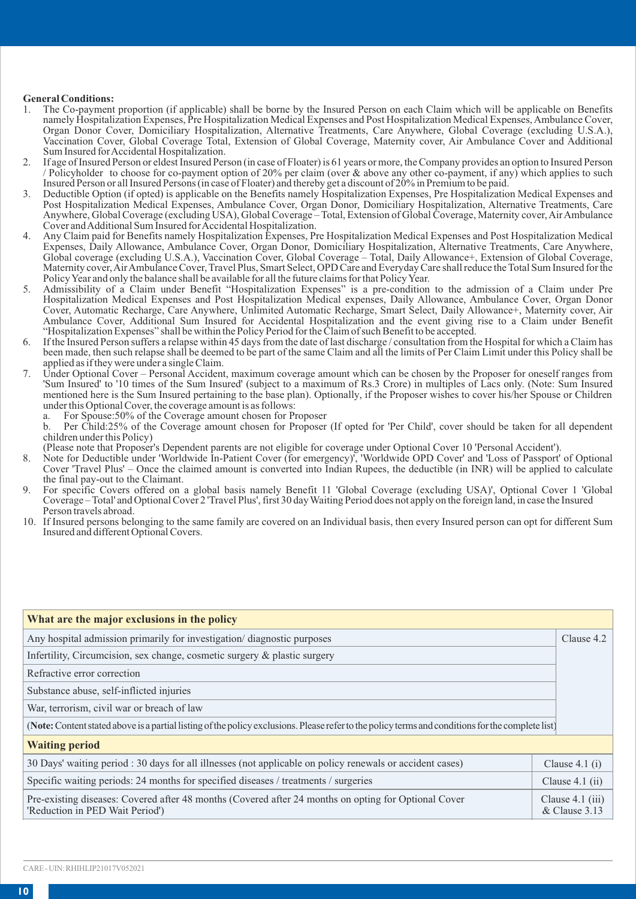## **General Conditions:**<br>1 The Co-payment

- 1. The Co-payment proportion (if applicable) shall be borne by the Insured Person on each Claim which will be applicable on Benefits namely Hospitalization Expenses, Pre Hospitalization Medical Expenses and Post Hospitalization Medical Expenses, Ambulance Cover, Organ Donor Cover, Domiciliary Hospitalization, Alternative Treatments, Care Anywhere, Global Coverage (excluding U.S.A.), Vaccination Cover, Global Coverage Total, Extension of Global Coverage, Maternity cover, Air Ambulance Cover and Additional Sum Insured for Accidental Hospitalization.
- 2. If age of Insured Person or eldest Insured Person (in case of Floater) is 61 years or more, the Company provides an option to Insured Person / Policyholder to choose for co-payment option of 20% per claim (over & above any other co-payment, if any) which applies to such Insured Person or all Insured Persons (in case of Floater) and thereby get a discount of 20% in Premium to be paid.
- 3. Deductible Option (if opted) is applicable on the Benefits namely Hospitalization Expenses, Pre Hospitalization Medical Expenses and Post Hospitalization Medical Expenses, Ambulance Cover, Organ Donor, Domiciliary Hospitalization, Alternative Treatments, Care Anywhere, Global Coverage (excluding USA), Global Coverage – Total, Extension of Global Coverage, Maternity cover, Air Ambulance Cover and Additional Sum Insured for Accidental Hospitalization.
- 4. Any Claim paid for Benefits namely Hospitalization Expenses, Pre Hospitalization Medical Expenses and Post Hospitalization Medical Expenses, Daily Allowance, Ambulance Cover, Organ Donor, Domiciliary Hospitalization, Alternative Treatments, Care Anywhere, Global coverage (excluding U.S.A.), Vaccination Cover, Global Coverage – Total, Daily Allowance+, Extension of Global Coverage, Maternity cover, Air Ambulance Cover, Travel Plus, Smart Select, OPD Care and Everyday Care shall reduce the Total Sum Insured for the Policy Year and only the balance shall be available for all the future claims for that Policy Year.
- 5. Admissibility of a Claim under Benefit "Hospitalization Expenses" is a pre-condition to the admission of a Claim under Pre Hospitalization Medical Expenses and Post Hospitalization Medical expenses, Daily Allowance, Ambulance Cover, Organ Donor Cover, Automatic Recharge, Care Anywhere, Unlimited Automatic Recharge, Smart Select, Daily Allowance+, Maternity cover, Air Ambulance Cover, Additional Sum Insured for Accidental Hospitalization and the event giving rise to a Claim under Benefit "Hospitalization Expenses" shall be within the Policy Period for the Claim of such Benefit to be accepted.
- 6. If the Insured Person suffers a relapse within 45 days from the date of last discharge / consultation from the Hospital for which a Claim has been made, then such relapse shall be deemed to be part of the same Claim and all the limits of Per Claim Limit under this Policy shall be applied as if they were under a single Claim.
- 7. Under Optional Cover Personal Accident, maximum coverage amount which can be chosen by the Proposer for oneself ranges from 'Sum Insured' to '10 times of the Sum Insured' (subject to a maximum of Rs.3 Crore) in multiples of Lacs only. (Note: Sum Insured mentioned here is the Sum Insured pertaining to the base plan). Optionally, if the Proposer wishes to cover his/her Spouse or Children under this Optional Cover, the coverage amount is as follows:<br>a. For Spouse:50% of the Coverage amount chosen for P
	- a. For Spouse:50% of the Coverage amount chosen for Proposer<br>b Per Child:25% of the Coverage amount chosen for Proposer

b. Per Child:25% of the Coverage amount chosen for Proposer (If opted for 'Per Child', cover should be taken for all dependent children under this Policy)

.(Please note that Proposer's Dependent parents are not eligible for coverage under Optional Cover 10 'Personal Accident').<br>8. Note for Deductible under 'Worldwide In-Patient Cover (for emergency)', 'Worldwide OPD Cover' a

- Cover 'Travel Plus' Once the claimed amount is converted into Indian Rupees, the deductible (in INR) will be applied to calculate the final pay-out to the Claimant.
- 9. For specific Covers offered on a global basis namely Benefit 11 'Global Coverage (excluding USA)', Optional Cover 1 'Global Coverage – Total' and Optional Cover 2 'Travel Plus', first 30 day Waiting Period does not apply on the foreign land, in case the Insured Person travels abroad.
- 10. If Insured persons belonging to the same family are covered on an Individual basis, then every Insured person can opt for different Sum Insured and different Optional Covers.

| What are the major exclusions in the policy                                                                                                       |                                     |  |  |  |
|---------------------------------------------------------------------------------------------------------------------------------------------------|-------------------------------------|--|--|--|
| Any hospital admission primarily for investigation/diagnostic purposes                                                                            | Clause 4.2                          |  |  |  |
| Infertility, Circumcision, sex change, cosmetic surgery & plastic surgery                                                                         |                                     |  |  |  |
| Refractive error correction                                                                                                                       |                                     |  |  |  |
| Substance abuse, self-inflicted injuries                                                                                                          |                                     |  |  |  |
| War, terrorism, civil war or breach of law                                                                                                        |                                     |  |  |  |
| (Note: Content stated above is a partial listing of the policy exclusions. Please refer to the policy terms and conditions for the complete list) |                                     |  |  |  |
| <b>Waiting period</b>                                                                                                                             |                                     |  |  |  |
| 30 Days' waiting period : 30 days for all illnesses (not applicable on policy renewals or accident cases)                                         | Clause $4.1(i)$                     |  |  |  |
| Specific waiting periods: 24 months for specified diseases / treatments / surgeries                                                               | Clause $4.1$ (ii)                   |  |  |  |
| Pre-existing diseases: Covered after 48 months (Covered after 24 months on opting for Optional Cover<br>'Reduction in PED Wait Period')           | Clause $4.1$ (iii)<br>& Clause 3.13 |  |  |  |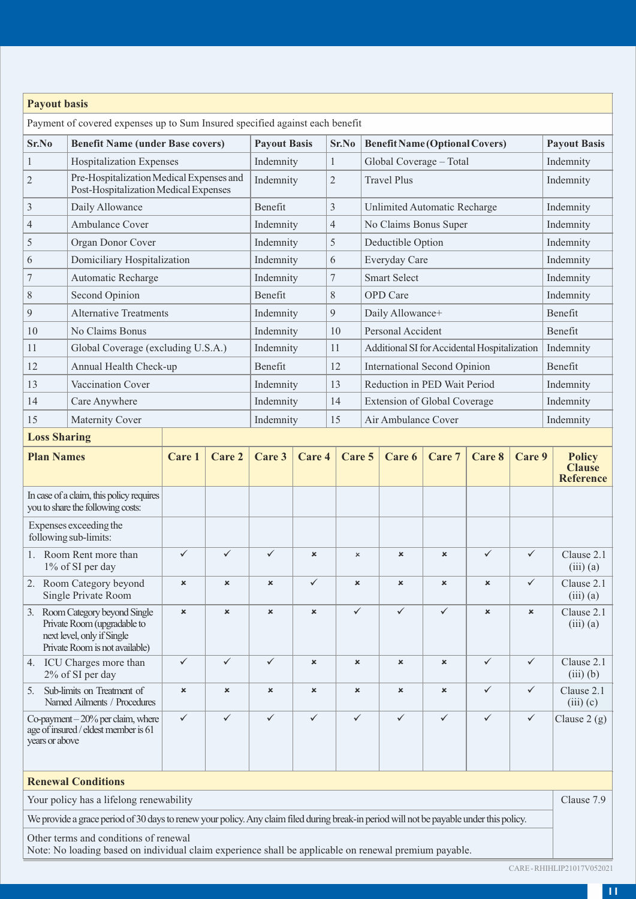| <b>Payout basis</b>                                                                                                                                                                                                                                                                        |                                                                                                                               |                           |                              |                           |                                       |                           |        |                                              |                           |              |              |                                             |
|--------------------------------------------------------------------------------------------------------------------------------------------------------------------------------------------------------------------------------------------------------------------------------------------|-------------------------------------------------------------------------------------------------------------------------------|---------------------------|------------------------------|---------------------------|---------------------------------------|---------------------------|--------|----------------------------------------------|---------------------------|--------------|--------------|---------------------------------------------|
| Payment of covered expenses up to Sum Insured specified against each benefit                                                                                                                                                                                                               |                                                                                                                               |                           |                              |                           |                                       |                           |        |                                              |                           |              |              |                                             |
| Sr.No<br><b>Benefit Name (under Base covers)</b>                                                                                                                                                                                                                                           |                                                                                                                               |                           | <b>Payout Basis</b><br>Sr.No |                           | <b>Benefit Name (Optional Covers)</b> |                           |        | <b>Payout Basis</b>                          |                           |              |              |                                             |
| $\mathbf{1}$                                                                                                                                                                                                                                                                               | <b>Hospitalization Expenses</b>                                                                                               |                           |                              | Indemnity                 |                                       | $\mathbf{1}$              |        | Global Coverage - Total                      |                           |              |              | Indemnity                                   |
| $\overline{2}$                                                                                                                                                                                                                                                                             | Pre-Hospitalization Medical Expenses and<br>Post-Hospitalization Medical Expenses                                             |                           |                              | Indemnity                 |                                       | $\overline{2}$            |        | <b>Travel Plus</b>                           |                           |              |              | Indemnity                                   |
| 3                                                                                                                                                                                                                                                                                          | Daily Allowance                                                                                                               |                           |                              | Benefit                   |                                       | 3                         |        | Unlimited Automatic Recharge                 |                           |              |              | Indemnity                                   |
| $\overline{4}$                                                                                                                                                                                                                                                                             | Ambulance Cover                                                                                                               |                           |                              | Indemnity                 |                                       | 4                         |        | No Claims Bonus Super                        |                           |              |              | Indemnity                                   |
| 5                                                                                                                                                                                                                                                                                          | Organ Donor Cover                                                                                                             |                           |                              | Indemnity                 |                                       | 5                         |        | Deductible Option                            |                           |              |              | Indemnity                                   |
| 6                                                                                                                                                                                                                                                                                          | Domiciliary Hospitalization                                                                                                   |                           |                              | Indemnity                 |                                       | 6                         |        | Everyday Care                                |                           |              |              | Indemnity                                   |
| 7                                                                                                                                                                                                                                                                                          | Automatic Recharge                                                                                                            |                           |                              | Indemnity                 |                                       | 7                         |        | Smart Select                                 |                           |              |              | Indemnity                                   |
| 8                                                                                                                                                                                                                                                                                          | Second Opinion                                                                                                                |                           |                              | Benefit                   |                                       | 8                         |        | <b>OPD</b> Care                              |                           |              |              | Indemnity                                   |
| 9                                                                                                                                                                                                                                                                                          | <b>Alternative Treatments</b>                                                                                                 |                           |                              | Indemnity                 |                                       | 9                         |        | Daily Allowance+                             |                           |              |              | Benefit                                     |
| 10                                                                                                                                                                                                                                                                                         | No Claims Bonus                                                                                                               |                           |                              | Indemnity                 |                                       | 10                        |        | Personal Accident                            |                           |              |              | Benefit                                     |
| 11                                                                                                                                                                                                                                                                                         | Global Coverage (excluding U.S.A.)                                                                                            |                           |                              | Indemnity                 |                                       | 11                        |        | Additional SI for Accidental Hospitalization |                           |              |              | Indemnity                                   |
| 12                                                                                                                                                                                                                                                                                         | Annual Health Check-up                                                                                                        |                           |                              | Benefit                   |                                       | 12                        |        | International Second Opinion                 |                           |              |              | Benefit                                     |
| 13                                                                                                                                                                                                                                                                                         | Vaccination Cover                                                                                                             |                           |                              | Indemnity                 |                                       | 13                        |        | Reduction in PED Wait Period                 |                           |              |              | Indemnity                                   |
| 14                                                                                                                                                                                                                                                                                         | Care Anywhere                                                                                                                 |                           |                              | Indemnity                 |                                       | 14                        |        | <b>Extension of Global Coverage</b>          |                           |              |              | Indemnity                                   |
| 15                                                                                                                                                                                                                                                                                         | 15<br><b>Maternity Cover</b><br>Indemnity<br>Air Ambulance Cover                                                              |                           |                              |                           | Indemnity                             |                           |        |                                              |                           |              |              |                                             |
| <b>Loss Sharing</b>                                                                                                                                                                                                                                                                        |                                                                                                                               |                           |                              |                           |                                       |                           |        |                                              |                           |              |              |                                             |
| <b>Plan Names</b>                                                                                                                                                                                                                                                                          |                                                                                                                               | Care 1                    | Care 2                       | Care 3                    | Care 4                                |                           | Care 5 | Care 6                                       | Care 7                    | Care 8       | Care 9       | <b>Policy</b><br><b>Clause</b><br>Reference |
|                                                                                                                                                                                                                                                                                            | In case of a claim, this policy requires<br>you to share the following costs:                                                 |                           |                              |                           |                                       |                           |        |                                              |                           |              |              |                                             |
|                                                                                                                                                                                                                                                                                            | Expenses exceeding the<br>following sub-limits:                                                                               |                           |                              |                           |                                       |                           |        |                                              |                           |              |              |                                             |
| 1.                                                                                                                                                                                                                                                                                         | Room Rent more than<br>1% of SI per day                                                                                       | $\checkmark$              | ✓                            | $\checkmark$              | $\boldsymbol{\mathsf{x}}$             | $\times$                  |        | $\boldsymbol{\mathsf{x}}$                    | $\boldsymbol{\mathsf{x}}$ | $\checkmark$ | ✓            | Clause 2.1<br>$(iii)$ $(a)$                 |
|                                                                                                                                                                                                                                                                                            | 2. Room Category beyond<br>Single Private Room                                                                                | $\boldsymbol{\mathsf{x}}$ | $\boldsymbol{\mathsf{x}}$    | $\boldsymbol{\mathsf{x}}$ | ✓                                     | ×                         |        | ×                                            | $\boldsymbol{\mathsf{x}}$ | $\mathbf{x}$ | ✓            | Clause 2.1<br>$(iii)$ $(a)$                 |
|                                                                                                                                                                                                                                                                                            | 3. Room Category beyond Single<br>Private Room (upgradable to<br>next level, only if Single<br>Private Room is not available) | $\mathbf{x}$              | $\mathbf{x}$                 | $\mathbf{x}$              | $\mathbf{x}$                          |                           |        |                                              | $\checkmark$              | $\mathbf{x}$ | $\mathbf{x}$ | Clause 2.1<br>$(iii)$ $(a)$                 |
|                                                                                                                                                                                                                                                                                            | 4. ICU Charges more than<br>2% of SI per day                                                                                  | ✓                         | $\checkmark$                 | ✓                         | $\boldsymbol{\mathsf{x}}$             | $\boldsymbol{\mathsf{x}}$ |        | $\boldsymbol{\mathsf{x}}$                    | $\boldsymbol{\mathsf{x}}$ | $\checkmark$ | $\checkmark$ | Clause 2.1<br>$(iii)$ $(b)$                 |
| 5.                                                                                                                                                                                                                                                                                         | Sub-limits on Treatment of<br>Named Ailments / Procedures                                                                     | $\mathbf x$               | $\mathbf x$                  | $\boldsymbol{\mathsf{x}}$ | $\boldsymbol{\mathsf{x}}$             | $\boldsymbol{\mathsf{x}}$ |        | $\mathbf x$                                  | $\boldsymbol{\mathsf{x}}$ | ✓            | $\checkmark$ | Clause 2.1<br>$(iii)$ $(c)$                 |
| years or above                                                                                                                                                                                                                                                                             | Co-payment $-20\%$ per claim, where<br>age of insured / eldest member is 61                                                   | $\checkmark$              | $\checkmark$                 | $\checkmark$              | $\checkmark$                          | $\checkmark$              |        | $\checkmark$                                 | $\checkmark$              | $\checkmark$ | $\checkmark$ | Clause $2(g)$                               |
|                                                                                                                                                                                                                                                                                            | <b>Renewal Conditions</b>                                                                                                     |                           |                              |                           |                                       |                           |        |                                              |                           |              |              |                                             |
|                                                                                                                                                                                                                                                                                            | Your policy has a lifelong renewability                                                                                       |                           |                              |                           |                                       |                           |        |                                              |                           |              |              | Clause 7.9                                  |
|                                                                                                                                                                                                                                                                                            |                                                                                                                               |                           |                              |                           |                                       |                           |        |                                              |                           |              |              |                                             |
| We provide a grace period of 30 days to renew your policy. Any claim filed during break-in period will not be payable under this policy.<br>Other terms and conditions of renewal<br>Note: No loading based on individual claim experience shall be applicable on renewal premium payable. |                                                                                                                               |                           |                              |                           |                                       |                           |        |                                              |                           |              |              |                                             |

CARE - RHIHLIP21017V052021

J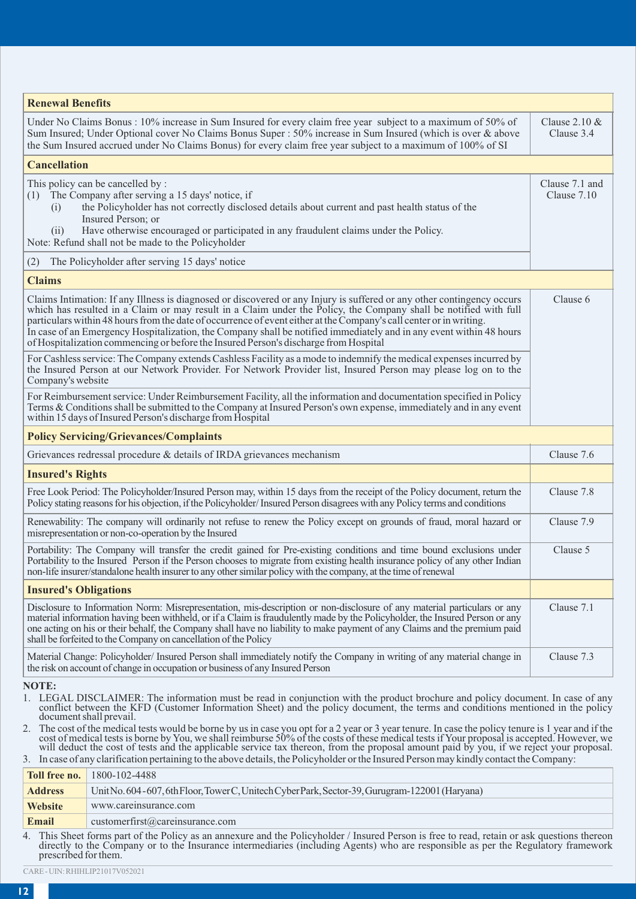| <b>Renewal Benefits</b>                                                                                                                                                                                                                                                                                                                                                                                                                                                                                                                                                                                                                                                                                                                                       |                                |
|---------------------------------------------------------------------------------------------------------------------------------------------------------------------------------------------------------------------------------------------------------------------------------------------------------------------------------------------------------------------------------------------------------------------------------------------------------------------------------------------------------------------------------------------------------------------------------------------------------------------------------------------------------------------------------------------------------------------------------------------------------------|--------------------------------|
|                                                                                                                                                                                                                                                                                                                                                                                                                                                                                                                                                                                                                                                                                                                                                               |                                |
| Under No Claims Bonus: 10% increase in Sum Insured for every claim free year subject to a maximum of 50% of<br>Sum Insured; Under Optional cover No Claims Bonus Super : 50% increase in Sum Insured (which is over & above<br>the Sum Insured accrued under No Claims Bonus) for every claim free year subject to a maximum of 100% of SI                                                                                                                                                                                                                                                                                                                                                                                                                    | Clause $2.10 \&$<br>Clause 3.4 |
| <b>Cancellation</b>                                                                                                                                                                                                                                                                                                                                                                                                                                                                                                                                                                                                                                                                                                                                           |                                |
| This policy can be cancelled by:<br>(1) The Company after serving a 15 days' notice, if<br>the Policyholder has not correctly disclosed details about current and past health status of the<br>(i)<br>Insured Person; or<br>Have otherwise encouraged or participated in any fraudulent claims under the Policy.<br>(i)<br>Note: Refund shall not be made to the Policyholder                                                                                                                                                                                                                                                                                                                                                                                 | Clause 7.1 and<br>Clause 7.10  |
| The Policyholder after serving 15 days' notice<br>(2)                                                                                                                                                                                                                                                                                                                                                                                                                                                                                                                                                                                                                                                                                                         |                                |
| <b>Claims</b>                                                                                                                                                                                                                                                                                                                                                                                                                                                                                                                                                                                                                                                                                                                                                 |                                |
| Claims Intimation: If any Illness is diagnosed or discovered or any Injury is suffered or any other contingency occurs<br>which has resulted in a Claim or may result in a Claim under the Policy, the Company shall be notified with full<br>particulars within 48 hours from the date of occurrence of event either at the Company's call center or in writing.<br>In case of an Emergency Hospitalization, the Company shall be notified immediately and in any event within 48 hours<br>of Hospitalization commencing or before the Insured Person's discharge from Hospital                                                                                                                                                                              | Clause 6                       |
| For Cashless service: The Company extends Cashless Facility as a mode to indemnify the medical expenses incurred by<br>the Insured Person at our Network Provider. For Network Provider list, Insured Person may please log on to the<br>Company's website                                                                                                                                                                                                                                                                                                                                                                                                                                                                                                    |                                |
| For Reimbursement service: Under Reimbursement Facility, all the information and documentation specified in Policy<br>Terms & Conditions shall be submitted to the Company at Insured Person's own expense, immediately and in any event<br>within 15 days of Insured Person's discharge from Hospital                                                                                                                                                                                                                                                                                                                                                                                                                                                        |                                |
| <b>Policy Servicing/Grievances/Complaints</b>                                                                                                                                                                                                                                                                                                                                                                                                                                                                                                                                                                                                                                                                                                                 |                                |
| Grievances redressal procedure $\&$ details of IRDA grievances mechanism                                                                                                                                                                                                                                                                                                                                                                                                                                                                                                                                                                                                                                                                                      | Clause 7.6                     |
| <b>Insured's Rights</b>                                                                                                                                                                                                                                                                                                                                                                                                                                                                                                                                                                                                                                                                                                                                       |                                |
| Free Look Period: The Policyholder/Insured Person may, within 15 days from the receipt of the Policy document, return the<br>Policy stating reasons for his objection, if the Policyholder/Insured Person disagrees with any Policy terms and conditions                                                                                                                                                                                                                                                                                                                                                                                                                                                                                                      | Clause 7.8                     |
| Renewability: The company will ordinarily not refuse to renew the Policy except on grounds of fraud, moral hazard or<br>misrepresentation or non-co-operation by the Insured                                                                                                                                                                                                                                                                                                                                                                                                                                                                                                                                                                                  | Clause 7.9                     |
| Portability: The Company will transfer the credit gained for Pre-existing conditions and time bound exclusions under<br>Portability to the Insured Person if the Person chooses to migrate from existing health insurance policy of any other Indian<br>non-life insurer/standalone health insurer to any other similar policy with the company, at the time of renewal                                                                                                                                                                                                                                                                                                                                                                                       | Clause 5                       |
| <b>Insured's Obligations</b>                                                                                                                                                                                                                                                                                                                                                                                                                                                                                                                                                                                                                                                                                                                                  |                                |
| Disclosure to Information Norm: Misrepresentation, mis-description or non-disclosure of any material particulars or any<br>material information having been withheld, or if a Claim is fraudulently made by the Policyholder, the Insured Person or any<br>one acting on his or their behalf, the Company shall have no liability to make payment of any Claims and the premium paid<br>shall be forfeited to the Company on cancellation of the Policy                                                                                                                                                                                                                                                                                                       | Clause 7.1                     |
| Material Change: Policyholder/Insured Person shall immediately notify the Company in writing of any material change in<br>the risk on account of change in occupation or business of any Insured Person                                                                                                                                                                                                                                                                                                                                                                                                                                                                                                                                                       | Clause 7.3                     |
| <b>NOTE:</b><br>1. LEGAL DISCLAIMER: The information must be read in conjunction with the product brochure and policy document. In case of any<br>conflict between the KFD (Customer Information Sheet) and the policy document, the terms and conditions mentioned in the policy<br>document shall prevail.<br>2. The cost of the medical tests would be borne by us in case you opt for a 2 year or 3 year tenure. In case the policy tenure is 1 year and if the<br>cost of medical tests is borne by You, we shall reimburse 50% of the costs of these medical tests if Your proposal is accepted. However, we<br>will deduct the cost of tests and the applicable service tax thereon, from the proposal amount paid by you, if we reject your proposal. |                                |

3. In case of any clarification pertaining to the above details, the Policyholder or the Insured Person may kindly contact the Company:

| Toll free no.                                                           | 1800-102-4488                                                                                                                                                                                                                                                                                                                                                                                                                                                                                                                                    |
|-------------------------------------------------------------------------|--------------------------------------------------------------------------------------------------------------------------------------------------------------------------------------------------------------------------------------------------------------------------------------------------------------------------------------------------------------------------------------------------------------------------------------------------------------------------------------------------------------------------------------------------|
| <b>Address</b>                                                          | Unit No. 604-607, 6th Floor, Tower C, Unitech Cyber Park, Sector-39, Gurugram-122001 (Haryana)                                                                                                                                                                                                                                                                                                                                                                                                                                                   |
| Website                                                                 | www.careinsurance.com                                                                                                                                                                                                                                                                                                                                                                                                                                                                                                                            |
| Email                                                                   | $\text{customerfirst}$ (@careinsurance.com                                                                                                                                                                                                                                                                                                                                                                                                                                                                                                       |
| $\overline{1}$ and $\overline{1}$ and $\overline{1}$ and $\overline{1}$ | $\mathbf{1} \cdot \mathbf{1} \cdot \mathbf{1} \cdot \mathbf{1} \cdot \mathbf{1} \cdot \mathbf{1} \cdot \mathbf{1} \cdot \mathbf{1} \cdot \mathbf{1} \cdot \mathbf{1} \cdot \mathbf{1} \cdot \mathbf{1} \cdot \mathbf{1} \cdot \mathbf{1} \cdot \mathbf{1} \cdot \mathbf{1} \cdot \mathbf{1} \cdot \mathbf{1} \cdot \mathbf{1} \cdot \mathbf{1} \cdot \mathbf{1} \cdot \mathbf{1} \cdot \mathbf{1} \cdot \mathbf{1} \cdot \mathbf{1} \cdot \mathbf{1} \cdot \mathbf{1} \cdot \mathbf{$<br>$\sim$ $\sim$ $\sim$ $\sim$ $\sim$ $\sim$ $\sim$ $\sim$ |

4. This Sheet forms part of the Policy as an annexure and the Policyholder / Insured Person is free to read, retain or ask questions thereon directly to the Company or to the Insurance intermediaries (including Agents) who

CARE - UIN: RHIHLIP21017V052021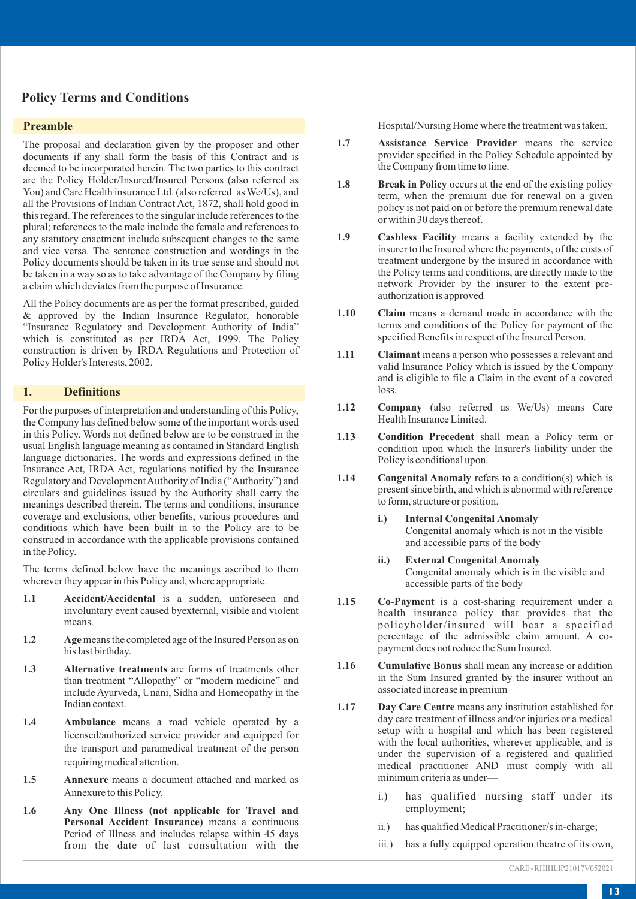## **Policy Terms and Conditions**

#### **Preamble**

The proposal and declaration given by the proposer and other documents if any shall form the basis of this Contract and is deemed to be incorporated herein. The two parties to this contract are the Policy Holder/Insured/Insured Persons (also referred as You) and Care Health insurance Ltd. (also referred as We/Us), and all the Provisions of Indian Contract Act, 1872, shall hold good in this regard. The references to the singular include references to the plural; references to the male include the female and references to any statutory enactment include subsequent changes to the same and vice versa. The sentence construction and wordings in the Policy documents should be taken in its true sense and should not be taken in a way so as to take advantage of the Company by filing a claim which deviates from the purpose of Insurance.

All the Policy documents are as per the format prescribed, guided & approved by the Indian Insurance Regulator, honorable "Insurance Regulatory and Development Authority of India" which is constituted as per IRDA Act, 1999. The Policy construction is driven by IRDA Regulations and Protection of Policy Holder's Interests, 2002.

#### **1. Definitions**

For the purposes of interpretation and understanding of this Policy, the Company has defined below some of the important words used in this Policy. Words not defined below are to be construed in the usual English language meaning as contained in Standard English language dictionaries. The words and expressions defined in the Insurance Act, IRDA Act, regulations notified by the Insurance Regulatory and Development Authority of India ("Authority") and circulars and guidelines issued by the Authority shall carry the meanings described therein. The terms and conditions, insurance coverage and exclusions, other benefits, various procedures and conditions which have been built in to the Policy are to be construed in accordance with the applicable provisions contained in the Policy.

The terms defined below have the meanings ascribed to them wherever they appear in this Policy and, where appropriate.

- **1.1 Accident/Accidental** is a sudden, unforeseen and involuntary event caused byexternal, visible and violent means.
- **1.2 Age**means the completed age of the Insured Person as on his last birthday.
- **1.3 Alternative treatments** are forms of treatments other than treatment "Allopathy" or "modern medicine" and include Ayurveda, Unani, Sidha and Homeopathy in the Indian context.
- **1.4 Ambulance** means a road vehicle operated by a licensed/authorized service provider and equipped for the transport and paramedical treatment of the person requiring medical attention.
- **1.5 Annexure** means a document attached and marked as Annexure to this Policy.
- **1.6 Any One Illness (not applicable for Travel and Personal Accident Insurance)** means a continuous Period of Illness and includes relapse within 45 days from the date of last consultation with the

Hospital/Nursing Home where the treatment was taken.

- **1.7 Assistance Service Provider** means the service provider specified in the Policy Schedule appointed by the Company from time to time.
- **1.8** Break in Policy occurs at the end of the existing policy term, when the premium due for renewal on a given policy is not paid on or before the premium renewal date or within 30 days thereof.
- **1.9 Cashless Facility** means a facility extended by the insurer to the Insured where the payments, of the costs of treatment undergone by the insured in accordance with the Policy terms and conditions, are directly made to the network Provider by the insurer to the extent preauthorization is approved
- **1.10 Claim** means a demand made in accordance with the terms and conditions of the Policy for payment of the specified Benefits in respect of the Insured Person.
- **1.11 Claimant** means a person who possesses a relevant and valid Insurance Policy which is issued by the Company and is eligible to file a Claim in the event of a covered loss.
- **1.12 Company** (also referred as We/Us) means Care Health Insurance Limited.
- **1.13 Condition Precedent** shall mean a Policy term or condition upon which the Insurer's liability under the Policy is conditional upon.
- **1.14** Congenital Anomaly refers to a condition(s) which is present since birth, and which is abnormal with reference to form, structure or position.
	- **i.) Internal Congenital Anomaly** Congenital anomaly which is not in the visible and accessible parts of the body
	- **ii.) External Congenital Anomaly**  Congenital anomaly which is in the visible and accessible parts of the body
- **1.15 Co-Payment** is a cost-sharing requirement under a health insurance policy that provides that the policyholder/insured will bear a specified percentage of the admissible claim amount. A copayment does not reduce the Sum Insured.
- **1.16 Cumulative Bonus** shall mean any increase or addition in the Sum Insured granted by the insurer without an associated increase in premium
- **1.17 Day Care Centre** means any institution established for day care treatment of illness and/or injuries or a medical setup with a hospital and which has been registered with the local authorities, wherever applicable, and is under the supervision of a registered and qualified medical practitioner AND must comply with all minimum criteria as under
	- i.) has qualified nursing staff under its employment;
	- ii.) has qualified Medical Practitioner/s in-charge;
	- iii.) has a fully equipped operation theatre of its own,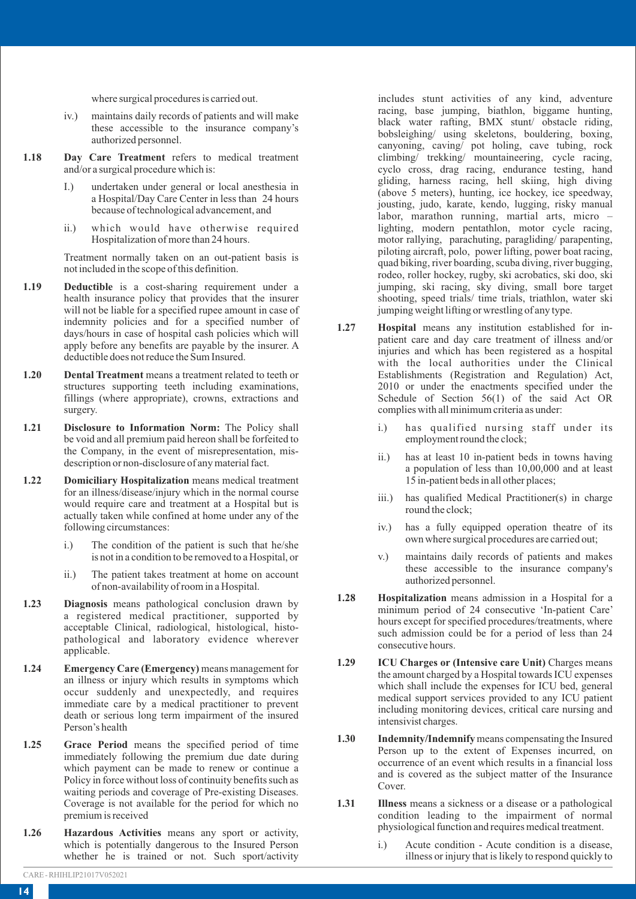where surgical procedures is carried out.

- iv.) maintains daily records of patients and will make these accessible to the insurance company's authorized personnel.
- **1.18 Day Care Treatment** refers to medical treatment and/or a surgical procedure which is:
	- I.) undertaken under general or local anesthesia in a Hospital/Day Care Center in less than 24 hours because of technological advancement, and
	- ii.) which would have otherwise required Hospitalization of more than 24 hours.

Treatment normally taken on an out-patient basis is not included in the scope of this definition.

- **1.19 Deductible** is a cost-sharing requirement under a health insurance policy that provides that the insurer will not be liable for a specified rupee amount in case of indemnity policies and for a specified number of days/hours in case of hospital cash policies which will apply before any benefits are payable by the insurer. A deductible does not reduce the Sum Insured.
- **1.20 Dental Treatment** means a treatment related to teeth or structures supporting teeth including examinations, fillings (where appropriate), crowns, extractions and surgery.
- **1.21 Disclosure to Information Norm:** The Policy shall be void and all premium paid hereon shall be forfeited to the Company, in the event of misrepresentation, misdescription or non-disclosure of any material fact.
- **1.22 Domiciliary Hospitalization** means medical treatment for an illness/disease/injury which in the normal course would require care and treatment at a Hospital but is actually taken while confined at home under any of the following circumstances:
	- i.) The condition of the patient is such that he/she is not in a condition to be removed to a Hospital, or
	- ii.) The patient takes treatment at home on account of non-availability of room in a Hospital.
- **1.23 Diagnosis** means pathological conclusion drawn by a registered medical practitioner, supported by acceptable Clinical, radiological, histological, histopathological and laboratory evidence wherever applicable.
- **1.24 Emergency Care (Emergency)** means management for an illness or injury which results in symptoms which occur suddenly and unexpectedly, and requires immediate care by a medical practitioner to prevent death or serious long term impairment of the insured Person's health
- **1.25 Grace Period** means the specified period of time immediately following the premium due date during which payment can be made to renew or continue a Policy in force without loss of continuity benefits such as waiting periods and coverage of Pre-existing Diseases. Coverage is not available for the period for which no premium is received
- **1.26 Hazardous Activities** means any sport or activity, which is potentially dangerous to the Insured Person whether he is trained or not. Such sport/activity

includes stunt activities of any kind, adventure racing, base jumping, biathlon, biggame hunting, black water rafting, BMX stunt/ obstacle riding, bobsleighing/ using skeletons, bouldering, boxing, canyoning, caving/ pot holing, cave tubing, rock climbing/ trekking/ mountaineering, cycle racing, cyclo cross, drag racing, endurance testing, hand gliding, harness racing, hell skiing, high diving (above 5 meters), hunting, ice hockey, ice speedway, jousting, judo, karate, kendo, lugging, risky manual labor, marathon running, martial arts, micro – lighting, modern pentathlon, motor cycle racing, motor rallying, parachuting, paragliding/ parapenting, piloting aircraft, polo, power lifting, power boat racing, quad biking, river boarding, scuba diving, river bugging, rodeo, roller hockey, rugby, ski acrobatics, ski doo, ski jumping, ski racing, sky diving, small bore target shooting, speed trials/ time trials, triathlon, water ski jumping weight lifting or wrestling of any type.

- **1.27 Hospital** means any institution established for inpatient care and day care treatment of illness and/or injuries and which has been registered as a hospital with the local authorities under the Clinical Establishments (Registration and Regulation) Act, 2010 or under the enactments specified under the Schedule of Section 56(1) of the said Act OR complies with all minimum criteria as under:
	- i.) has qualified nursing staff under its employment round the clock;
	- ii.) has at least 10 in-patient beds in towns having a population of less than 10,00,000 and at least 15 in-patient beds in all other places;
	- iii.) has qualified Medical Practitioner(s) in charge round the clock;
	- iv.) has a fully equipped operation theatre of its own where surgical procedures are carried out;
	- v.) maintains daily records of patients and makes these accessible to the insurance company's authorized personnel.
- **1.28 Hospitalization** means admission in a Hospital for a minimum period of 24 consecutive 'In-patient Care' hours except for specified procedures/treatments, where such admission could be for a period of less than 24 consecutive hours.
- **1.29 ICU Charges or (Intensive care Unit)** Charges means the amount charged by a Hospital towards ICU expenses which shall include the expenses for ICU bed, general medical support services provided to any ICU patient including monitoring devices, critical care nursing and intensivist charges.
- **1.30 Indemnity/Indemnify** means compensating the Insured Person up to the extent of Expenses incurred, on occurrence of an event which results in a financial loss and is covered as the subject matter of the Insurance Cover.
- **1.31 Illness** means a sickness or a disease or a pathological condition leading to the impairment of normal physiological function and requires medical treatment.
	- i.) Acute condition Acute condition is a disease, illness or injury that is likely to respond quickly to

CARE - RHIHLIP21017V052021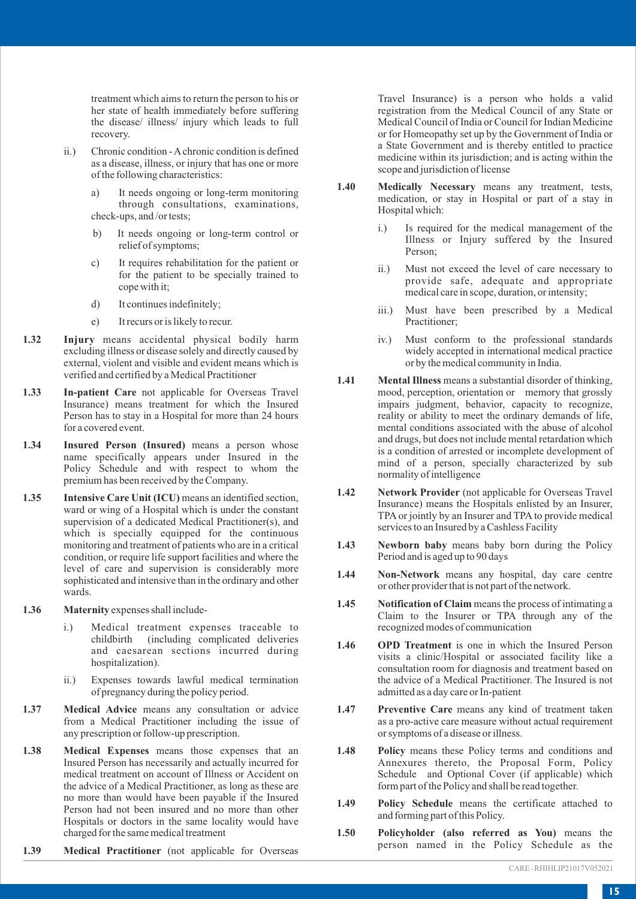treatment which aims to return the person to his or her state of health immediately before suffering the disease/ illness/ injury which leads to full recovery.

- ii.) Chronic condition Achronic condition is defined as a disease, illness, or injury that has one or more of the following characteristics:
	- a) It needs ongoing or long-term monitoring through consultations, examinations, check-ups, and /or tests;
	- b) It needs ongoing or long-term control or relief of symptoms;
	- c) It requires rehabilitation for the patient or for the patient to be specially trained to cope with it;
	- d) It continues indefinitely;
	- e) It recurs or is likely to recur.
- **1.32 Injury** means accidental physical bodily harm excluding illness or disease solely and directly caused by external, violent and visible and evident means which is verified and certified by a Medical Practitioner
- **1.33 In-patient Care** not applicable for Overseas Travel Insurance) means treatment for which the Insured Person has to stay in a Hospital for more than 24 hours for a covered event.
- **1.34 Insured Person (Insured)** means a person whose name specifically appears under Insured in the Policy Schedule and with respect to whom the premium has been received by the Company.
- **1.35 Intensive Care Unit (ICU)** means an identified section, ward or wing of a Hospital which is under the constant supervision of a dedicated Medical Practitioner(s), and which is specially equipped for the continuous monitoring and treatment of patients who are in a critical condition, or require life support facilities and where the level of care and supervision is considerably more sophisticated and intensive than in the ordinary and other wards.
- **1.36 Maternity** expenses shall include
	- i.) Medical treatment expenses traceable to childbirth (including complicated deliveries and caesarean sections incurred during hospitalization).
	- ii.) Expenses towards lawful medical termination of pregnancy during the policy period.
- **1.37 Medical Advice** means any consultation or advice from a Medical Practitioner including the issue of any prescription or follow-up prescription.
- **1.38 Medical Expenses** means those expenses that an Insured Person has necessarily and actually incurred for medical treatment on account of Illness or Accident on the advice of a Medical Practitioner, as long as these are no more than would have been payable if the Insured Person had not been insured and no more than other Hospitals or doctors in the same locality would have charged for the same medical treatment
- **1.39 Medical Practitioner** (not applicable for Overseas

Travel Insurance) is a person who holds a valid registration from the Medical Council of any State or Medical Council of India or Council for Indian Medicine or for Homeopathy set up by the Government of India or a State Government and is thereby entitled to practice medicine within its jurisdiction; and is acting within the scope and jurisdiction of license

- **1.40 Medically Necessary** means any treatment, tests, medication, or stay in Hospital or part of a stay in Hospital which:
	- i.) Is required for the medical management of the Illness or Injury suffered by the Insured Person;
	- ii.) Must not exceed the level of care necessary to provide safe, adequate and appropriate medical care in scope, duration, or intensity;
	- iii.) Must have been prescribed by a Medical Practitioner;
	- iv.) Must conform to the professional standards widely accepted in international medical practice or by the medical community in India.
- 1.41 **Mental Illness** means a substantial disorder of thinking, mood, perception, orientation or memory that grossly impairs judgment, behavior, capacity to recognize, reality or ability to meet the ordinary demands of life, mental conditions associated with the abuse of alcohol and drugs, but does not include mental retardation which is a condition of arrested or incomplete development of mind of a person, specially characterized by sub normality of intelligence
- **1.42 Network Provider** (not applicable for Overseas Travel Insurance) means the Hospitals enlisted by an Insurer, TPA or jointly by an Insurer and TPA to provide medical services to an Insured by a Cashless Facility
- **1.43 Newborn baby** means baby born during the Policy Period and is aged up to 90 days
- **1.44 Non-Network** means any hospital, day care centre or other provider that is not part of the network.
- **1.45 Notification of Claim** means the process of intimating a Claim to the Insurer or TPA through any of the recognized modes of communication
- **1.46 OPD Treatment** is one in which the Insured Person visits a clinic/Hospital or associated facility like a consultation room for diagnosis and treatment based on the advice of a Medical Practitioner. The Insured is not admitted as a day care or In-patient
- **1.47 Preventive Care** means any kind of treatment taken as a pro-active care measure without actual requirement or symptoms of a disease or illness.
- **1.48 Policy** means these Policy terms and conditions and Annexures thereto, the Proposal Form, Policy Schedule and Optional Cover (if applicable) which form part of the Policy and shall be read together.
- **1.49 Policy Schedule** means the certificate attached to and forming part of this Policy.
- **1.50 Policyholder (also referred as You)** means the person named in the Policy Schedule as the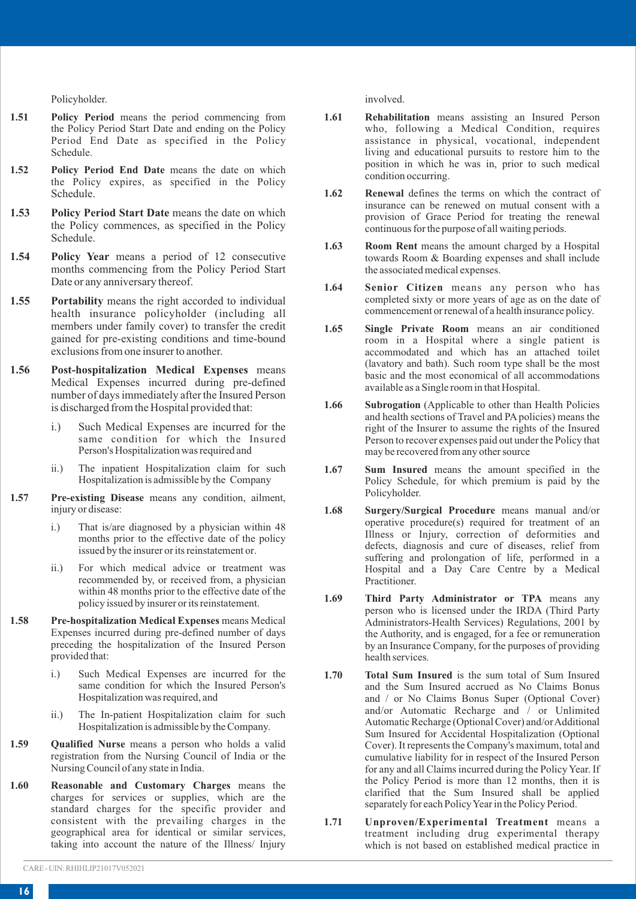Policyholder.

- **1.51 Policy Period** means the period commencing from the Policy Period Start Date and ending on the Policy Period End Date as specified in the Policy Schedule.
- **1.52 Policy Period End Date** means the date on which the Policy expires, as specified in the Policy Schedule.
- **1.53 Policy Period Start Date** means the date on which the Policy commences, as specified in the Policy Schedule.
- **1.54 Policy Year** means a period of 12 consecutive months commencing from the Policy Period Start Date or any anniversary thereof.
- **1.55 Portability** means the right accorded to individual health insurance policyholder (including all members under family cover) to transfer the credit gained for pre-existing conditions and time-bound exclusions from one insurer to another.
- **1.56 Post-hospitalization Medical Expenses** means Medical Expenses incurred during pre-defined number of days immediately after the Insured Person is discharged from the Hospital provided that:
	- i.) Such Medical Expenses are incurred for the same condition for which the Insured Person's Hospitalization was required and
	- ii.) The inpatient Hospitalization claim for such Hospitalization is admissible by the Company
- **1.57 Pre-existing Disease** means any condition, ailment, injury or disease:
	- i.) That is/are diagnosed by a physician within 48 months prior to the effective date of the policy issued by the insurer or its reinstatement or.
	- ii.) For which medical advice or treatment was recommended by, or received from, a physician within 48 months prior to the effective date of the policy issued by insurer or its reinstatement.
- **1.58 Pre-hospitalization Medical Expenses** means Medical Expenses incurred during pre-defined number of days preceding the hospitalization of the Insured Person provided that:
	- i.) Such Medical Expenses are incurred for the same condition for which the Insured Person's Hospitalization was required, and
	- ii.) The In-patient Hospitalization claim for such Hospitalization is admissible by the Company.
- **1.59 Qualified Nurse** means a person who holds a valid registration from the Nursing Council of India or the Nursing Council of any state in India.
- **1.60 Reasonable and Customary Charges** means the charges for services or supplies, which are the standard charges for the specific provider and consistent with the prevailing charges in the geographical area for identical or similar services, taking into account the nature of the Illness/ Injury

involved.

- **1.61 Rehabilitation** means assisting an Insured Person who, following a Medical Condition, requires assistance in physical, vocational, independent living and educational pursuits to restore him to the position in which he was in, prior to such medical condition occurring.
- **1.62 Renewal** defines the terms on which the contract of insurance can be renewed on mutual consent with a provision of Grace Period for treating the renewal continuous for the purpose of all waiting periods.
- 1.63 Room Rent means the amount charged by a Hospital towards Room & Boarding expenses and shall include the associated medical expenses.
- **1.64 Senior Citizen** means any person who has completed sixty or more years of age as on the date of commencement or renewal of a health insurance policy.
- **1.65 Single Private Room** means an air conditioned room in a Hospital where a single patient is accommodated and which has an attached toilet (lavatory and bath). Such room type shall be the most basic and the most economical of all accommodations available as a Single room in that Hospital.
- **1.66 Subrogation** (Applicable to other than Health Policies and health sections of Travel and PA policies) means the right of the Insurer to assume the rights of the Insured Person to recover expenses paid out under the Policy that may be recovered from any other source
- **1.67 Sum Insured** means the amount specified in the Policy Schedule, for which premium is paid by the Policyholder.
- **1.68 Surgery/Surgical Procedure** means manual and/or operative procedure(s) required for treatment of an Illness or Injury, correction of deformities and defects, diagnosis and cure of diseases, relief from suffering and prolongation of life, performed in a Hospital and a Day Care Centre by a Medical Practitioner.
- **1.69 Third Party Administrator or TPA** means any person who is licensed under the IRDA (Third Party Administrators-Health Services) Regulations, 2001 by the Authority, and is engaged, for a fee or remuneration by an Insurance Company, for the purposes of providing health services.
- **1.70 Total Sum Insured** is the sum total of Sum Insured and the Sum Insured accrued as No Claims Bonus and / or No Claims Bonus Super (Optional Cover) and/or Automatic Recharge and / or Unlimited Automatic Recharge (Optional Cover) and/or Additional Sum Insured for Accidental Hospitalization (Optional Cover). It represents the Company's maximum, total and cumulative liability for in respect of the Insured Person for any and all Claims incurred during the Policy Year. If the Policy Period is more than 12 months, then it is clarified that the Sum Insured shall be applied separately for each Policy Year in the Policy Period.
- **1.71 Unproven/Experimental Treatment** means a treatment including drug experimental therapy which is not based on established medical practice in

CARE - UIN: RHIHLIP21017V052021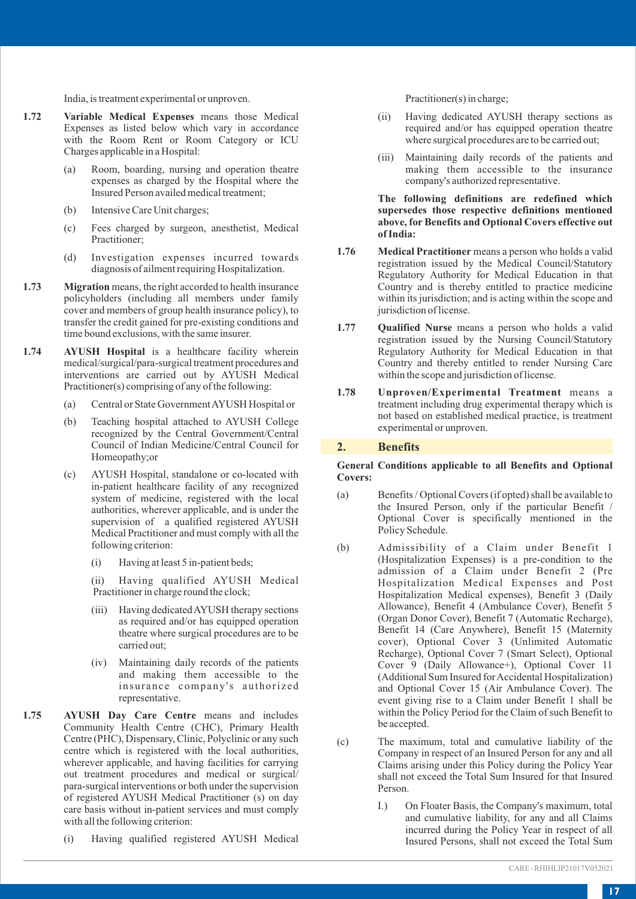India, is treatment experimental or unproven.

- **1.72 Variable Medical Expenses** means those Medical Expenses as listed below which vary in accordance with the Room Rent or Room Category or ICU Charges applicable in a Hospital:
	- (a) Room, boarding, nursing and operation theatre expenses as charged by the Hospital where the Insured Person availed medical treatment;
	- (b) Intensive Care Unit charges;
	- (c) Fees charged by surgeon, anesthetist, Medical Practitioner;
	- (d) Investigation expenses incurred towards diagnosis of ailment requiring Hospitalization.
- **1.73 Migration** means, the right accorded to health insurance policyholders (including all members under family cover and members of group health insurance policy), to transfer the credit gained for pre-existing conditions and time bound exclusions, with the same insurer.
- **1.74 AYUSH Hospital** is a healthcare facility wherein medical/surgical/para-surgical treatment procedures and interventions are carried out by AYUSH Medical Practitioner(s) comprising of any of the following:
	- (a) Central or State Government AYUSH Hospital or
	- (b) Teaching hospital attached to AYUSH College recognized by the Central Government/Central Council of Indian Medicine/Central Council for Homeopathy;or
	- (c) AYUSH Hospital, standalone or co-located with in-patient healthcare facility of any recognized system of medicine, registered with the local authorities, wherever applicable, and is under the supervision of a qualified registered AYUSH Medical Practitioner and must comply with all the following criterion:
		- (i) Having at least 5 in-patient beds;

(ii) Having qualified AYUSH Medical Practitioner in charge round the clock;

- (iii) Having dedicated AYUSH therapy sections as required and/or has equipped operation theatre where surgical procedures are to be carried out;
- (iv) Maintaining daily records of the patients and making them accessible to the insurance company's authorized representative.
- **1.75 AYUSH Day Care Centre** means and includes Community Health Centre (CHC), Primary Health Centre (PHC), Dispensary, Clinic, Polyclinic or any such centre which is registered with the local authorities, wherever applicable, and having facilities for carrying out treatment procedures and medical or surgical/ para-surgical interventions or both under the supervision of registered AYUSH Medical Practitioner (s) on day care basis without in-patient services and must comply with all the following criterion:
	- (i) Having qualified registered AYUSH Medical

Practitioner(s) in charge;

- (ii) Having dedicated AYUSH therapy sections as required and/or has equipped operation theatre where surgical procedures are to be carried out;
- (iii) Maintaining daily records of the patients and making them accessible to the insurance company's authorized representative.

**The following definitions are redefined which supersedes those respective definitions mentioned above, for Benefits and Optional Covers effective out of India:**

- **1.76 Medical Practitioner** means a person who holds a valid registration issued by the Medical Council/Statutory Regulatory Authority for Medical Education in that Country and is thereby entitled to practice medicine within its jurisdiction; and is acting within the scope and jurisdiction of license.
- **1.77 Qualified Nurse** means a person who holds a valid registration issued by the Nursing Council/Statutory Regulatory Authority for Medical Education in that Country and thereby entitled to render Nursing Care within the scope and jurisdiction of license.
- **1.78 Unproven/Experimental Treatment** means a treatment including drug experimental therapy which is not based on established medical practice, is treatment experimental or unproven.

#### **2. Benefits**

#### **General Conditions applicable to all Benefits and Optional Covers:**

- (a) Benefits / Optional Covers (if opted) shall be available to the Insured Person, only if the particular Benefit / Optional Cover is specifically mentioned in the Policy Schedule.
- (b) Admissibility of a Claim under Benefit 1 (Hospitalization Expenses) is a pre-condition to the admission of a Claim under Benefit 2 (Pre Hospitalization Medical Expenses and Post Hospitalization Medical expenses), Benefit 3 (Daily Allowance), Benefit 4 (Ambulance Cover), Benefit 5 (Organ Donor Cover), Benefit 7 (Automatic Recharge), Benefit 14 (Care Anywhere), Benefit 15 (Maternity cover), Optional Cover 3 (Unlimited Automatic Recharge), Optional Cover 7 (Smart Select), Optional Cover 9 (Daily Allowance+), Optional Cover 11 (Additional Sum Insured for Accidental Hospitalization) and Optional Cover 15 (Air Ambulance Cover). The event giving rise to a Claim under Benefit 1 shall be within the Policy Period for the Claim of such Benefit to be accepted.
- (c) The maximum, total and cumulative liability of the Company in respect of an Insured Person for any and all Claims arising under this Policy during the Policy Year shall not exceed the Total Sum Insured for that Insured Person.
	- I.) On Floater Basis, the Company's maximum, total and cumulative liability, for any and all Claims incurred during the Policy Year in respect of all Insured Persons, shall not exceed the Total Sum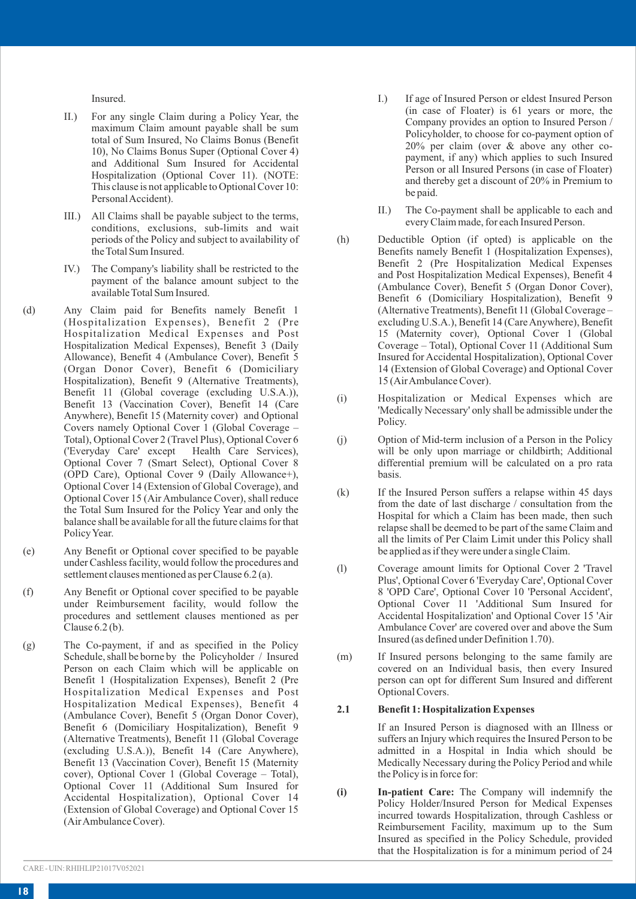Insured.

- II.) For any single Claim during a Policy Year, the maximum Claim amount payable shall be sum total of Sum Insured, No Claims Bonus (Benefit 10), No Claims Bonus Super (Optional Cover 4) and Additional Sum Insured for Accidental Hospitalization (Optional Cover 11). (NOTE: This clause is not applicable to Optional Cover 10: Personal Accident).
- III.) All Claims shall be payable subject to the terms, conditions, exclusions, sub-limits and wait periods of the Policy and subject to availability of the Total Sum Insured.
- IV.) The Company's liability shall be restricted to the payment of the balance amount subject to the available Total Sum Insured.
- (d) Any Claim paid for Benefits namely Benefit 1 (Hospitalization Expenses), Benefit 2 (Pre Hospitalization Medical Expenses and Post Hospitalization Medical Expenses), Benefit 3 (Daily Allowance), Benefit 4 (Ambulance Cover), Benefit 5 (Organ Donor Cover), Benefit 6 (Domiciliary Hospitalization), Benefit 9 (Alternative Treatments), Benefit 11 (Global coverage (excluding U.S.A.)), Benefit 13 (Vaccination Cover), Benefit 14 (Care Anywhere), Benefit 15 (Maternity cover) and Optional Covers namely Optional Cover 1 (Global Coverage – Total), Optional Cover 2 (Travel Plus), Optional Cover 6 ('Everyday Care' except Health Care Services), Optional Cover 7 (Smart Select), Optional Cover 8 (OPD Care), Optional Cover 9 (Daily Allowance+), Optional Cover 14 (Extension of Global Coverage), and Optional Cover 15 (Air Ambulance Cover), shall reduce the Total Sum Insured for the Policy Year and only the balance shall be available for all the future claims for that Policy Year.
- (e) Any Benefit or Optional cover specified to be payable under Cashless facility, would follow the procedures and settlement clauses mentioned as per Clause 6.2 (a).
- (f) Any Benefit or Optional cover specified to be payable under Reimbursement facility, would follow the procedures and settlement clauses mentioned as per Clause  $6.2$  (b).
- (g) The Co-payment, if and as specified in the Policy Schedule, shall be borne by the Policyholder / Insured Person on each Claim which will be applicable on Benefit 1 (Hospitalization Expenses), Benefit 2 (Pre Hospitalization Medical Expenses and Post Hospitalization Medical Expenses), Benefit 4 (Ambulance Cover), Benefit 5 (Organ Donor Cover), Benefit 6 (Domiciliary Hospitalization), Benefit 9 (Alternative Treatments), Benefit 11 (Global Coverage (excluding U.S.A.)), Benefit 14 (Care Anywhere), Benefit 13 (Vaccination Cover), Benefit 15 (Maternity cover), Optional Cover 1 (Global Coverage – Total), Optional Cover 11 (Additional Sum Insured for Accidental Hospitalization), Optional Cover 14 (Extension of Global Coverage) and Optional Cover 15 (Air Ambulance Cover).
- I.) If age of Insured Person or eldest Insured Person (in case of Floater) is 61 years or more, the Company provides an option to Insured Person / Policyholder, to choose for co-payment option of 20% per claim (over & above any other copayment, if any) which applies to such Insured Person or all Insured Persons (in case of Floater) and thereby get a discount of 20% in Premium to be paid.
- II.) The Co-payment shall be applicable to each and every Claim made, for each Insured Person.
- (h) Deductible Option (if opted) is applicable on the Benefits namely Benefit 1 (Hospitalization Expenses), Benefit 2 (Pre Hospitalization Medical Expenses and Post Hospitalization Medical Expenses), Benefit 4 (Ambulance Cover), Benefit 5 (Organ Donor Cover), Benefit 6 (Domiciliary Hospitalization), Benefit 9 (Alternative Treatments), Benefit 11 (Global Coverage – excluding U.S.A.), Benefit 14 (Care Anywhere), Benefit 15 (Maternity cover), Optional Cover 1 (Global Coverage – Total), Optional Cover 11 (Additional Sum Insured for Accidental Hospitalization), Optional Cover 14 (Extension of Global Coverage) and Optional Cover 15 (Air Ambulance Cover).
- (i) Hospitalization or Medical Expenses which are 'Medically Necessary' only shall be admissible under the Policy.
- (j) Option of Mid-term inclusion of a Person in the Policy will be only upon marriage or childbirth; Additional differential premium will be calculated on a pro rata basis.
- (k) If the Insured Person suffers a relapse within 45 days from the date of last discharge / consultation from the Hospital for which a Claim has been made, then such relapse shall be deemed to be part of the same Claim and all the limits of Per Claim Limit under this Policy shall be applied as if they were under a single Claim.
- (l) Coverage amount limits for Optional Cover 2 'Travel Plus', Optional Cover 6 'Everyday Care', Optional Cover 8 'OPD Care', Optional Cover 10 'Personal Accident', Optional Cover 11 'Additional Sum Insured for Accidental Hospitalization' and Optional Cover 15 'Air Ambulance Cover' are covered over and above the Sum Insured (as defined under Definition 1.70).
- (m) If Insured persons belonging to the same family are covered on an Individual basis, then every Insured person can opt for different Sum Insured and different Optional Covers.

### **2.1 Benefit 1: Hospitalization Expenses**

If an Insured Person is diagnosed with an Illness or suffers an Injury which requires the Insured Person to be admitted in a Hospital in India which should be Medically Necessary during the Policy Period and while the Policy is in force for:

**(i) In-patient Care:** The Company will indemnify the Policy Holder/Insured Person for Medical Expenses incurred towards Hospitalization, through Cashless or Reimbursement Facility, maximum up to the Sum Insured as specified in the Policy Schedule, provided that the Hospitalization is for a minimum period of 24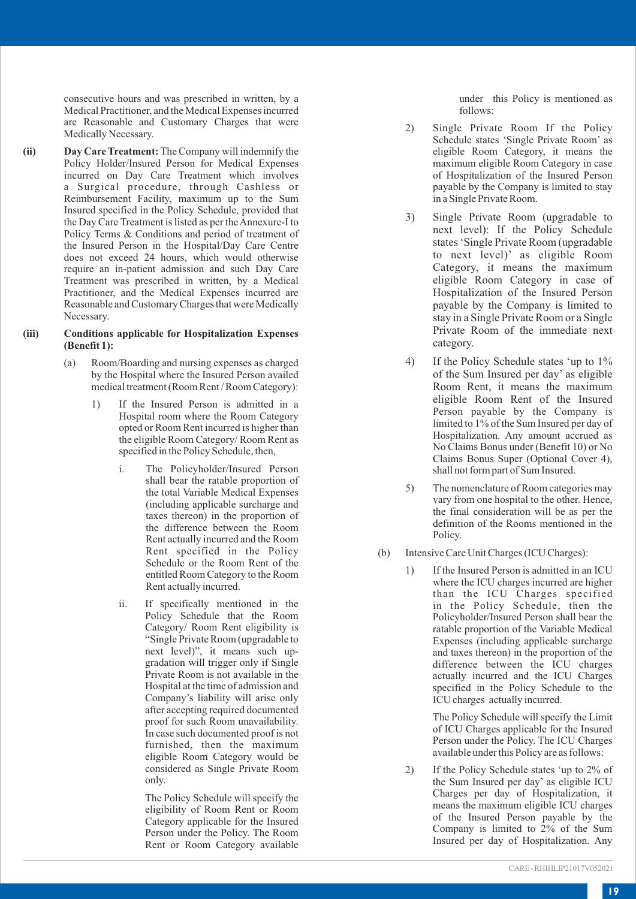consecutive hours and was prescribed in written, by a Medical Practitioner, and the Medical Expenses incurred are Reasonable and Customary Charges that were Medically Necessary.

**(ii) Day Care Treatment:** The Company will indemnify the Policy Holder/Insured Person for Medical Expenses incurred on Day Care Treatment which involves a Surgical procedure, through Cashless or Reimbursement Facility, maximum up to the Sum Insured specified in the Policy Schedule, provided that the Day Care Treatment is listed as per the Annexure-I to Policy Terms & Conditions and period of treatment of the Insured Person in the Hospital/Day Care Centre does not exceed 24 hours, which would otherwise<br>require an in-patient admission and such Day Care Treatment was prescribed in written, by a Medical Practitioner, and the Medical Expenses incurred are Reasonable and Customary Charges that were Medically Necessary .

#### **(iii) Conditions applicable for Hospitalization Expenses (Benefit 1):**

- (a) Room/Boarding and nursing expenses as charged by the Hospital where the Insured Person availed medical treatment (Room Rent / Room Category):
	- 1) If the Insured Person is admitted in a Hospital room where the Room Category opted or Room Rent incurred is higher than the eligible Room Category/ Room Rent as specified in the Policy Schedule, then,
		- i. The Policyholder/Insured Person shall bear the ratable proportion of the total Variable Medical Expenses (including applicable surcharge and taxes thereon) in the proportion of the difference between the Room<br>Rent actually incurred and the Room Rent specified in the Policy Schedule or the Room Rent of the entitled Room Category to the Room Rent actually incurred.
		- ii. If specifically mentioned in the Policy Schedule that the Room Category/ Room Rent eligibility is "Single Private Room (upgradable to next level)", it means such upgradation will trigger only if Single Private Room is not available in the Hospital at the time of admission and Company's liability will arise only after accepting required documented proof for such Room unavailability.<br>In case such documented proof is not furnished, then the maximum eligible Room Category would be considered as Single Private Room only.

The Policy Schedule will specify the eligibility of Room Rent or Room Category applicable for the Insured Person under the Policy. The Room Rent or Room Category available under this Policy is mentioned as follows:

- 2) Single Private Room If the Policy Schedule states 'Single Private Room' as eligible Room Category, it means the maximum eligible Room Category in case of Hospitalization of the Insured Person payable by the Company is limited to stay in a Single Private Room.
- 3) Single Private Room (upgradable to next level): If the Policy Schedule<br>states 'Single Private Room (upgradable to next level)' as eligible Room Category, it means the maximum eligible Room Category in case of Hospitalization of the Insured Person payable by the Company is limited to stay in a Single Private Room or a Single Private Room of the immediate next category .
- 4) If the Policy Schedule states 'up to 1% of the Sum Insured per day' as eligible Room Rent, it means the maximum eligible Room Rent of the Insured Person payable by the Company is limited to 1% of the Sum Insured per day of Hospitalization. Any amount accrued as No Claims Bonus under (Benefit 10) or No Claims Bonus Super (Optional Cover 4), shall not form part of Sum Insured.
- 5) The nomenclature of Room categories may vary from one hospital to the other. Hence, the final consideration will be as per the definition of the Rooms mentioned in the Policy.
- (b) Intensive Care Unit Charges (ICU Charges):
	- 1) If the Insured Person is admitted in an ICU<br>where the ICU charges incurred are higher than the ICU Charges specified in the Policy Schedule, then the Policyholder/Insured Person shall bear the ratable proportion of the Variable Medical Expenses (including applicable surcharge and taxes thereon) in the proportion of the difference between the ICU charges actually incurred and the ICU Charges specified in the Policy Schedule to the ICU charges actually incurred.

The Policy Schedule will specify the Limit of ICU Charges applicable for the Insured Person under the Policy. The ICU Charges available under this Policy are as follows:

2) If the Policy Schedule states 'up to 2% of the Sum Insured per day' as eligible ICU Charges per day of Hospitalization, it means the maximum eligible ICU charges of the Insured Person payable by the Company is limited to 2% of the Sum Insured per day of Hospitalization. Any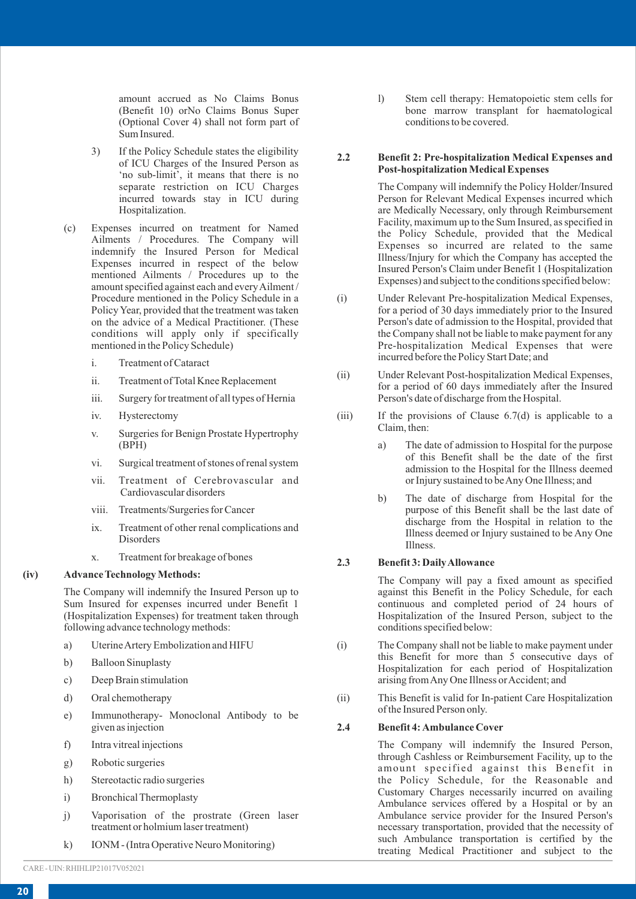amount accrued as No Claims Bonus (Benefit 10) orNo Claims Bonus Super (Optional Cover 4) shall not form part of Sum Insured.

- 3) If the Policy Schedule states the eligibility of ICU Charges of the Insured Person as 'no sub-limit', it means that there is no separate restriction on ICU Charges incurred towards stay in ICU during Hospitalization.
- (c) Expenses incurred on treatment for Named Ailments / Procedures. The Company will indemnify the Insured Person for Medical Expenses incurred in respect of the below mentioned Ailments / Procedures up to the amount specified against each and every Ailment / Procedure mentioned in the Policy Schedule in a Policy Year, provided that the treatment was taken on the advice of a Medical Practitioner. (These conditions will apply only if specifically mentioned in the Policy Schedule)
	- i. Treatment of Cataract
	- ii. Treatment of Total Knee Replacement
	- iii. Surgery for treatment of all types of Hernia
	- iv. Hysterectomy
	- v. Surgeries for Benign Prostate Hypertrophy (BPH)
	- vi. Surgical treatment of stones of renal system
	- vii. Treatment of Cerebrovascular and Cardiovascular disorders
	- viii. Treatments/Surgeries for Cancer
	- ix. Treatment of other renal complications and Disorders
	- x. Treatment for breakage of bones

## **(iv) Advance Technology Methods:**

The Company will indemnify the Insured Person up to Sum Insured for expenses incurred under Benefit 1 (Hospitalization Expenses) for treatment taken through following advance technology methods:

- a) Uterine Artery Embolization and HIFU
- b) Balloon Sinuplasty
- c) Deep Brain stimulation
- d) Oral chemotherapy
- e) Immunotherapy- Monoclonal Antibody to be given as injection
- f) Intra vitreal injections
- g) Robotic surgeries
- h) Stereotactic radio surgeries
- i) Bronchical Thermoplasty
- j) Vaporisation of the prostrate (Green laser treatment or holmium laser treatment)
- k) IONM (Intra Operative Neuro Monitoring)

l) Stem cell therapy: Hematopoietic stem cells for bone marrow transplant for haematological conditions to be covered.

#### **2.2 Benefit 2: Pre-hospitalization Medical Expenses and Post-hospitalization Medical Expenses**

The Company will indemnify the Policy Holder/Insured Person for Relevant Medical Expenses incurred which are Medically Necessary, only through Reimbursement Facility, maximum up to the Sum Insured, as specified in the Policy Schedule, provided that the Medical Expenses so incurred are related to the same Illness/Injury for which the Company has accepted the Insured Person's Claim under Benefit 1 (Hospitalization Expenses) and subject to the conditions specified below:

- (i) Under Relevant Pre-hospitalization Medical Expenses, for a period of 30 days immediately prior to the Insured Person's date of admission to the Hospital, provided that the Company shall not be liable to make payment for any Pre-hospitalization Medical Expenses that were incurred before the Policy Start Date; and
- (ii) Under Relevant Post-hospitalization Medical Expenses, for a period of 60 days immediately after the Insured Person's date of discharge from the Hospital.
- (iii) If the provisions of Clause 6.7(d) is applicable to a Claim, then:
	- a) The date of admission to Hospital for the purpose of this Benefit shall be the date of the first admission to the Hospital for the Illness deemed or Injury sustained to be Any One Illness; and
	- b) The date of discharge from Hospital for the purpose of this Benefit shall be the last date of discharge from the Hospital in relation to the Illness deemed or Injury sustained to be Any One Illness.

## **2.3 Benefit 3: Daily Allowance**

The Company will pay a fixed amount as specified against this Benefit in the Policy Schedule, for each continuous and completed period of 24 hours of Hospitalization of the Insured Person, subject to the conditions specified below:

- (i) The Company shall not be liable to make payment under this Benefit for more than 5 consecutive days of Hospitalization for each period of Hospitalization arising from Any One Illness or Accident; and
- (ii) This Benefit is valid for In-patient Care Hospitalization of the Insured Person only.

#### **2.4 Benefit 4: Ambulance Cover**

The Company will indemnify the Insured Person, through Cashless or Reimbursement Facility, up to the amount specified against this Benefit in the Policy Schedule, for the Reasonable and Customary Charges necessarily incurred on availing Ambulance services offered by a Hospital or by an Ambulance service provider for the Insured Person's necessary transportation, provided that the necessity of such Ambulance transportation is certified by the treating Medical Practitioner and subject to the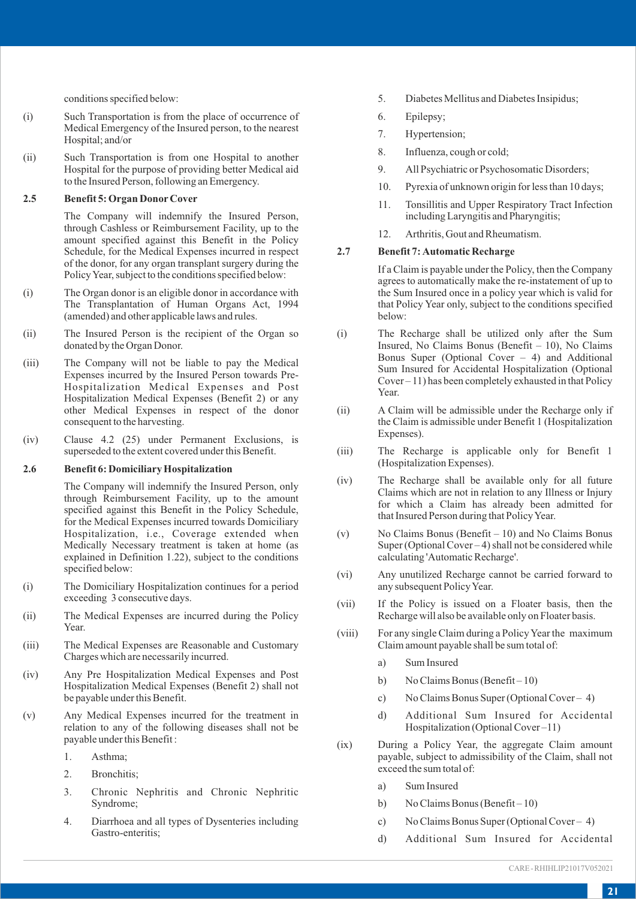conditions specified below:

- (i) Such Transportation is from the place of occurrence of Medical Emergency of the Insured person, to the nearest Hospital; and/or
- (ii) Such Transportation is from one Hospital to another Hospital for the purpose of providing better Medical aid to the Insured Person, following an Emergency.

## **2.5 Benefit 5: Organ DonorCover**

The Company will indemnify the Insured Person, through Cashless or Reimbursement Facility, up to the amount specified against this Benefit in the Policy Schedule, for the Medical Expenses incurred in respect of the donor, for any organ transplant surgery during the Policy Year, subject to the conditions specified below:

- (i) The Organ donor is an eligible donor in accordance with The Transplantation of Human Organs Act, 1994 (amended) and other applicable laws and rules.
- (ii) The Insured Person is the recipient of the Organ so donated by the Organ Donor.
- (iii) The Company will not be liable to pay the Medical Expenses incurred by the Insured Person towards Pre-Hospitalization Medical Expenses and Post Hospitalization Medical Expenses (Benefit 2) or any other Medical Expenses in respect of the donor consequent to the harvesting.
- (iv) Clause 4.2 (25) under Permanent Exclusions, is superseded to the extent covered under this Benefit.

#### **2.6 Benefit 6: Domiciliary Hospitalization**

The Company will indemnify the Insured Person, only through Reimbursement Facility, up to the amount specified against this Benefit in the Policy Schedule, for the Medical Expenses incurred towards Domiciliary Hospitalization, i.e., Coverage extended when Medically Necessary treatment is taken at home (as explained in Definition 1.22), subject to the conditions specified below:

- (i) The Domiciliary Hospitalization continues for a period exceeding 3 consecutive days.
- (ii) The Medical Expenses are incurred during the Policy Year.
- (iii) The Medical Expenses are Reasonable and Customary Charges which are necessarily incurred.
- (iv) Any Pre Hospitalization Medical Expenses and Post Hospitalization Medical Expenses (Benefit 2) shall not be payable under this Benefit.
- (v) Any Medical Expenses incurred for the treatment in relation to any of the following diseases shall not be payable under this Benefit :
	- 1. Asthma;
	- 2. Bronchitis;
	- 3. Chronic Nephritis and Chronic Nephritic Syndrome;
	- 4. Diarrhoea and all types of Dysenteries including Gastro-enteritis;
- 5. Diabetes Mellitus and Diabetes Insipidus;
- 6. Epilepsy;
- 7. Hypertension;
- 8. Influenza, cough or cold;
- 9. All Psychiatric or Psychosomatic Disorders;
- 10. Pyrexia of unknown origin for less than 10 days;
- 11. Tonsillitis and Upper Respiratory Tract Infection including Laryngitis and Pharyngitis;
- 12. Arthritis, Gout and Rheumatism.

## **2.7 Benefit 7: Automatic Recharge**

If a Claim is payable under the Policy, then the Company agrees to automatically make the re-instatement of up to the Sum Insured once in a policy year which is valid for that Policy Year only, subject to the conditions specified below:

- (i) The Recharge shall be utilized only after the Sum Insured, No Claims Bonus (Benefit – 10), No Claims Bonus Super (Optional Cover – 4) and Additional Sum Insured for Accidental Hospitalization (Optional Cover – 11) has been completely exhausted in that Policy Year.
- (ii) A Claim will be admissible under the Recharge only if the Claim is admissible under Benefit 1 (Hospitalization Expenses).
- (iii) The Recharge is applicable only for Benefit 1 (Hospitalization Expenses).
- (iv) The Recharge shall be available only for all future Claims which are not in relation to any Illness or Injury for which a Claim has already been admitted for that Insured Person during that Policy Year.
- (v) No Claims Bonus (Benefit 10) and No Claims Bonus Super (Optional Cover – 4) shall not be considered while calculating 'Automatic Recharge'.
- (vi) Any unutilized Recharge cannot be carried forward to any subsequent Policy Year.
- (vii) If the Policy is issued on a Floater basis, then the Recharge will also be available only on Floater basis.
- (viii) For any single Claim during a Policy Year the maximum Claim amount payable shall be sum total of:
	- a) Sum Insured
	- b) No Claims Bonus (Benefit 10)
	- c) No Claims Bonus Super (Optional Cover 4)
	- d) Additional Sum Insured for Accidental Hospitalization (Optional Cover –11)
- (ix) During a Policy Year, the aggregate Claim amount payable, subject to admissibility of the Claim, shall not exceed the sum total of:
	- a) Sum Insured
	- b) No Claims Bonus (Benefit 10)
	- c) No Claims Bonus Super (Optional Cover 4)
	- d) Additional Sum Insured for Accidental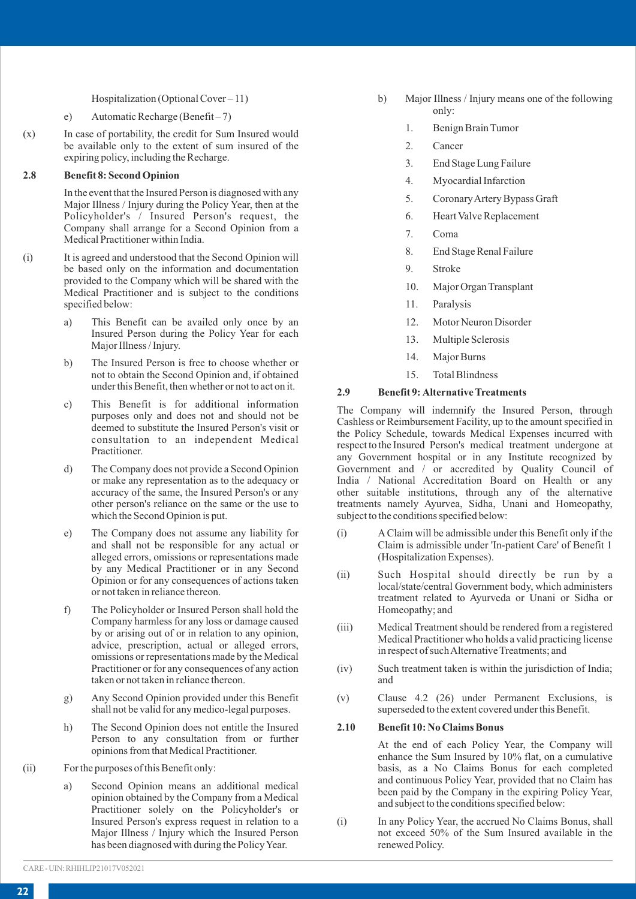Hospitalization (Optional Cover – 11)

## e) Automatic Recharge (Benefit – 7)

(x) In case of portability, the credit for Sum Insured would be available only to the extent of sum insured of the expiring policy, including the Recharge.

## **2.8 Benefit 8: Second Opinion**

In the event that the Insured Person is diagnosed with any Major Illness / Injury during the Policy Year, then at the Policyholder's / Insured Person's request, the Company shall arrange for a Second Opinion from a Medical Practitioner within India.

- (i) It is agreed and understood that the Second Opinion will be based only on the information and documentation provided to the Company which will be shared with the Medical Practitioner and is subject to the conditions specified below:
	- a) This Benefit can be availed only once by an Insured Person during the Policy Year for each Major Illness / Injury.
	- b) The Insured Person is free to choose whether or not to obtain the Second Opinion and, if obtained under this Benefit, then whether or not to act on it.
	- c) This Benefit is for additional information purposes only and does not and should not be deemed to substitute the Insured Person's visit or consultation to an independent Medical Practitioner.
	- d) The Company does not provide a Second Opinion or make any representation as to the adequacy or accuracy of the same, the Insured Person's or any other person's reliance on the same or the use to which the Second Opinion is put.
	- e) The Company does not assume any liability for and shall not be responsible for any actual or alleged errors, omissions or representations made by any Medical Practitioner or in any Second Opinion or for any consequences of actions taken or not taken in reliance thereon.
	- f) The Policyholder or Insured Person shall hold the Company harmless for any loss or damage caused by or arising out of or in relation to any opinion, advice, prescription, actual or alleged errors, omissions or representations made by the Medical Practitioner or for any consequences of any action taken or not taken in reliance thereon.
	- g) Any Second Opinion provided under this Benefit shall not be valid for any medico-legal purposes.
	- h) The Second Opinion does not entitle the Insured Person to any consultation from or further opinions from that Medical Practitioner.
- (ii) For the purposes of this Benefit only:
	- a) Second Opinion means an additional medical opinion obtained by the Company from a Medical Practitioner solely on the Policyholder's or Insured Person's express request in relation to a Major Illness / Injury which the Insured Person has been diagnosed with during the Policy Year.
- b) Major Illness / Injury means one of the following only:
	- 1. Benign Brain Tumor
	- 2. Cancer
	- 3. End Stage Lung Failure
	- 4. Myocardial Infarction
	- 5. Coronary Artery Bypass Graft
	- 6. Heart Valve Replacement
	- 7. Coma
	- 8. End Stage Renal Failure
	- 9. Stroke
	- 10. Major Organ Transplant
	- 11. Paralysis
	- 12. Motor Neuron Disorder
	- 13. Multiple Sclerosis
	- 14. Major Burns
	- 15. Total Blindness

## **2.9 Benefit 9: Alternative Treatments**

The Company will indemnify the Insured Person, through Cashless or Reimbursement Facility, up to the amount specified in the Policy Schedule, towards Medical Expenses incurred with respect to the Insured Person's medical treatment undergone at any Government hospital or in any Institute recognized by Government and / or accredited by Quality Council of India / National Accreditation Board on Health or any other suitable institutions, through any of the alternative treatments namely Ayurvea, Sidha, Unani and Homeopathy, subject to the conditions specified below:

- (i) AClaim will be admissible under this Benefit only if the Claim is admissible under 'In-patient Care' of Benefit 1 (Hospitalization Expenses).
- (ii) Such Hospital should directly be run by a local/state/central Government body, which administers treatment related to Ayurveda or Unani or Sidha or Homeopathy; and
- (iii) Medical Treatment should be rendered from a registered Medical Practitioner who holds a valid practicing license in respect of such Alternative Treatments; and
- (iv) Such treatment taken is within the jurisdiction of India; and
- (v) Clause 4.2 (26) under Permanent Exclusions, is superseded to the extent covered under this Benefit.

#### **2.10 Benefit 10: No Claims Bonus**

At the end of each Policy Year, the Company will enhance the Sum Insured by 10% flat, on a cumulative basis, as a No Claims Bonus for each completed and continuous Policy Year, provided that no Claim has been paid by the Company in the expiring Policy Year, and subject to the conditions specified below:

(i) In any Policy Year, the accrued No Claims Bonus, shall not exceed 50% of the Sum Insured available in the renewed Policy.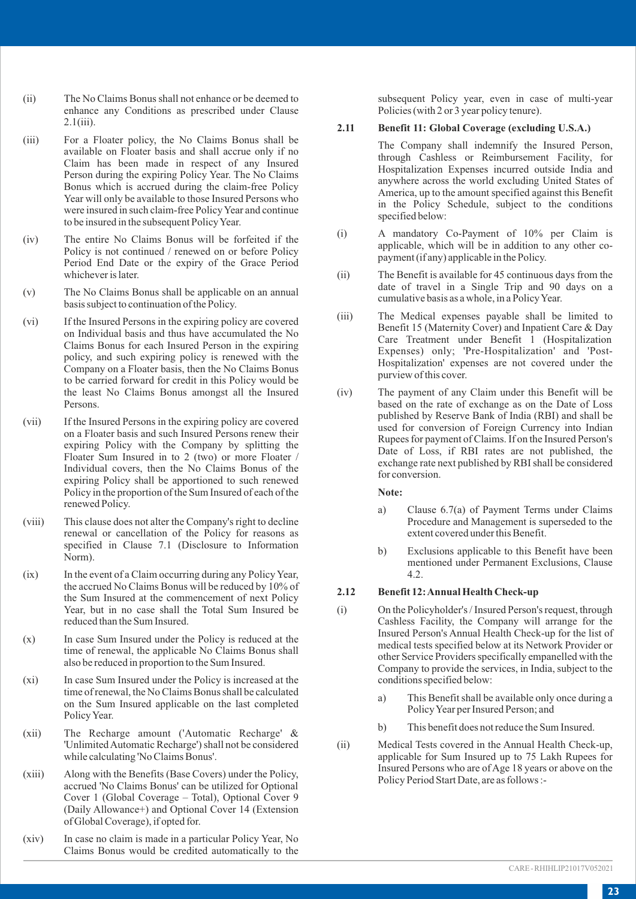- (ii) The No Claims Bonus shall not enhance or be deemed to enhance any Conditions as prescribed under Clause 2.1(iii).
- (iii) For a Floater policy, the No Claims Bonus shall be available on Floater basis and shall accrue only if no Claim has been made in respect of any Insured Person during the expiring Policy Year. The No Claims Bonus which is accrued during the claim-free Policy Year will only be available to those Insured Persons who were insured in such claim-free Policy Year and continue to be insured in the subsequent Policy Year.
- (iv) The entire No Claims Bonus will be forfeited if the Policy is not continued / renewed on or before Policy Period End Date or the expiry of the Grace Period whichever is later.
- (v) The No Claims Bonus shall be applicable on an annual basis subject to continuation of the Policy.
- (vi) If the Insured Persons in the expiring policy are covered on Individual basis and thus have accumulated the No Claims Bonus for each Insured Person in the expiring policy, and such expiring policy is renewed with the Company on a Floater basis, then the No Claims Bonus to be carried forward for credit in this Policy would be the least No Claims Bonus amongst all the Insured Persons.
- (vii) If the Insured Persons in the expiring policy are covered on a Floater basis and such Insured Persons renew their expiring Policy with the Company by splitting the Floater Sum Insured in to 2 (two) or more Floater / Individual covers, then the No Claims Bonus of the expiring Policy shall be apportioned to such renewed Policy in the proportion of the Sum Insured of each of the renewed Policy.
- (viii) This clause does not alter the Company's right to decline renewal or cancellation of the Policy for reasons as specified in Clause 7.1 (Disclosure to Information Norm).
- (ix) In the event of a Claim occurring during any Policy Year, the accrued No Claims Bonus will be reduced by 10% of the Sum Insured at the commencement of next Policy Year, but in no case shall the Total Sum Insured be reduced than the Sum Insured.
- (x) In case Sum Insured under the Policy is reduced at the time of renewal, the applicable No Claims Bonus shall also be reduced in proportion to the Sum Insured.
- (xi) In case Sum Insured under the Policy is increased at the time of renewal, the No Claims Bonus shall be calculated on the Sum Insured applicable on the last completed Policy Year.
- (xii) The Recharge amount ('Automatic Recharge' & 'Unlimited Automatic Recharge') shall not be considered while calculating 'No Claims Bonus'.
- (xiii) Along with the Benefits (Base Covers) under the Policy, accrued 'No Claims Bonus' can be utilized for Optional Cover 1 (Global Coverage – Total), Optional Cover 9 (Daily Allowance+) and Optional Cover 14 (Extension of Global Coverage), if opted for.
- (xiv) In case no claim is made in a particular Policy Year, No Claims Bonus would be credited automatically to the

subsequent Policy year, even in case of multi-year Policies (with 2 or 3 year policy tenure).

#### **2.11 Benefit 11: Global Coverage (excluding U.S.A.)**

- The Company shall indemnify the Insured Person, through Cashless or Reimbursement Facility, for Hospitalization Expenses incurred outside India and anywhere across the world excluding United States of America, up to the amount specified against this Benefit in the Policy Schedule, subject to the conditions specified below:
- (i) A mandatory Co-Payment of 10% per Claim is applicable, which will be in addition to any other copayment (if any) applicable in the Policy.
- (ii) The Benefit is available for 45 continuous days from the date of travel in a Single Trip and 90 days on a cumulative basis as a whole, in a Policy Year.
- (iii) The Medical expenses payable shall be limited to Benefit 15 (Maternity Cover) and Inpatient Care & Day Care Treatment under Benefit 1 (Hospitalization Expenses) only; 'Pre-Hospitalization' and 'Post-Hospitalization' expenses are not covered under the purview of this cover.
- (iv) The payment of any Claim under this Benefit will be based on the rate of exchange as on the Date of Loss published by Reserve Bank of India (RBI) and shall be used for conversion of Foreign Currency into Indian Rupees for payment of Claims. If on the Insured Person's Date of Loss, if RBI rates are not published, the exchange rate next published by RBI shall be considered for conversion.

#### **Note:**

- a) Clause 6.7(a) of Payment Terms under Claims Procedure and Management is superseded to the extent covered under this Benefit.
- b) Exclusions applicable to this Benefit have been mentioned under Permanent Exclusions, Clause 4.2.

## **2.12 Benefit 12: Annual Health Check-up**

- (i) On the Policyholder's / Insured Person's request, through Cashless Facility, the Company will arrange for the Insured Person's Annual Health Check-up for the list of medical tests specified below at its Network Provider or other Service Providers specifically empanelled with the Company to provide the services, in India, subject to the conditions specified below:
	- a) This Benefit shall be available only once during a Policy Year per Insured Person; and
	- b) This benefit does not reduce the Sum Insured.
- (ii) Medical Tests covered in the Annual Health Check-up, applicable for Sum Insured up to 75 Lakh Rupees for Insured Persons who are of Age 18 years or above on the Policy Period Start Date, are as follows :-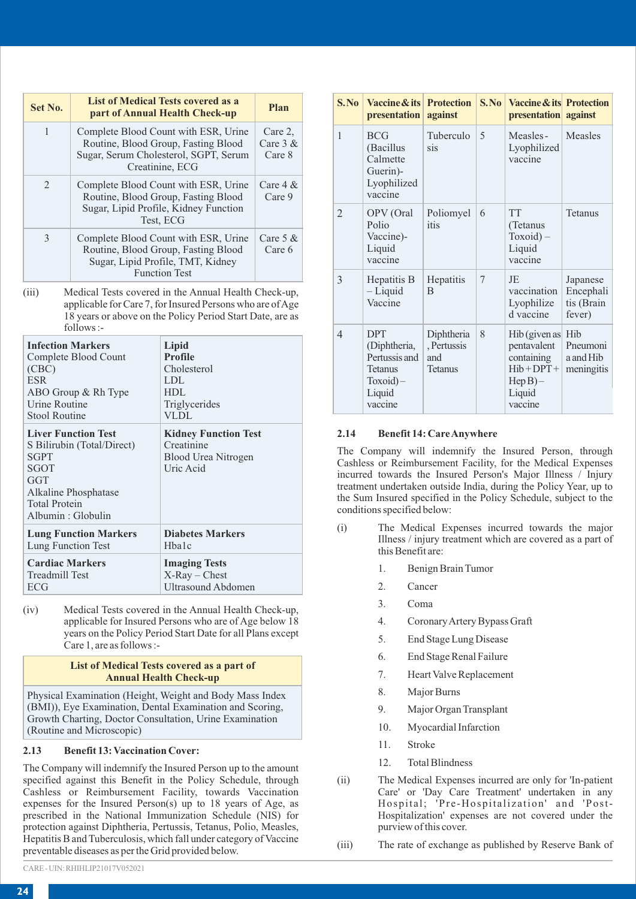| Set No.       | <b>List of Medical Tests covered as a</b><br>part of Annual Health Check-up                                                              | Plan                            |
|---------------|------------------------------------------------------------------------------------------------------------------------------------------|---------------------------------|
| 1             | Complete Blood Count with ESR, Urine<br>Routine, Blood Group, Fasting Blood<br>Sugar, Serum Cholesterol, SGPT, Serum<br>Creatinine, ECG  | Care 2.<br>Care $3 &$<br>Care 8 |
| $\mathcal{D}$ | Complete Blood Count with ESR, Urine<br>Routine, Blood Group, Fasting Blood<br>Sugar, Lipid Profile, Kidney Function<br>Test. ECG        | Care $4 \&$<br>Care 9           |
| $\mathcal{R}$ | Complete Blood Count with ESR, Urine<br>Routine, Blood Group, Fasting Blood<br>Sugar, Lipid Profile, TMT, Kidney<br><b>Function Test</b> | Care $5 \&$<br>Care 6           |

(iii) Medical Tests cove applicable for Care  $18$  years or above  $\alpha$ follows :-

| <b>Infection Markers</b>                                                                                                                                    | Lipid                                                                                |
|-------------------------------------------------------------------------------------------------------------------------------------------------------------|--------------------------------------------------------------------------------------|
| Complete Blood Count                                                                                                                                        | Profile                                                                              |
| (CBC)                                                                                                                                                       | Cholesterol                                                                          |
| <b>ESR</b>                                                                                                                                                  | LDL                                                                                  |
| ABO Group & Rh Type                                                                                                                                         | HDL                                                                                  |
| <b>Urine Routine</b>                                                                                                                                        | Triglycerides                                                                        |
| <b>Stool Routine</b>                                                                                                                                        | VLDL                                                                                 |
| <b>Liver Function Test</b><br>S Bilirubin (Total/Direct)<br><b>SGPT</b><br>SGOT<br>GGT<br>Alkaline Phosphatase<br><b>Total Protein</b><br>Albumin: Globulin | <b>Kidney Function Test</b><br>Creatinine<br><b>Blood Urea Nitrogen</b><br>Uric Acid |
| <b>Lung Function Markers</b>                                                                                                                                | <b>Diabetes Markers</b>                                                              |
| Lung Function Test                                                                                                                                          | H <sub>ba</sub> 1c                                                                   |
| <b>Cardiac Markers</b>                                                                                                                                      | <b>Imaging Tests</b>                                                                 |
| <b>Treadmill Test</b>                                                                                                                                       | $X-Ray - Chester$                                                                    |
| ECG                                                                                                                                                         | <b>Ultrasound Abdomen</b>                                                            |

(iv) Medical Tests covered in the Annual Health Check-up, applicable for Insured Persons who are of Age below 18 years on the Policy Period Start Date for all Plans except Care 1, are as follows :-

#### **List of Medical Tests covered as a part of Annual Health Check-up**

Physical Examination (Height, Weight and Body Mass Index (BMI)), Eye Examination, Dental Examination and Scoring, Growth Charting, Doctor Consultation, Urine Examination (Routine and Microscopic)

## **2.13 Benefit 13: Vaccination Cover:**

The Company will indemnify the Insured Person up to the amount specified against this Benefit in the Policy Schedule, through Cashless or Reimbursement Facility, towards Vaccination expenses for the Insured Person(s) up to 18 years of Age, as prescribed in the National Immunization Schedule (NIS) for protection against Diphtheria, Pertussis, Tetanus, Polio, Measles, Hepatitis B and Tuberculosis, which fall under category of Vaccine preventable diseases as per the Grid provided below.

| <b>nnction</b> Test                                                                                                     | 3              | Hepatitis B                                                                                                                                                                                                                                                                                                                     | <b>Hepatitis</b>                                   | 7 | JE                                                                                                               | Japanese                          |
|-------------------------------------------------------------------------------------------------------------------------|----------------|---------------------------------------------------------------------------------------------------------------------------------------------------------------------------------------------------------------------------------------------------------------------------------------------------------------------------------|----------------------------------------------------|---|------------------------------------------------------------------------------------------------------------------|-----------------------------------|
| ered in the Annual Health Check-up,<br>7, for Insured Persons who are of Age<br>on the Policy Period Start Date, are as |                | $-Liquid$<br>Vaccine                                                                                                                                                                                                                                                                                                            | B                                                  |   | vaccination<br>Lyophilize<br>d vaccine                                                                           | Encephali<br>tis (Brain<br>fever) |
| Lipid<br>Profile<br>Cholesterol<br><b>LDL</b><br><b>HDL</b><br>Triglycerides<br><b>VLDL</b>                             | $\overline{4}$ | <b>DPT</b><br>(Diphtheria,<br>Pertussis and<br><b>Tetanus</b><br>$Toxoid$ –<br>Liquid<br>vaccine                                                                                                                                                                                                                                | Diphtheria<br>, Pertussis<br>and<br><b>Tetanus</b> | 8 | Hib (given as Hib)<br>pentavalent<br>containing<br>$Hib + DPT +  $ meningitis<br>$Hep B$ )-<br>Liquid<br>vaccine | Pneumoni<br>a and Hib             |
| <b>Kidney Function Test</b><br>Creatinine<br>Blood Urea Nitrogen<br>Uric Acid                                           | 2.14           | The Company will indemnify the Insured Person, through<br>Cashless or Reimbursement Facility, for the Medical Expenses<br>incurred towards the Insured Person's Major Illness / Injury<br>treatment undertaken outside India, during the Policy Year, up to<br>the Sum Insured specified in the Policy Schedule, subject to the | <b>Benefit 14: Care Anywhere</b>                   |   |                                                                                                                  |                                   |

- (i) The Medical Expenses incurred towards the major Illness / injury treatment which are covered as a part of this Benefit are:
	- 1. Benign Brain Tumor
	- 2. Cancer

conditions specified below:

**S. No Vaccine & its presentation**

1 BCG (Bacillus Calmette Guerin)- Lyophilized vaccine

2 OPV (Oral Polio Vaccine)- Liquid vaccine

**Protection against**

Tuberculo sis

Poliomyel 6 itis

TT<sub></sub> (Tetanus Toxoid) – Liquid vaccine

5 Measles - Lyophilized vaccine

**S. No**

**Vaccine & its Protection presentation against**

Tetanus

Measles

- 3. Coma
- 4. Coronary Artery Bypass Graft
- 5. End Stage Lung Disease
- 6. End Stage Renal Failure
- 7. Heart Valve Replacement
- 8. Major Burns
- 9. Major Organ Transplant
- 10. Myocardial Infarction
- 11. Stroke
- 12. Total Blindness
- (ii) The Medical Expenses incurred are only for 'In-patient Care' or 'Day Care Treatment' undertaken in any Hospital; 'Pre-Hospitalization' and 'Post-Hospitalization' expenses are not covered under the purview of this cover.

(iii) The rate of exchange as published by Reserve Bank of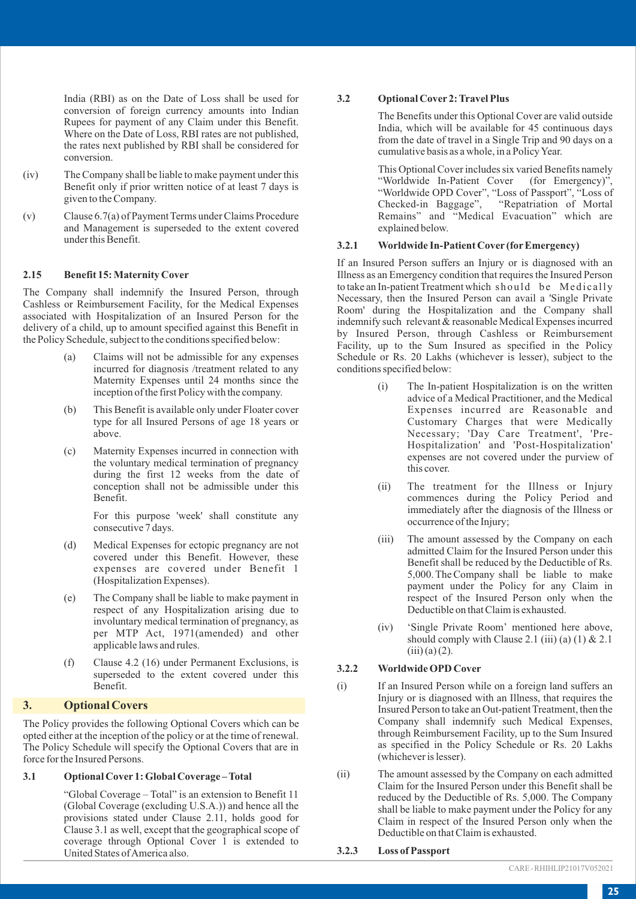India (RBI) as on the Date of Loss shall be used for conversion of foreign currency amounts into Indian Rupees for payment of any Claim under this Benefit. Where on the Date of Loss, RBI rates are not published, the rates next published by RBI shall be considered for conversion.

- (iv) The Company shall be liable to make payment under this Benefit only if prior written notice of at least 7 days is given to the Company.
- (v) Clause 6.7(a) of Payment Terms under Claims Procedure and Management is superseded to the extent covered under this Benefit.

## **2.15 Benefit 15: Maternity Cover**

The Company shall indemnify the Insured Person, through Cashless or Reimbursement Facility, for the Medical Expenses associated with Hospitalization of an Insured Person for the delivery of a child, up to amount specified against this Benefit in the Policy Schedule, subject to the conditions specified below:

- (a) Claims will not be admissible for any expenses incurred for diagnosis /treatment related to any Maternity Expenses until 24 months since the inception of the first Policy with the company.
- (b) This Benefit is available only under Floater cover type for all Insured Persons of age 18 years or above.
- (c) Maternity Expenses incurred in connection with the voluntary medical termination of pregnancy during the first 12 weeks from the date of conception shall not be admissible under this Benefit.

For this purpose 'week' shall constitute any consecutive 7 days.

- (d) Medical Expenses for ectopic pregnancy are not covered under this Benefit. However, these expenses are covered under Benefit 1 (Hospitalization Expenses).
- (e) The Company shall be liable to make payment in respect of any Hospitalization arising due to involuntary medical termination of pregnancy, as per MTP Act, 1971(amended) and other applicable laws and rules.
- (f) Clause 4.2 (16) under Permanent Exclusions, is superseded to the extent covered under this Benefit.

## **3. Optional Covers**

The Policy provides the following Optional Covers which can be opted either at the inception of the policy or at the time of renewal. The Policy Schedule will specify the Optional Covers that are in force for the Insured Persons.

## **3.1 Optional Cover 1: Global Coverage – Total**

"Global Coverage – Total" is an extension to Benefit 11 (Global Coverage (excluding U.S.A.)) and hence all the provisions stated under Clause 2.11, holds good for Clause 3.1 as well, except that the geographical scope of coverage through Optional Cover 1 is extended to United States of America also.

#### **3.2 Optional Cover 2: Travel Plus**

The Benefits under this Optional Cover are valid outside India, which will be available for 45 continuous days from the date of travel in a Single Trip and 90 days on a cumulative basis as a whole, in a Policy Year.

This Optional Cover includes six varied Benefits namely "Worldwide In-Patient Cover (for Emergency)", "Worldwide OPD Cover", "Loss of Passport", "Loss of Checked-in Baggage", "Repatriation of Mortal Remains" and "Medical Evacuation" which are explained below.

#### **3.2.1 Worldwide In-Patient Cover (forEmergency)**

If an Insured Person suffers an Injury or is diagnosed with an Illness as an Emergency condition that requires the Insured Person to take an In-patient Treatment which should be Medically Necessary, then the Insured Person can avail a 'Single Private Room' during the Hospitalization and the Company shall indemnify such relevant & reasonable Medical Expenses incurred by Insured Person, through Cashless or Reimbursement Facility, up to the Sum Insured as specified in the Policy Schedule or Rs. 20 Lakhs (whichever is lesser), subject to the conditions specified below:

- (i) The In-patient Hospitalization is on the written advice of a Medical Practitioner, and the Medical Expenses incurred are Reasonable and Customary Charges that were Medically Necessary; 'Day Care Treatment', 'Pre-Hospitalization' and 'Post-Hospitalization' expenses are not covered under the purview of this cover.
- (ii) The treatment for the Illness or Injury commences during the Policy Period and immediately after the diagnosis of the Illness or occurrence of the Injury;
- (iii) The amount assessed by the Company on each admitted Claim for the Insured Person under this Benefit shall be reduced by the Deductible of Rs. 5,000. The Company shall be liable to make payment under the Policy for any Claim in respect of the Insured Person only when the Deductible on that Claim is exhausted.
- (iv) 'Single Private Room' mentioned here above, should comply with Clause 2.1 (iii) (a)  $(1)$  & 2.1  $(iii) (a) (2).$

#### **3.2.2 Worldwide OPD Cover**

- (i) If an Insured Person while on a foreign land suffers an Injury or is diagnosed with an Illness, that requires the Insured Person to take an Out-patient Treatment, then the Company shall indemnify such Medical Expenses, through Reimbursement Facility, up to the Sum Insured as specified in the Policy Schedule or Rs. 20 Lakhs (whichever is lesser).
- (ii) The amount assessed by the Company on each admitted Claim for the Insured Person under this Benefit shall be reduced by the Deductible of Rs. 5,000. The Company shall be liable to make payment under the Policy for any Claim in respect of the Insured Person only when the Deductible on that Claim is exhausted.

#### **3.2.3 Loss of Passport**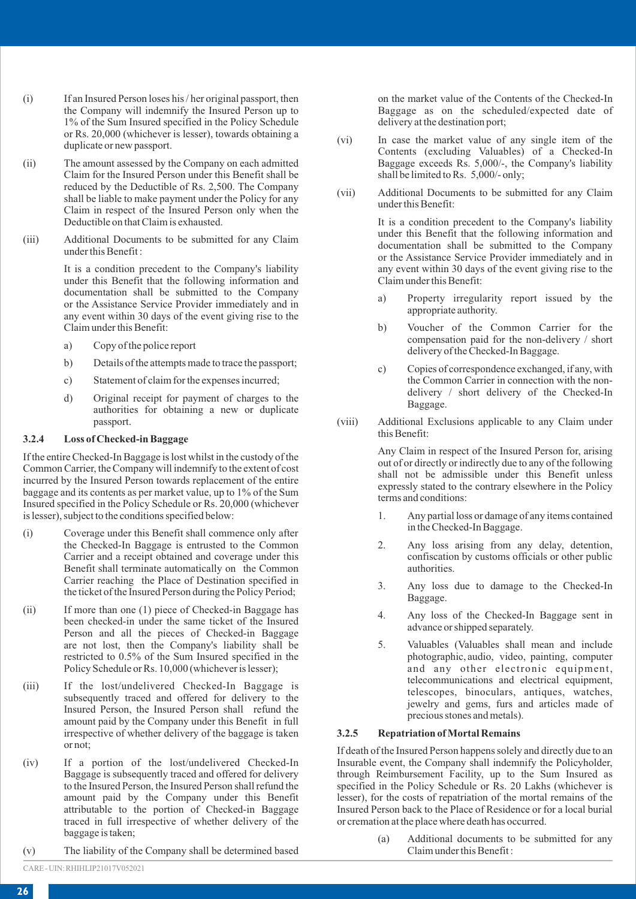- (i) If an Insured Person loses his / her original passport, then the Company will indemnify the Insured Person up to 1% of the Sum Insured specified in the Policy Schedule or Rs. 20,000 (whichever is lesser), towards obtaining a duplicate or new passport.
- (ii) The amount assessed by the Company on each admitted Claim for the Insured Person under this Benefit shall be reduced by the Deductible of Rs. 2,500. The Company shall be liable to make payment under the Policy for any Claim in respect of the Insured Person only when the Deductible on that Claim is exhausted.
- (iii) Additional Documents to be submitted for any Claim under this Benefit :

It is a condition precedent to the Company's liability under this Benefit that the following information and documentation shall be submitted to the Company or the Assistance Service Provider immediately and in any event within 30 days of the event giving rise to the Claim under this Benefit:

- a) Copy of the police report
- b) Details of the attempts made to trace the passport;
- c) Statement of claim for the expenses incurred;
- d) Original receipt for payment of charges to the authorities for obtaining a new or duplicate passport.

## **3.2.4 Loss of Checked-in Baggage**

If the entire Checked-In Baggage is lost whilst in the custody of the Common Carrier, the Company will indemnify to the extent of cost incurred by the Insured Person towards replacement of the entire baggage and its contents as per market value, up to 1% of the Sum Insured specified in the Policy Schedule or Rs. 20,000 (whichever is lesser), subject to the conditions specified below:

- (i) Coverage under this Benefit shall commence only after the Checked-In Baggage is entrusted to the Common Carrier and a receipt obtained and coverage under this Benefit shall terminate automatically on the Common Carrier reaching the Place of Destination specified in the ticket of the Insured Person during the Policy Period;
- (ii) If more than one (1) piece of Checked-in Baggage has been checked-in under the same ticket of the Insured Person and all the pieces of Checked-in Baggage are not lost, then the Company's liability shall be restricted to 0.5% of the Sum Insured specified in the Policy Schedule or Rs. 10,000 (whichever is lesser);
- (iii) If the lost/undelivered Checked-In Baggage is subsequently traced and offered for delivery to the Insured Person, the Insured Person shall refund the amount paid by the Company under this Benefit in full irrespective of whether delivery of the baggage is taken or not;
- (iv) If a portion of the lost/undelivered Checked-In Baggage is subsequently traced and offered for delivery to the Insured Person, the Insured Person shall refund the amount paid by the Company under this Benefit attributable to the portion of Checked-in Baggage traced in full irrespective of whether delivery of the baggage is taken;
- (v) The liability of the Company shall be determined based

on the market value of the Contents of the Checked-In Baggage as on the scheduled/expected date of delivery at the destination port;

- (vi) In case the market value of any single item of the Contents (excluding Valuables) of a Checked-In Baggage exceeds Rs. 5,000/-, the Company's liability shall be limited to Rs. 5,000/- only;
- (vii) Additional Documents to be submitted for any Claim under this Benefit:

It is a condition precedent to the Company's liability under this Benefit that the following information and documentation shall be submitted to the Company or the Assistance Service Provider immediately and in any event within 30 days of the event giving rise to the Claim under this Benefit:

- a) Property irregularity report issued by the appropriate authority.
- b) Voucher of the Common Carrier for the compensation paid for the non-delivery / short delivery of the Checked-In Baggage.
- c) Copies of correspondence exchanged, if any, with the Common Carrier in connection with the nondelivery / short delivery of the Checked-In Baggage.
- (viii) Additional Exclusions applicable to any Claim under this Benefit:

Any Claim in respect of the Insured Person for, arising out of or directly or indirectly due to any of the following shall not be admissible under this Benefit unless expressly stated to the contrary elsewhere in the Policy terms and conditions:

- 1. Any partial loss or damage of any items contained in the Checked-In Baggage.
- 2. Any loss arising from any delay, detention, confiscation by customs officials or other public authorities.
- 3. Any loss due to damage to the Checked-In Baggage.
- 4. Any loss of the Checked-In Baggage sent in advance or shipped separately.
- 5. Valuables (Valuables shall mean and include photographic, audio, video, painting, computer and any other electronic equipment, telecommunications and electrical equipment, telescopes, binoculars, antiques, watches, jewelry and gems, furs and articles made of precious stones and metals).

## **3.2.5 Repatriation of Mortal Remains**

If death of the Insured Person happens solely and directly due to an Insurable event, the Company shall indemnify the Policyholder, through Reimbursement Facility, up to the Sum Insured as specified in the Policy Schedule or Rs. 20 Lakhs (whichever is lesser), for the costs of repatriation of the mortal remains of the Insured Person back to the Place of Residence or for a local burial or cremation at the place where death has occurred.

> (a) Additional documents to be submitted for any Claim under this Benefit :

CARE - UIN: RHIHLIP21017V052021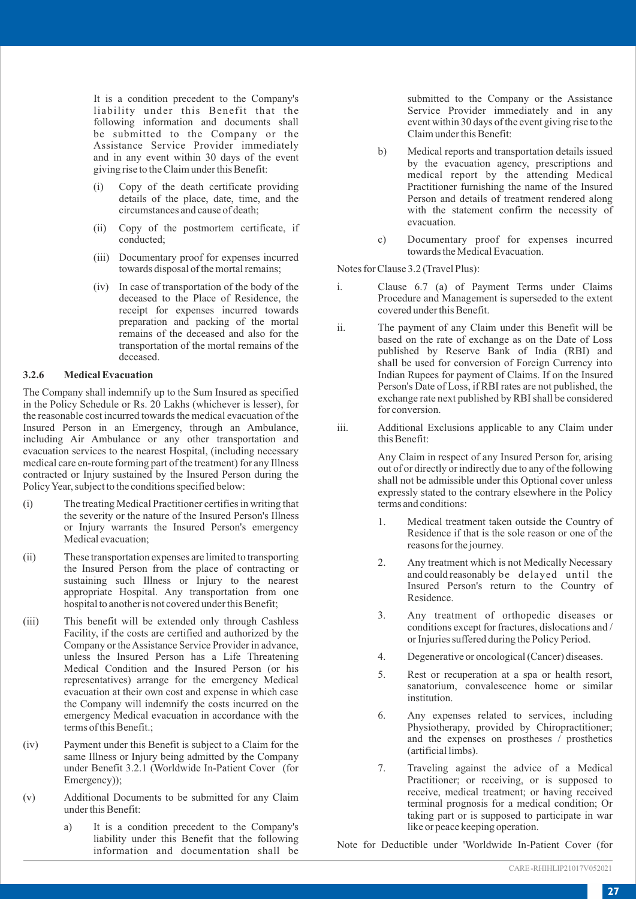It is a condition precedent to the Company's liability under this Benefit that the following information and documents shall be submitted to the Company or the Assistance Service Provider immediately and in any event within 30 days of the event giving rise to the Claim under this Benefit:

- (i) Copy of the death certificate providing details of the place, date, time, and the circumstances and cause of death;
- (ii) Copy of the postmortem certificate, if conducted;
- (iii) Documentary proof for expenses incurred towards disposal of the mortal remains;
- (iv) In case of transportation of the body of the deceased to the Place of Residence, the receipt for expenses incurred towards preparation and packing of the mortal remains of the deceased and also for the transportation of the mortal remains of the deceased.

## **3.2.6 Medical Evacuation**

The Company shall indemnify up to the Sum Insured as specified in the Policy Schedule or Rs. 20 Lakhs (whichever is lesser), for the reasonable cost incurred towards the medical evacuation of the Insured Person in an Emergency, through an Ambulance, including Air Ambulance or any other transportation and evacuation services to the nearest Hospital, (including necessary medical care en-route forming part of the treatment) for any Illness contracted or Injury sustained by the Insured Person during the Policy Year, subject to the conditions specified below:

- (i) The treating Medical Practitioner certifies in writing that the severity or the nature of the Insured Person's Illness or Injury warrants the Insured Person's emergency Medical evacuation;
- (ii) These transportation expenses are limited to transporting the Insured Person from the place of contracting or sustaining such Illness or Injury to the nearest appropriate Hospital. Any transportation from one hospital to another is not covered under this Benefit;
- (iii) This benefit will be extended only through Cashless Facility, if the costs are certified and authorized by the Company or the Assistance Service Provider in advance, unless the Insured Person has a Life Threatening Medical Condition and the Insured Person (or his representatives) arrange for the emergency Medical evacuation at their own cost and expense in which case the Company will indemnify the costs incurred on the emergency Medical evacuation in accordance with the terms of this Benefit.;
- (iv) Payment under this Benefit is subject to a Claim for the same Illness or Injury being admitted by the Company under Benefit 3.2.1 (Worldwide In-Patient Cover (for Emergency));
- (v) Additional Documents to be submitted for any Claim under this Benefit:
	- a) It is a condition precedent to the Company's liability under this Benefit that the following information and documentation shall be

submitted to the Company or the Assistance Service Provider immediately and in any event within 30 days of the event giving rise to the Claim under this Benefit:

- b) Medical reports and transportation details issued by the evacuation agency, prescriptions and medical report by the attending Medical Practitioner furnishing the name of the Insured Person and details of treatment rendered along with the statement confirm the necessity of evacuation.
- c) Documentary proof for expenses incurred towards the Medical Evacuation.

Notes for Clause 3.2 (Travel Plus):

- i. Clause 6.7 (a) of Payment Terms under Claims Procedure and Management is superseded to the extent covered under this Benefit.
- ii. The payment of any Claim under this Benefit will be based on the rate of exchange as on the Date of Loss published by Reserve Bank of India (RBI) and shall be used for conversion of Foreign Currency into Indian Rupees for payment of Claims. If on the Insured Person's Date of Loss, if RBI rates are not published, the exchange rate next published by RBI shall be considered for conversion.
- iii. Additional Exclusions applicable to any Claim under this Benefit:

Any Claim in respect of any Insured Person for, arising out of or directly or indirectly due to any of the following shall not be admissible under this Optional cover unless expressly stated to the contrary elsewhere in the Policy terms and conditions:

- 1. Medical treatment taken outside the Country of Residence if that is the sole reason or one of the reasons for the journey.
- 2. Any treatment which is not Medically Necessary and could reasonably be delayed until the Insured Person's return to the Country of Residence.
- 3. Any treatment of orthopedic diseases or conditions except for fractures, dislocations and / or Injuries suffered during the Policy Period.
- 4. Degenerative or oncological (Cancer) diseases.
- 5. Rest or recuperation at a spa or health resort, sanatorium, convalescence home or similar *institution*
- 6. Any expenses related to services, including Physiotherapy, provided by Chiropractitioner; and the expenses on prostheses / prosthetics (artificial limbs).
- 7. Traveling against the advice of a Medical Practitioner; or receiving, or is supposed to receive, medical treatment; or having received terminal prognosis for a medical condition; Or taking part or is supposed to participate in war like or peace keeping operation.

Note for Deductible under 'Worldwide In-Patient Cover (for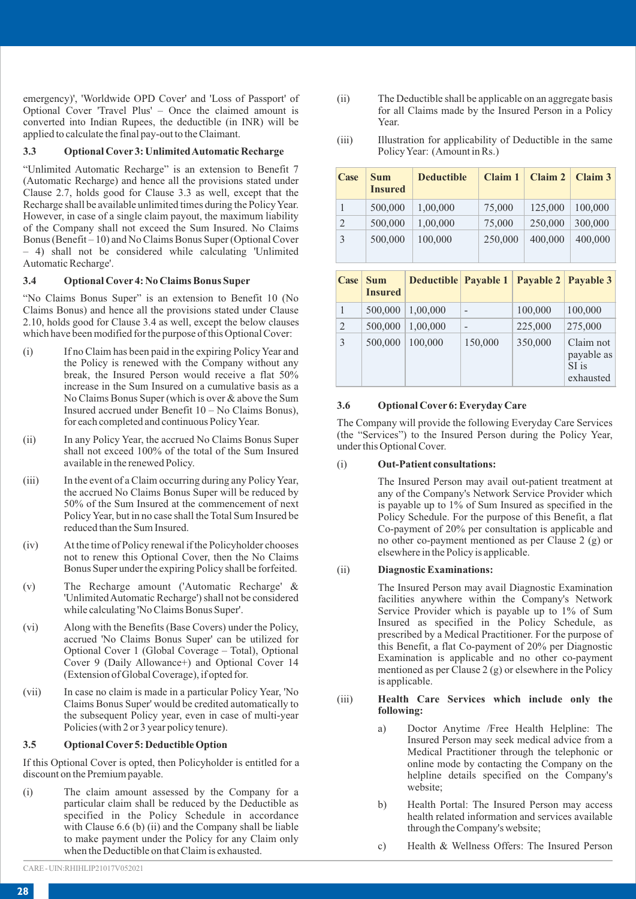emergency)', 'Worldwide OPD Cover' and 'Loss of Passport' of Optional Cover 'Travel Plus' – Once the claimed amount is converted into Indian Rupees, the deductible (in INR) will be applied to calculate the final pay-out to the Claimant.

#### **3.3 Optional Cover 3: Unlimited Automatic Recharge**

"Unlimited Automatic Recharge" is an extension to Benefit 7 (Automatic Recharge) and hence all the provisions stated under Clause 2.7, holds good for Clause 3.3 as well, except that the Recharge shall be available unlimited times during the Policy Year. However, in case of a single claim payout, the maximum liability of the Company shall not exceed the Sum Insured. No Claims Bonus (Benefit – 10) and No Claims Bonus Super (Optional Cover – 4) shall not be considered while calculating 'Unlimited Automatic Recharge'.

#### **3.4 Optional Cover 4: No Claims Bonus Super**

"No Claims Bonus Super" is an extension to Benefit 10 (No Claims Bonus) and hence all the provisions stated under Clause 2.10, holds good for Clause 3.4 as well, except the below clauses which have been modified for the purpose of this Optional Cover:

- (i) If no Claim has been paid in the expiring Policy Year and the Policy is renewed with the Company without any break, the Insured Person would receive a flat 50% increase in the Sum Insured on a cumulative basis as a No Claims Bonus Super (which is over & above the Sum Insured accrued under Benefit 10 – No Claims Bonus), for each completed and continuous Policy Year.
- (ii) In any Policy Year, the accrued No Claims Bonus Super shall not exceed 100% of the total of the Sum Insured available in the renewed Policy.
- (iii) In the event of a Claim occurring during any Policy Year, the accrued No Claims Bonus Super will be reduced by 50% of the Sum Insured at the commencement of next Policy Year, but in no case shall the Total Sum Insured be reduced than the Sum Insured.
- (iv) At the time of Policy renewal if the Policyholder chooses not to renew this Optional Cover, then the No Claims Bonus Super under the expiring Policy shall be forfeited.
- (v) The Recharge amount ('Automatic Recharge' & 'Unlimited Automatic Recharge') shall not be considered while calculating 'No Claims Bonus Super'.
- (vi) Along with the Benefits (Base Covers) under the Policy, accrued 'No Claims Bonus Super' can be utilized for Optional Cover 1 (Global Coverage – Total), Optional Cover 9 (Daily Allowance+) and Optional Cover 14 (Extension of Global Coverage), if opted for.
- (vii) In case no claim is made in a particular Policy Year, 'No Claims Bonus Super' would be credited automatically to the subsequent Policy year, even in case of multi-year Policies (with 2 or 3 year policy tenure).

## **3.5 Optional Cover 5: Deductible Option**

If this Optional Cover is opted, then Policyholder is entitled for a discount on the Premium payable.

- (i) The claim amount assessed by the Company for a particular claim shall be reduced by the Deductible as specified in the Policy Schedule in accordance with Clause 6.6 (b) (ii) and the Company shall be liable to make payment under the Policy for any Claim only when the Deductible on that Claim is exhausted.
- CARE UIN:RHIHLIP21017V052021
- (ii) The Deductible shall be applicable on an aggregate basis for all Claims made by the Insured Person in a Policy Year.
- (iii) Illustration for applicability of Deductible in the same Policy Year: (Amount in Rs.)

| Case | <b>Sum</b><br><b>Insured</b> | <b>Deductible</b> | Claim 1 | Claim 2 | Claim 3 |
|------|------------------------------|-------------------|---------|---------|---------|
|      | 500,000                      | 1,00,000          | 75,000  | 125,000 | 100,000 |
| 2    | 500,000                      | 1.00.000          | 75,000  | 250,000 | 300,000 |
| 3    | 500,000                      | 100,000           | 250,000 | 400,000 | 400,000 |

| Case | <b>Sum</b><br><b>Insured</b> | <b>Deductible Payable 1</b> |         |         | Payable 2 Payable 3                           |
|------|------------------------------|-----------------------------|---------|---------|-----------------------------------------------|
| 1    | 500,000                      | 1.00.000                    |         | 100,000 | 100,000                                       |
| 2    | 500,000                      | 1.00.000                    |         | 225,000 | 275,000                                       |
| 3    | 500,000                      | 100,000                     | 150,000 | 350,000 | Claim not<br>payable as<br>SI is<br>exhausted |

#### **3.6 Optional Cover 6: Everyday Care**

The Company will provide the following Everyday Care Services (the "Services") to the Insured Person during the Policy Year, under this Optional Cover.

#### (i) **Out-Patient consultations:**

The Insured Person may avail out-patient treatment at any of the Company's Network Service Provider which is payable up to 1% of Sum Insured as specified in the Policy Schedule. For the purpose of this Benefit, a flat Co-payment of 20% per consultation is applicable and no other co-payment mentioned as per Clause 2 (g) or elsewhere in the Policy is applicable.

#### (ii) **Diagnostic Examinations:**

The Insured Person may avail Diagnostic Examination facilities anywhere within the Company's Network Service Provider which is payable up to 1% of Sum Insured as specified in the Policy Schedule, as prescribed by a Medical Practitioner. For the purpose of this Benefit, a flat Co-payment of 20% per Diagnostic Examination is applicable and no other co-payment mentioned as per Clause 2 (g) or elsewhere in the Policy is applicable.

#### (iii) **Health Care Services which include only the following:**

- a) Doctor Anytime /Free Health Helpline: The Insured Person may seek medical advice from a Medical Practitioner through the telephonic or online mode by contacting the Company on the helpline details specified on the Company's website;
- b) Health Portal: The Insured Person may access health related information and services available through the Company's website;
- c) Health & Wellness Offers: The Insured Person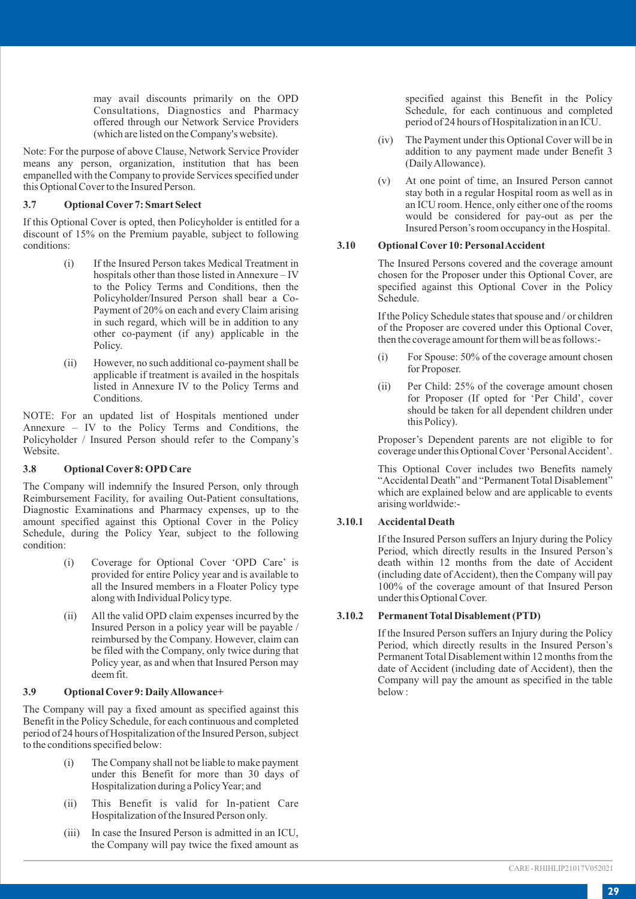may avail discounts primarily on the OPD Consultations, Diagnostics and Pharmacy offered through our Network Service Providers (which are listed on the Company's website).

Note: For the purpose of above Clause, Network Service Provider means any person, organization, institution that has been empanelled with the Company to provide Services specified under this Optional Cover to the Insured Person.

## **3.7 Optional Cover 7: Smart Select**

If this Optional Cover is opted, then Policyholder is entitled for a discount of 15% on the Premium payable, subject to following conditions:

- (i) If the Insured Person takes Medical Treatment in hospitals other than those listed in Annexure – IV to the Policy Terms and Conditions, then the Policyholder/Insured Person shall bear a Co-Payment of 20% on each and every Claim arising in such regard, which will be in addition to any other co-payment (if any) applicable in the Policy.
- (ii) However, no such additional co-payment shall be applicable if treatment is availed in the hospitals listed in Annexure IV to the Policy Terms and Conditions.

NOTE: For an updated list of Hospitals mentioned under Annexure – IV to the Policy Terms and Conditions, the Policyholder / Insured Person should refer to the Company's Website.

## **3.8 Optional Cover 8: OPD Care**

The Company will indemnify the Insured Person, only through Reimbursement Facility, for availing Out-Patient consultations, Diagnostic Examinations and Pharmacy expenses, up to the amount specified against this Optional Cover in the Policy Schedule, during the Policy Year, subject to the following condition:

- (i) Coverage for Optional Cover 'OPD Care' is provided for entire Policy year and is available to all the Insured members in a Floater Policy type along with Individual Policy type.
- (ii) All the valid OPD claim expenses incurred by the Insured Person in a policy year will be payable / reimbursed by the Company. However, claim can be filed with the Company, only twice during that Policy year, as and when that Insured Person may deem fit.

#### **3.9 Optional Cover 9: Daily Allowance+**

The Company will pay a fixed amount as specified against this Benefit in the Policy Schedule, for each continuous and completed period of 24 hours of Hospitalization of the Insured Person, subject to the conditions specified below:

- (i) The Company shall not be liable to make payment under this Benefit for more than 30 days of Hospitalization during a Policy Year; and
- (ii) This Benefit is valid for In-patient Care Hospitalization of the Insured Person only.
- (iii) In case the Insured Person is admitted in an ICU, the Company will pay twice the fixed amount as

specified against this Benefit in the Policy Schedule, for each continuous and completed period of 24 hours of Hospitalization in an ICU.

- (iv) The Payment under this Optional Cover will be in addition to any payment made under Benefit 3 (Daily Allowance).
- (v) At one point of time, an Insured Person cannot stay both in a regular Hospital room as well as in an ICU room. Hence, only either one of the rooms would be considered for pay-out as per the Insured Person's room occupancy in the Hospital.

#### **3.10 Optional Cover 10: Personal Accident**

The Insured Persons covered and the coverage amount chosen for the Proposer under this Optional Cover, are specified against this Optional Cover in the Policy Schedule.

If the Policy Schedule states that spouse and / or children of the Proposer are covered under this Optional Cover, then the coverage amount for them will be as follows:-

- (i) For Spouse: 50% of the coverage amount chosen for Proposer.
- (ii) Per Child: 25% of the coverage amount chosen for Proposer (If opted for 'Per Child', cover should be taken for all dependent children under this Policy).

Proposer's Dependent parents are not eligible to for coverage under this Optional Cover 'Personal Accident'.

This Optional Cover includes two Benefits namely "Accidental Death" and "Permanent Total Disablement" which are explained below and are applicable to events arising worldwide:-

## **3.10.1 Accidental Death**

If the Insured Person suffers an Injury during the Policy Period, which directly results in the Insured Person's death within 12 months from the date of Accident (including date of Accident), then the Company will pay 100% of the coverage amount of that Insured Person under this Optional Cover.

## **3.10.2 Permanent Total Disablement (PTD)**

If the Insured Person suffers an Injury during the Policy Period, which directly results in the Insured Person's Permanent Total Disablement within 12 months from the date of Accident (including date of Accident), then the Company will pay the amount as specified in the table below :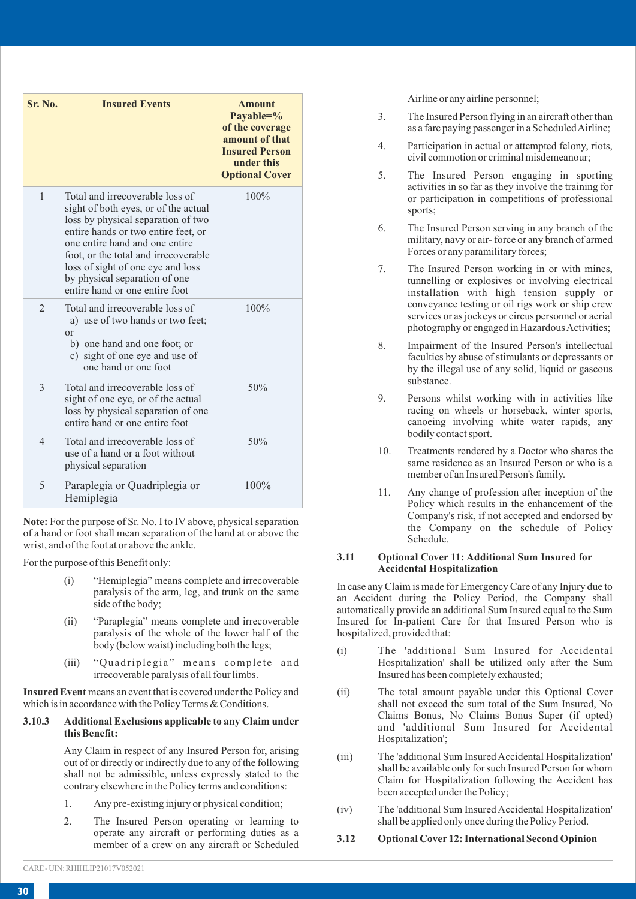| Sr. No.        | <b>Insured Events</b>                                                                                                                                                                                                                                                                                                                  | <b>Amount</b><br>Payable= $\%$<br>of the coverage<br>amount of that<br><b>Insured Person</b><br>under this<br><b>Optional Cover</b> |
|----------------|----------------------------------------------------------------------------------------------------------------------------------------------------------------------------------------------------------------------------------------------------------------------------------------------------------------------------------------|-------------------------------------------------------------------------------------------------------------------------------------|
| $\mathbf{1}$   | Total and irrecoverable loss of<br>sight of both eyes, or of the actual<br>loss by physical separation of two<br>entire hands or two entire feet, or<br>one entire hand and one entire<br>foot, or the total and irrecoverable<br>loss of sight of one eye and loss<br>by physical separation of one<br>entire hand or one entire foot | 100%                                                                                                                                |
| $\mathfrak{D}$ | Total and irrecoverable loss of<br>a) use of two hands or two feet:<br>$\alpha$<br>b) one hand and one foot; or<br>c) sight of one eye and use of<br>one hand or one foot                                                                                                                                                              | 100%                                                                                                                                |
| $\mathcal{R}$  | Total and irrecoverable loss of<br>sight of one eye, or of the actual<br>loss by physical separation of one<br>entire hand or one entire foot                                                                                                                                                                                          | 50%                                                                                                                                 |
| $\overline{4}$ | Total and irrecoverable loss of<br>use of a hand or a foot without<br>physical separation                                                                                                                                                                                                                                              | 50%                                                                                                                                 |
| 5              | Paraplegia or Quadriplegia or<br>Hemiplegia                                                                                                                                                                                                                                                                                            | $100\%$                                                                                                                             |

**Note:** For the purpose of Sr. No. I to IV above, physical separation of a hand or foot shall mean separation of the hand at or above the wrist, and of the foot at or above the ankle.

For the purpose of this Benefit only:

- "Hemiplegia" means complete and irrecoverable paralysis of the arm, leg, and trunk on the same side of the body;
- (ii) "Paraplegia" means complete and irrecoverable paralysis of the whole of the lower half of the body (below waist) including both the legs;
- (iii) "Quadriplegia" means complete and irrecoverable paralysis of all four limbs.

**Insured Event**means an event that is covered under the Policy and which is in accordance with the Policy Terms & Conditions.

#### **3.10.3 Additional Exclusions applicable to any Claim under this Benefit:**

Any Claim in respect of any Insured Person for, arising out of or directly or indirectly due to any of the following shall not be admissible, unless expressly stated to the contrary elsewhere in the Policy terms and conditions:

- 1. Any pre-existing injury or physical condition;
- 2. The Insured Person operating or learning to operate any aircraft or performing duties as a member of a crew on any aircraft or Scheduled

Airline or any airline personnel;

- 3. The Insured Person flying in an aircraft other than as a fare paying passenger in a Scheduled Airline;
- 4. Participation in actual or attempted felony, riots, civil commotion or criminal misdemeanour;
- 5. The Insured Person engaging in sporting activities in so far as they involve the training for or participation in competitions of professional sports;
- 6. The Insured Person serving in any branch of the military, navy or air- force or any branch of armed Forces or any paramilitary forces;
- 7. The Insured Person working in or with mines, tunnelling or explosives or involving electrical installation with high tension supply or conveyance testing or oil rigs work or ship crew services or as jockeys or circus personnel or aerial photography or engaged in Hazardous Activities;
- 8. Impairment of the Insured Person's intellectual faculties by abuse of stimulants or depressants or by the illegal use of any solid, liquid or gaseous substance.
- 9. Persons whilst working with in activities like racing on wheels or horseback, winter sports, canoeing involving white water rapids, any bodily contact sport.
- 10. Treatments rendered by a Doctor who shares the same residence as an Insured Person or who is a member of an Insured Person's family.
- 11. Any change of profession after inception of the Policy which results in the enhancement of the Company's risk, if not accepted and endorsed by the Company on the schedule of Policy Schedule.

#### **3.11 Optional Cover 11: Additional Sum Insured for Accidental Hospitalization**

In case any Claim is made for Emergency Care of any Injury due to an Accident during the Policy Period, the Company shall automatically provide an additional Sum Insured equal to the Sum Insured for In-patient Care for that Insured Person who is hospitalized, provided that:

- (i) The 'additional Sum Insured for Accidental Hospitalization' shall be utilized only after the Sum Insured has been completely exhausted;
- (ii) The total amount payable under this Optional Cover shall not exceed the sum total of the Sum Insured, No Claims Bonus, No Claims Bonus Super (if opted) and 'additional Sum Insured for Accidental Hospitalization';
- (iii) The 'additional Sum Insured Accidental Hospitalization' shall be available only for such Insured Person for whom Claim for Hospitalization following the Accident has been accepted under the Policy;
- (iv) The 'additional Sum Insured Accidental Hospitalization' shall be applied only once during the Policy Period.
- **3.12 Optional Cover 12: International Second Opinion**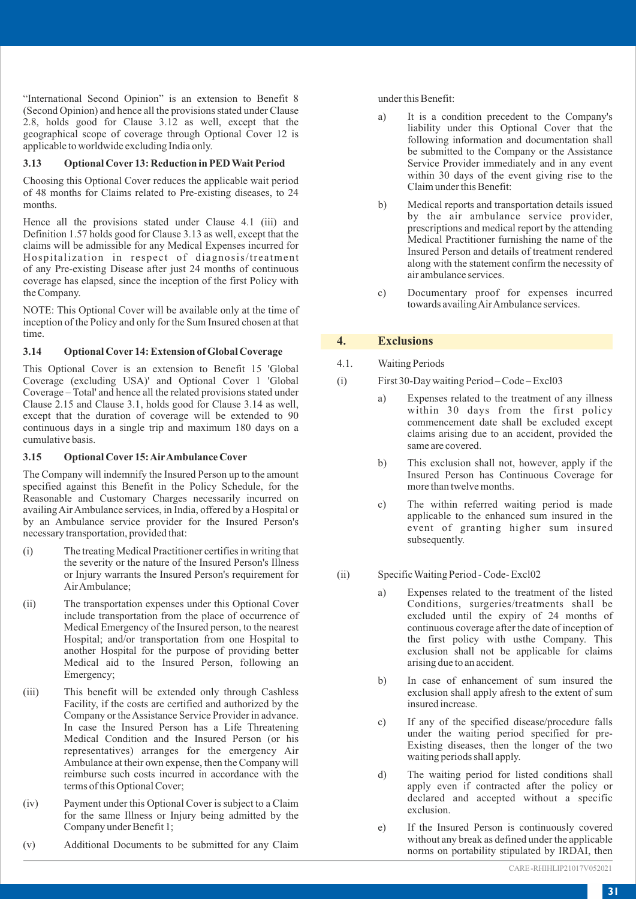"International Second Opinion" is an extension to Benefit 8 (Second Opinion) and hence all the provisions stated under Clause 2.8, holds good for Clause 3.12 as well, except that the geographical scope of coverage through Optional Cover 12 is applicable to worldwide excluding India only.

## **3.13 Optional Cover 13: Reduction in PED Wait Period**

Choosing this Optional Cover reduces the applicable wait period of 48 months for Claims related to Pre-existing diseases, to 24 months.

Hence all the provisions stated under Clause 4.1 (iii) and Definition 1.57 holds good for Clause 3.13 as well, except that the claims will be admissible for any Medical Expenses incurred for Hospitalization in respect of diagnosis/treatment of any Pre-existing Disease after just 24 months of continuous coverage has elapsed, since the inception of the first Policy with the Company.

NOTE: This Optional Cover will be available only at the time of inception of the Policy and only for the Sum Insured chosen at that time.

### **3.14 Optional Cover 14: Extension of Global Coverage**

This Optional Cover is an extension to Benefit 15 'Global Coverage (excluding USA)' and Optional Cover 1 'Global Coverage – Total' and hence all the related provisions stated under Clause 2.15 and Clause 3.1, holds good for Clause 3.14 as well, except that the duration of coverage will be extended to 90 continuous days in a single trip and maximum 180 days on a cumulative basis.

#### **3.15 Optional Cover 15: AirAmbulance Cover**

The Company will indemnify the Insured Person up to the amount specified against this Benefit in the Policy Schedule, for the Reasonable and Customary Charges necessarily incurred on availing Air Ambulance services, in India, offered by a Hospital or by an Ambulance service provider for the Insured Person's necessary transportation, provided that:

- (i) The treating Medical Practitioner certifies in writing that the severity or the nature of the Insured Person's Illness or Injury warrants the Insured Person's requirement for Air Ambulance;
- (ii) The transportation expenses under this Optional Cover include transportation from the place of occurrence of Medical Emergency of the Insured person, to the nearest Hospital; and/or transportation from one Hospital to another Hospital for the purpose of providing better Medical aid to the Insured Person, following an Emergency;
- (iii) This benefit will be extended only through Cashless Facility, if the costs are certified and authorized by the Company or the Assistance Service Provider in advance. In case the Insured Person has a Life Threatening Medical Condition and the Insured Person (or his representatives) arranges for the emergency Air Ambulance at their own expense, then the Company will reimburse such costs incurred in accordance with the terms of this Optional Cover;
- (iv) Payment under this Optional Cover is subject to a Claim for the same Illness or Injury being admitted by the Company under Benefit 1;
- (v) Additional Documents to be submitted for any Claim

under this Benefit:

- a) It is a condition precedent to the Company's liability under this Optional Cover that the following information and documentation shall be submitted to the Company or the Assistance Service Provider immediately and in any event within 30 days of the event giving rise to the Claim under this Benefit:
- b) Medical reports and transportation details issued by the air ambulance service provider, prescriptions and medical report by the attending Medical Practitioner furnishing the name of the Insured Person and details of treatment rendered along with the statement confirm the necessity of air ambulance services.
- c) Documentary proof for expenses incurred towards availing Air Ambulance services.

## **4. Exclusions**

4.1. Waiting Periods

- (i) First 30-Day waiting Period Code Excl03
	- a) Expenses related to the treatment of any illness within 30 days from the first policy commencement date shall be excluded except claims arising due to an accident, provided the same are covered.
	- b) This exclusion shall not, however, apply if the Insured Person has Continuous Coverage for more than twelve months.
	- c) The within referred waiting period is made applicable to the enhanced sum insured in the event of granting higher sum insured subsequently.
- (ii) Specific Waiting Period Code- Excl02
	- a) Expenses related to the treatment of the listed Conditions, surgeries/treatments shall be excluded until the expiry of 24 months of continuous coverage after the date of inception of the first policy with usthe Company. This exclusion shall not be applicable for claims arising due to an accident.
	- b) In case of enhancement of sum insured the exclusion shall apply afresh to the extent of sum insured increase.
	- c) If any of the specified disease/procedure falls under the waiting period specified for pre-Existing diseases, then the longer of the two waiting periods shall apply.
	- d) The waiting period for listed conditions shall apply even if contracted after the policy or declared and accepted without a specific exclusion.
	- e) If the Insured Person is continuously covered without any break as defined under the applicable norms on portability stipulated by IRDAI, then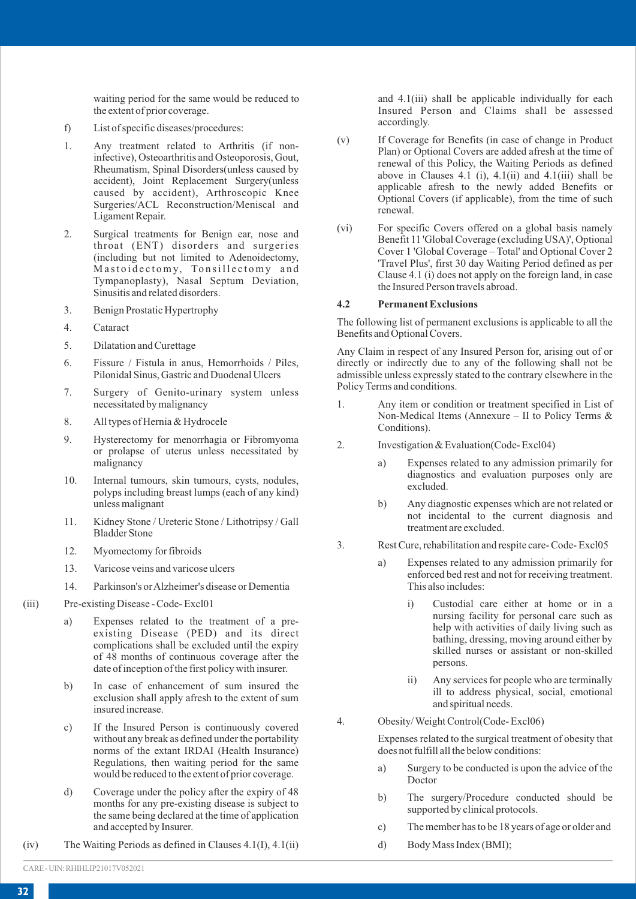waiting period for the same would be reduced to the extent of prior coverage.

- f) List of specific diseases/procedures:
- 1. Any treatment related to Arthritis (if noninfective), Osteoarthritis and Osteoporosis, Gout, Rheumatism, Spinal Disorders(unless caused by accident), Joint Replacement Surgery(unless caused by accident), Arthroscopic Knee Surgeries/ACL Reconstruction/Meniscal and Ligament Repair.
- 2. Surgical treatments for Benign ear, nose and throat (ENT) disorders and surgeries (including but not limited to Adenoidectomy, Mastoidectomy, Tonsillectomy and Tympanoplasty), Nasal Septum Deviation, Sinusitis and related disorders.
- 3. Benign Prostatic Hypertrophy
- 4. Cataract
- 5. Dilatation and Curettage
- 6. Fissure / Fistula in anus, Hemorrhoids / Piles, Pilonidal Sinus, Gastric and Duodenal Ulcers
- 7. Surgery of Genito-urinary system unless necessitated by malignancy
- 8. All types of Hernia & Hydrocele
- 9. Hysterectomy for menorrhagia or Fibromyoma or prolapse of uterus unless necessitated by malignancy
- 10. Internal tumours, skin tumours, cysts, nodules, polyps including breast lumps (each of any kind) unless malignant
- 11. Kidney Stone / Ureteric Stone / Lithotripsy / Gall Bladder Stone
- 12. Myomectomy for fibroids
- 13. Varicose veins and varicose ulcers
- 14. Parkinson's or Alzheimer's disease or Dementia
- (iii) Pre-existing Disease Code- Excl01
	- a) Expenses related to the treatment of a preexisting Disease (PED) and its direct complications shall be excluded until the expiry of 48 months of continuous coverage after the date of inception of the first policy with insurer.
	- b) In case of enhancement of sum insured the exclusion shall apply afresh to the extent of sum insured increase.
	- c) If the Insured Person is continuously covered without any break as defined under the portability norms of the extant IRDAI (Health Insurance) Regulations, then waiting period for the same would be reduced to the extent of prior coverage.
	- d) Coverage under the policy after the expiry of 48 months for any pre-existing disease is subject to the same being declared at the time of application and accepted by Insurer.
- (iv) The Waiting Periods as defined in Clauses 4.1(I), 4.1(ii)

and 4.1(iii) shall be applicable individually for each Insured Person and Claims shall be assessed accordingly.

- (v) If Coverage for Benefits (in case of change in Product Plan) or Optional Covers are added afresh at the time of renewal of this Policy, the Waiting Periods as defined above in Clauses  $4.1$  (i),  $4.1$ (ii) and  $4.1$ (iii) shall be applicable afresh to the newly added Benefits or Optional Covers (if applicable), from the time of such renewal.
- (vi) For specific Covers offered on a global basis namely Benefit 11 'Global Coverage (excluding USA)', Optional Cover 1 'Global Coverage – Total' and Optional Cover 2 'Travel Plus', first 30 day Waiting Period defined as per Clause 4.1 (i) does not apply on the foreign land, in case the Insured Person travels abroad.

## **4.2 Permanent Exclusions**

The following list of permanent exclusions is applicable to all the Benefits and Optional Covers.

Any Claim in respect of any Insured Person for, arising out of or directly or indirectly due to any of the following shall not be admissible unless expressly stated to the contrary elsewhere in the Policy Terms and conditions.

- 1. Any item or condition or treatment specified in List of Non-Medical Items (Annexure – II to Policy Terms & Conditions).
- 2. Investigation & Evaluation(Code-Excl04)
	- a) Expenses related to any admission primarily for diagnostics and evaluation purposes only are excluded.
	- b) Any diagnostic expenses which are not related or not incidental to the current diagnosis and treatment are excluded.
- 3. Rest Cure, rehabilitation and respite care- Code- Excl05
	- a) Expenses related to any admission primarily for enforced bed rest and not for receiving treatment. This also includes:
		- i) Custodial care either at home or in a nursing facility for personal care such as help with activities of daily living such as bathing, dressing, moving around either by skilled nurses or assistant or non-skilled persons.
		- ii) Any services for people who are terminally ill to address physical, social, emotional and spiritual needs.
- 4. Obesity/ Weight Control(Code- Excl06)

Expenses related to the surgical treatment of obesity that does not fulfill all the below conditions:

- a) Surgery to be conducted is upon the advice of the Doctor
- b) The surgery/Procedure conducted should be supported by clinical protocols.
- c) The member has to be 18 years of age or older and
- d) Body Mass Index (BMI);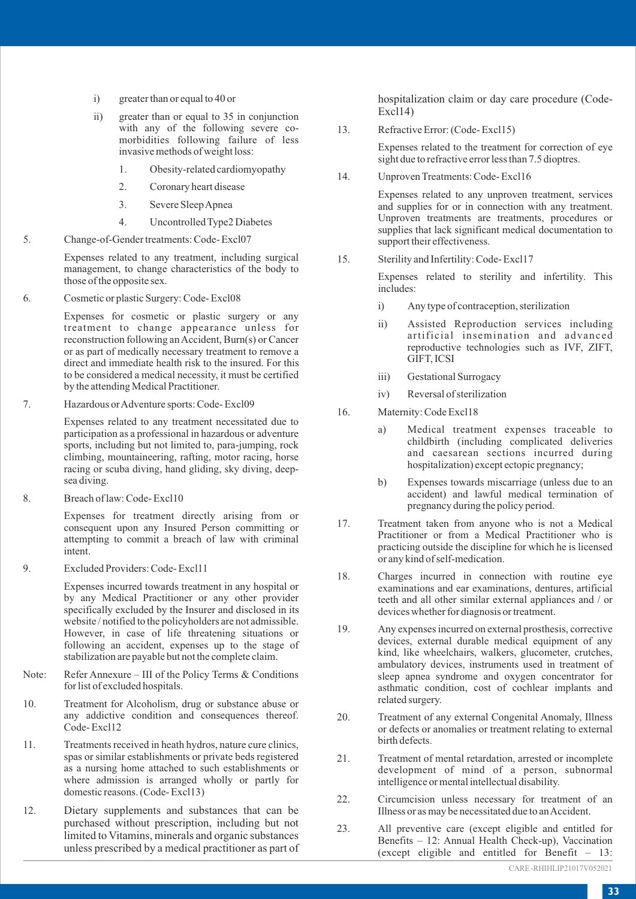- i) greater than or equal to 40 or
- ii) greater than or equal to 35 in conjunction with any of the following severe comorbidities following failure of less invasive methods of weight loss:
	- 1. Obesity-related cardiomyopathy
	- 2. Coronary heart disease
	- 3. Severe Sleep Apnea
	- 4. Uncontrolled Type2 Diabetes
- 5. Change-of-Gender treatments: Code- Excl07

Expenses related to any treatment, including surgical management, to change characteristics of the body to those of the opposite sex.

6. Cosmetic or plastic Surgery: Code- Excl08

Expenses for cosmetic or plastic surgery or any treatment to change appearance unless for reconstruction following an Accident, Burn(s) or Cancer or as part of medically necessary treatment to remove a direct and immediate health risk to the insured. For this to be considered a medical necessity, it must be certified by the attending Medical Practitioner.

7. Hazardous or Adventure sports: Code- Excl09

Expenses related to any treatment necessitated due to participation as a professional in hazardous or adventure sports, including but not limited to, para-jumping, rock climbing, mountaineering, rafting, motor racing, horse racing or scuba diving, hand gliding, sky diving, deepsea diving.

8. Breach of law: Code- Excl10

Expenses for treatment directly arising from or consequent upon any Insured Person committing or attempting to commit a breach of law with criminal intent.

9. Excluded Providers: Code- Excl11

Expenses incurred towards treatment in any hospital or by any Medical Practitioner or any other provider specifically excluded by the Insurer and disclosed in its website / notified to the policyholders are not admissible. However, in case of life threatening situations or following an accident, expenses up to the stage of stabilization are payable but not the complete claim.

- Note: Refer Annexure III of the Policy Terms & Conditions for list of excluded hospitals.
- 10. Treatment for Alcoholism, drug or substance abuse or any addictive condition and consequences thereof. Code- Excl12
- 11. Treatments received in heath hydros, nature cure clinics, spas or similar establishments or private beds registered as a nursing home attached to such establishments or where admission is arranged wholly or partly for domestic reasons. (Code- Excl13)
- 12. Dietary supplements and substances that can be purchased without prescription, including but not limited to Vitamins, minerals and organic substances unless prescribed by a medical practitioner as part of

hospitalization claim or day care procedure (Code-Excl14)

13. Refractive Error: (Code- Excl15)

Expenses related to the treatment for correction of eye sight due to refractive error less than 7.5 dioptres.

14. Unproven Treatments: Code- Excl16

Expenses related to any unproven treatment, services and supplies for or in connection with any treatment. Unproven treatments are treatments, procedures or supplies that lack significant medical documentation to support their effectiveness.

15. Sterility and Infertility: Code- Excl17

Expenses related to sterility and infertility. This includes:

- i) Any type of contraception, sterilization
- ii) Assisted Reproduction services including artificial insemination and advanced reproductive technologies such as IVF, ZIFT, GIFT, ICSI
- iii) Gestational Surrogacy
- iv) Reversal of sterilization
- 16. Maternity: Code Excl18
	- a) Medical treatment expenses traceable to childbirth (including complicated deliveries and caesarean sections incurred during hospitalization) except ectopic pregnancy;
	- b) Expenses towards miscarriage (unless due to an accident) and lawful medical termination of pregnancy during the policy period.
- 17. Treatment taken from anyone who is not a Medical Practitioner or from a Medical Practitioner who is practicing outside the discipline for which he is licensed or any kind of self-medication.
- 18. Charges incurred in connection with routine eye examinations and ear examinations, dentures, artificial teeth and all other similar external appliances and / or devices whether for diagnosis or treatment.
- 19. Any expenses incurred on external prosthesis, corrective devices, external durable medical equipment of any kind, like wheelchairs, walkers, glucometer, crutches, ambulatory devices, instruments used in treatment of sleep apnea syndrome and oxygen concentrator for asthmatic condition, cost of cochlear implants and related surgery.
- 20. Treatment of any external Congenital Anomaly, Illness or defects or anomalies or treatment relating to external birth defects.
- 21. Treatment of mental retardation, arrested or incomplete development of mind of a person, subnormal intelligence or mental intellectual disability.
- 22. Circumcision unless necessary for treatment of an Illness or as may be necessitated due to an Accident.
- 23. All preventive care (except eligible and entitled for Benefits – 12: Annual Health Check-up), Vaccination (except eligible and entitled for Benefit – 13: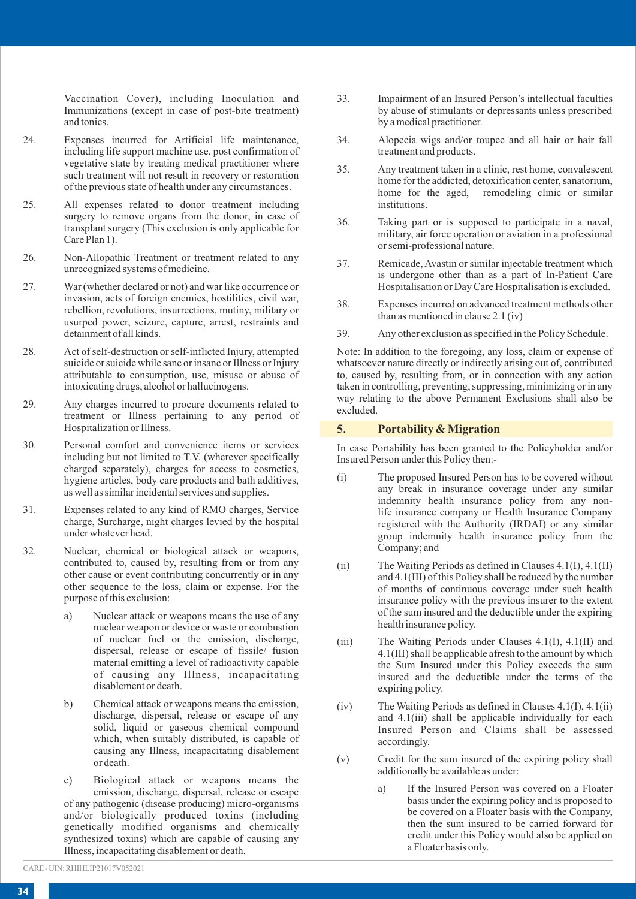Vaccination Cover), including Inoculation and Immunizations (except in case of post-bite treatment) and tonics.

- 24. Expenses incurred for Artificial life maintenance, including life support machine use, post confirmation of vegetative state by treating medical practitioner where such treatment will not result in recovery or restoration of the previous state of health under any circumstances.
- 25. All expenses related to donor treatment including surgery to remove organs from the donor, in case of transplant surgery (This exclusion is only applicable for Care Plan 1).
- 26. Non-Allopathic Treatment or treatment related to any unrecognized systems of medicine.
- 27. War (whether declared or not) and war like occurrence or invasion, acts of foreign enemies, hostilities, civil war, rebellion, revolutions, insurrections, mutiny, military or usurped power, seizure, capture, arrest, restraints and detainment of all kinds.
- 28. Act of self-destruction or self-inflicted Injury, attempted suicide or suicide while sane or insane or Illness or Injury attributable to consumption, use, misuse or abuse of intoxicating drugs, alcohol or hallucinogens.
- 29. Any charges incurred to procure documents related to treatment or Illness pertaining to any period of Hospitalization or Illness.
- 30. Personal comfort and convenience items or services including but not limited to T.V. (wherever specifically charged separately), charges for access to cosmetics, hygiene articles, body care products and bath additives, as well as similar incidental services and supplies.
- 31. Expenses related to any kind of RMO charges, Service charge, Surcharge, night charges levied by the hospital under whatever head.
- 32. Nuclear, chemical or biological attack or weapons, contributed to, caused by, resulting from or from any other cause or event contributing concurrently or in any other sequence to the loss, claim or expense. For the purpose of this exclusion:
	- a) Nuclear attack or weapons means the use of any nuclear weapon or device or waste or combustion of nuclear fuel or the emission, discharge, dispersal, release or escape of fissile/ fusion material emitting a level of radioactivity capable of causing any Illness, incapacitating disablement or death.
	- b) Chemical attack or weapons means the emission, discharge, dispersal, release or escape of any solid, liquid or gaseous chemical compound which, when suitably distributed, is capable of causing any Illness, incapacitating disablement or death.
	- c) Biological attack or weapons means the emission, discharge, dispersal, release or escape of any pathogenic (disease producing) micro-organisms and/or biologically produced toxins (including genetically modified organisms and chemically synthesized toxins) which are capable of causing any Illness, incapacitating disablement or death.
- 33. Impairment of an Insured Person's intellectual faculties by abuse of stimulants or depressants unless prescribed by a medical practitioner.
- 34. Alopecia wigs and/or toupee and all hair or hair fall treatment and products.
- 35. Any treatment taken in a clinic, rest home, convalescent home for the addicted, detoxification center, sanatorium, home for the aged, remodeling clinic or similar institutions.
- 36. Taking part or is supposed to participate in a naval, military, air force operation or aviation in a professional or semi-professional nature.
- 37. Remicade, Avastin or similar injectable treatment which is undergone other than as a part of In-Patient Care Hospitalisation or Day Care Hospitalisation is excluded.
- 38. Expenses incurred on advanced treatment methods other than as mentioned in clause 2.1 (iv)
- 39. Any other exclusion as specified in the Policy Schedule.

Note: In addition to the foregoing, any loss, claim or expense of whatsoever nature directly or indirectly arising out of, contributed to, caused by, resulting from, or in connection with any action taken in controlling, preventing, suppressing, minimizing or in any way relating to the above Permanent Exclusions shall also be excluded.

#### **5. Portability & Migration**

In case Portability has been granted to the Policyholder and/or Insured Person under this Policy then:-

- (i) The proposed Insured Person has to be covered without any break in insurance coverage under any similar indemnity health insurance policy from any nonlife insurance company or Health Insurance Company registered with the Authority (IRDAI) or any similar group indemnity health insurance policy from the Company; and
- (ii) The Waiting Periods as defined in Clauses 4.1(I), 4.1(II) and 4.1(III) of this Policy shall be reduced by the number of months of continuous coverage under such health insurance policy with the previous insurer to the extent of the sum insured and the deductible under the expiring health insurance policy.
- (iii) The Waiting Periods under Clauses 4.1(I), 4.1(II) and 4.1(III) shall be applicable afresh to the amount by which the Sum Insured under this Policy exceeds the sum insured and the deductible under the terms of the expiring policy.
- (iv) The Waiting Periods as defined in Clauses 4.1(I), 4.1(ii) and 4.1(iii) shall be applicable individually for each Insured Person and Claims shall be assessed accordingly.
- (v) Credit for the sum insured of the expiring policy shall additionally be available as under:
	- a) If the Insured Person was covered on a Floater basis under the expiring policy and is proposed to be covered on a Floater basis with the Company, then the sum insured to be carried forward for credit under this Policy would also be applied on a Floater basis only.

CARE - UIN: RHIHLIP21017V052021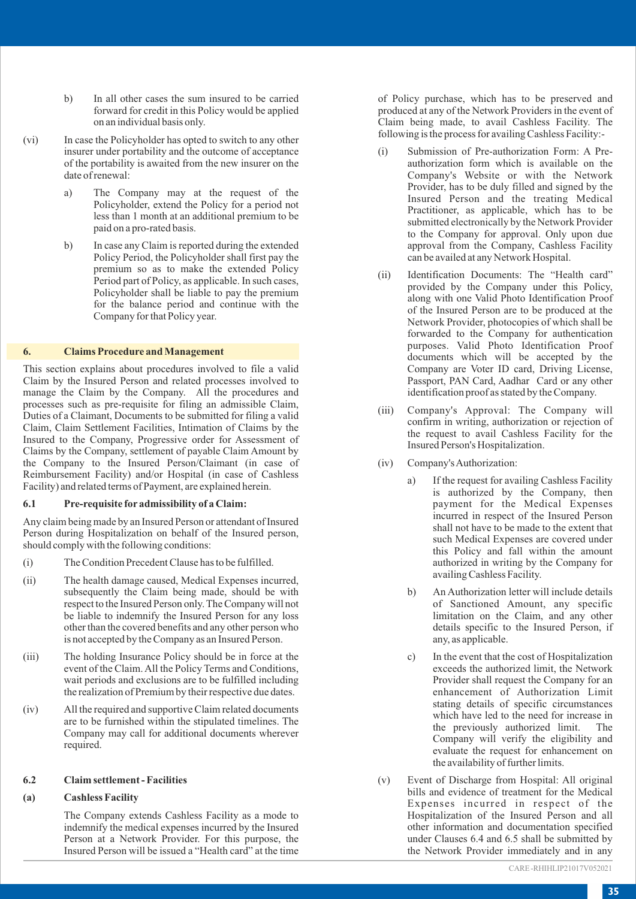- b) In all other cases the sum insured to be carried forward for credit in this Policy would be applied on an individual basis only.
- (vi) In case the Policyholder has opted to switch to any other insurer under portability and the outcome of acceptance of the portability is awaited from the new insurer on the date of renewal:
	- a) The Company may at the request of the Policyholder, extend the Policy for a period not less than 1 month at an additional premium to be paid on a pro-rated basis.
	- b) In case any Claim is reported during the extended Policy Period, the Policyholder shall first pay the premium so as to make the extended Policy Period part of Policy, as applicable. In such cases, Policyholder shall be liable to pay the premium for the balance period and continue with the Company for that Policy year.

#### **6. Claims Procedure and Management**

This section explains about procedures involved to file a valid Claim by the Insured Person and related processes involved to manage the Claim by the Company. All the procedures and processes such as pre-requisite for filing an admissible Claim, Duties of a Claimant, Documents to be submitted for filing a valid Claim, Claim Settlement Facilities, Intimation of Claims by the Insured to the Company, Progressive order for Assessment of Claims by the Company, settlement of payable Claim Amount by the Company to the Insured Person/Claimant (in case of Reimbursement Facility) and/or Hospital (in case of Cashless Facility) and related terms of Payment, are explained herein.

## **6.1 Pre-requisite for admissibility of a Claim:**

Any claim being made by an Insured Person or attendant of Insured Person during Hospitalization on behalf of the Insured person, should comply with the following conditions:

- (i) The Condition Precedent Clause has to be fulfilled.
- (ii) The health damage caused, Medical Expenses incurred, subsequently the Claim being made, should be with respect to the Insured Person only. The Company will not be liable to indemnify the Insured Person for any loss other than the covered benefits and any other person who is not accepted by the Company as an Insured Person.
- (iii) The holding Insurance Policy should be in force at the event of the Claim. All the Policy Terms and Conditions, wait periods and exclusions are to be fulfilled including the realization of Premium by their respective due dates.
- (iv) All the required and supportive Claim related documents are to be furnished within the stipulated timelines. The Company may call for additional documents wherever required.

#### **6.2 Claim settlement - Facilities**

#### **(a) Cashless Facility**

The Company extends Cashless Facility as a mode to indemnify the medical expenses incurred by the Insured Person at a Network Provider. For this purpose, the Insured Person will be issued a "Health card" at the time

of Policy purchase, which has to be preserved and produced at any of the Network Providers in the event of Claim being made, to avail Cashless Facility. The following is the process for availing Cashless Facility:-

- (i) Submission of Pre-authorization Form: A Preauthorization form which is available on the Company's Website or with the Network Provider, has to be duly filled and signed by the Insured Person and the treating Medical Practitioner, as applicable, which has to be submitted electronically by the Network Provider to the Company for approval. Only upon due approval from the Company, Cashless Facility can be availed at any Network Hospital.
- (ii) Identification Documents: The "Health card" provided by the Company under this Policy, along with one Valid Photo Identification Proof of the Insured Person are to be produced at the Network Provider, photocopies of which shall be forwarded to the Company for authentication purposes. Valid Photo Identification Proof documents which will be accepted by the Company are Voter ID card, Driving License, Passport, PAN Card, Aadhar Card or any other identification proof as stated by the Company.
- (iii) Company's Approval: The Company will confirm in writing, authorization or rejection of the request to avail Cashless Facility for the Insured Person's Hospitalization.
- (iv) Company's Authorization:
	- a) If the request for availing Cashless Facility is authorized by the Company, then payment for the Medical Expenses incurred in respect of the Insured Person shall not have to be made to the extent that such Medical Expenses are covered under this Policy and fall within the amount authorized in writing by the Company for availing Cashless Facility.
	- b) An Authorization letter will include details of Sanctioned Amount, any specific limitation on the Claim, and any other details specific to the Insured Person, if any, as applicable.
	- c) In the event that the cost of Hospitalization exceeds the authorized limit, the Network Provider shall request the Company for an enhancement of Authorization Limit stating details of specific circumstances which have led to the need for increase in<br>the previously authorized limit. The the previously authorized limit. Company will verify the eligibility and evaluate the request for enhancement on the availability of further limits.
- (v) Event of Discharge from Hospital: All original bills and evidence of treatment for the Medical Expenses incurred in respect of the Hospitalization of the Insured Person and all other information and documentation specified under Clauses 6.4 and 6.5 shall be submitted by the Network Provider immediately and in any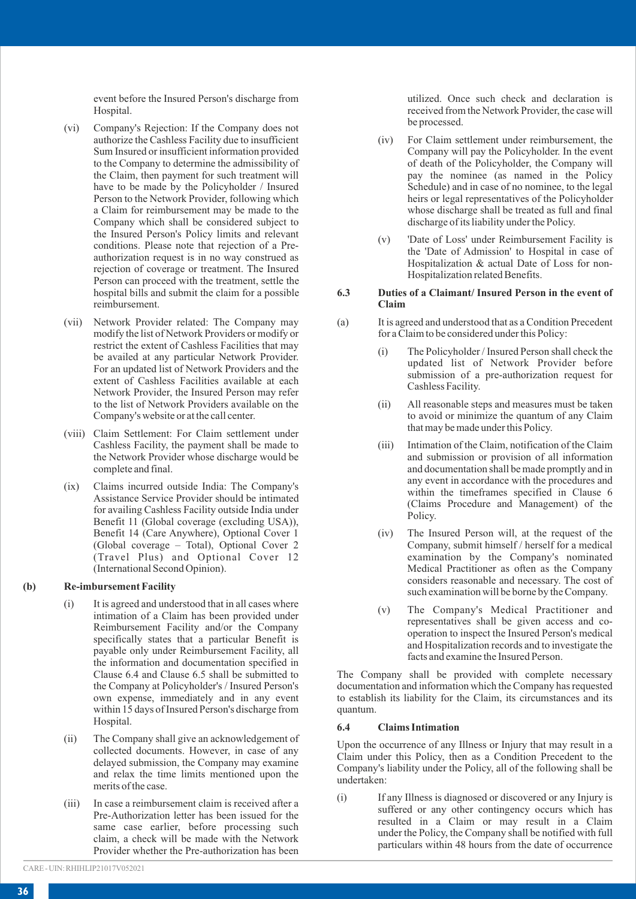event before the Insured Person's discharge from Hospital.

- (vi) Company's Rejection: If the Company does not authorize the Cashless Facility due to insufficient Sum Insured or insufficient information provided to the Company to determine the admissibility of the Claim, then payment for such treatment will have to be made by the Policyholder / Insured Person to the Network Provider, following which a Claim for reimbursement may be made to the Company which shall be considered subject to the Insured Person's Policy limits and relevant conditions. Please note that rejection of a Preauthorization request is in no way construed as rejection of coverage or treatment. The Insured Person can proceed with the treatment, settle the hospital bills and submit the claim for a possible reimbursement.
- (vii) Network Provider related: The Company may modify the list of Network Providers or modify or restrict the extent of Cashless Facilities that may be availed at any particular Network Provider. For an updated list of Network Providers and the extent of Cashless Facilities available at each Network Provider, the Insured Person may refer to the list of Network Providers available on the Company's website or at the call center.
- (viii) Claim Settlement: For Claim settlement under Cashless Facility, the payment shall be made to the Network Provider whose discharge would be complete and final.
- (ix) Claims incurred outside India: The Company's Assistance Service Provider should be intimated for availing Cashless Facility outside India under Benefit 11 (Global coverage (excluding USA)), Benefit 14 (Care Anywhere), Optional Cover 1 (Global coverage – Total), Optional Cover 2 (Travel Plus) and Optional Cover 12 (International Second Opinion).

#### **(b) Re-imbursement Facility**

- (i) It is agreed and understood that in all cases where intimation of a Claim has been provided under Reimbursement Facility and/or the Company specifically states that a particular Benefit is payable only under Reimbursement Facility, all the information and documentation specified in Clause 6.4 and Clause 6.5 shall be submitted to the Company at Policyholder's / Insured Person's own expense, immediately and in any event within 15 days of Insured Person's discharge from Hospital.
- (ii) The Company shall give an acknowledgement of collected documents. However, in case of any delayed submission, the Company may examine and relax the time limits mentioned upon the merits of the case.
- (iii) In case a reimbursement claim is received after a Pre-Authorization letter has been issued for the same case earlier, before processing such claim, a check will be made with the Network Provider whether the Pre-authorization has been

utilized. Once such check and declaration is received from the Network Provider, the case will be processed.

- (iv) For Claim settlement under reimbursement, the Company will pay the Policyholder. In the event of death of the Policyholder, the Company will pay the nominee (as named in the Policy Schedule) and in case of no nominee, to the legal heirs or legal representatives of the Policyholder whose discharge shall be treated as full and final discharge of its liability under the Policy.
- (v) 'Date of Loss' under Reimbursement Facility is the 'Date of Admission' to Hospital in case of Hospitalization & actual Date of Loss for non-Hospitalization related Benefits.

#### **6.3 Duties of a Claimant/ Insured Person in the event of Claim**

- (a) It is agreed and understood that as a Condition Precedent for a Claim to be considered under this Policy:
	- (i) The Policyholder / Insured Person shall check the updated list of Network Provider before submission of a pre-authorization request for Cashless Facility.
	- (ii) All reasonable steps and measures must be taken to avoid or minimize the quantum of any Claim that may be made under this Policy.
	- (iii) Intimation of the Claim, notification of the Claim and submission or provision of all information and documentation shall be made promptly and in any event in accordance with the procedures and within the timeframes specified in Clause 6 (Claims Procedure and Management) of the Policy.
	- (iv) The Insured Person will, at the request of the Company, submit himself / herself for a medical examination by the Company's nominated Medical Practitioner as often as the Company considers reasonable and necessary. The cost of such examination will be borne by the Company.
	- (v) The Company's Medical Practitioner and representatives shall be given access and cooperation to inspect the Insured Person's medical and Hospitalization records and to investigate the facts and examine the Insured Person.

The Company shall be provided with complete necessary documentation and information which the Company has requested to establish its liability for the Claim, its circumstances and its quantum.

#### **6.4 Claims Intimation**

Upon the occurrence of any Illness or Injury that may result in a Claim under this Policy, then as a Condition Precedent to the Company's liability under the Policy, all of the following shall be undertaken:

(i) If any Illness is diagnosed or discovered or any Injury is suffered or any other contingency occurs which has resulted in a Claim or may result in a Claim under the Policy, the Company shall be notified with full particulars within 48 hours from the date of occurrence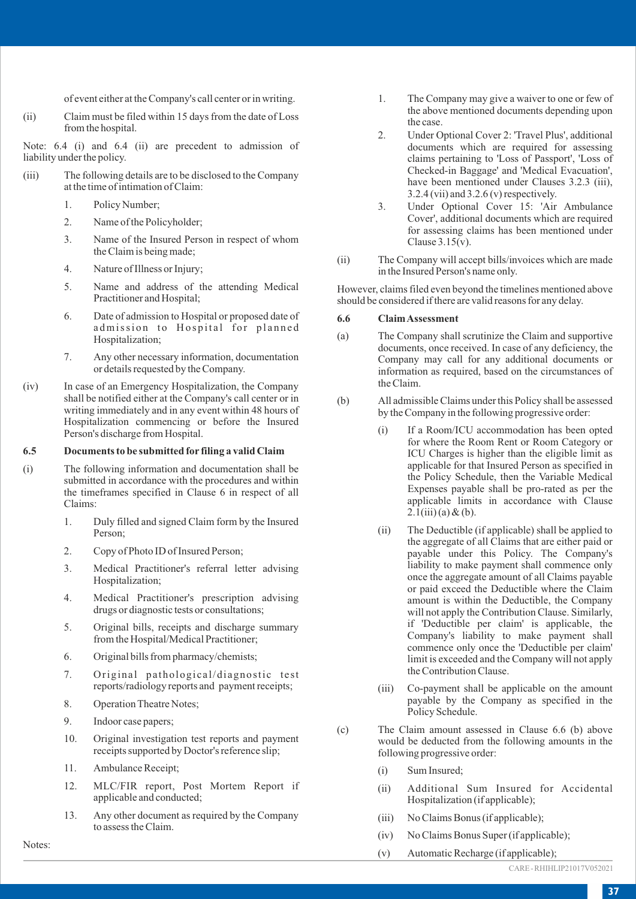of event either at the Company's call center or in writing.

(ii) Claim must be filed within 15 days from the date of Loss from the hospital.

Note: 6.4 (i) and 6.4 (ii) are precedent to admission of liability under the policy.

- (iii) The following details are to be disclosed to the Company at the time of intimation of Claim:
	- 1. Policy Number;
	- 2. Name of the Policyholder;
	- 3. Name of the Insured Person in respect of whom the Claim is being made;
	- 4. Nature of Illness or Injury;
	- 5. Name and address of the attending Medical Practitioner and Hospital;
	- 6. Date of admission to Hospital or proposed date of admission to Hospital for planned Hospitalization;
	- 7. Any other necessary information, documentation or details requested by the Company.
- (iv) In case of an Emergency Hospitalization, the Company shall be notified either at the Company's call center or in writing immediately and in any event within 48 hours of Hospitalization commencing or before the Insured Person's discharge from Hospital.

## **6.5 Documents to be submitted for filing a valid Claim**

- (i) The following information and documentation shall be submitted in accordance with the procedures and within the timeframes specified in Clause 6 in respect of all Claims:
	- 1. Duly filled and signed Claim form by the Insured Person;
	- 2. Copy of Photo ID of Insured Person;
	- 3. Medical Practitioner's referral letter advising Hospitalization;
	- 4. Medical Practitioner's prescription advising drugs or diagnostic tests or consultations;
	- 5. Original bills, receipts and discharge summary from the Hospital/Medical Practitioner;
	- 6. Original bills from pharmacy/chemists;
	- 7. Original pathological/diagnostic test reports/radiology reports and payment receipts;
	- 8. Operation Theatre Notes;
	- 9. Indoor case papers;
	- 10. Original investigation test reports and payment receipts supported by Doctor's reference slip;
	- 11. Ambulance Receipt;

Notes:

- 12. MLC/FIR report, Post Mortem Report if applicable and conducted;
- 13. Any other document as required by the Company to assess the Claim.

1. The Company may give a waiver to one or few of the above mentioned documents depending upon the case.

- 2. Under Optional Cover 2: 'Travel Plus', additional documents which are required for assessing claims pertaining to 'Loss of Passport', 'Loss of Checked-in Baggage' and 'Medical Evacuation', have been mentioned under Clauses 3.2.3 (iii), 3.2.4 (vii) and 3.2.6 (v) respectively.
- 3. Under Optional Cover 15: 'Air Ambulance Cover', additional documents which are required for assessing claims has been mentioned under Clause 3.15(v).
- (ii) The Company will accept bills/invoices which are made in the Insured Person's name only.

However, claims filed even beyond the timelines mentioned above should be considered if there are valid reasons for any delay.

#### **6.6 Claim Assessment**

- (a) The Company shall scrutinize the Claim and supportive documents, once received. In case of any deficiency, the Company may call for any additional documents or information as required, based on the circumstances of the Claim.
- (b) All admissible Claims under this Policy shall be assessed by the Company in the following progressive order:
	- (i) If a Room/ICU accommodation has been opted for where the Room Rent or Room Category or ICU Charges is higher than the eligible limit as applicable for that Insured Person as specified in the Policy Schedule, then the Variable Medical Expenses payable shall be pro-rated as per the applicable limits in accordance with Clause  $2.1$ (iii) (a) & (b).
	- (ii) The Deductible (if applicable) shall be applied to the aggregate of all Claims that are either paid or payable under this Policy. The Company's liability to make payment shall commence only once the aggregate amount of all Claims payable or paid exceed the Deductible where the Claim amount is within the Deductible, the Company will not apply the Contribution Clause. Similarly, if 'Deductible per claim' is applicable, the Company's liability to make payment shall commence only once the 'Deductible per claim' limit is exceeded and the Company will not apply the Contribution Clause.
	- (iii) Co-payment shall be applicable on the amount payable by the Company as specified in the Policy Schedule.
- (c) The Claim amount assessed in Clause 6.6 (b) above would be deducted from the following amounts in the following progressive order:
	- (i) Sum Insured;
	- (ii) Additional Sum Insured for Accidental Hospitalization (if applicable);
	- (iii) No Claims Bonus (if applicable);
	- (iv) No Claims Bonus Super (if applicable);
	- (v) Automatic Recharge (if applicable);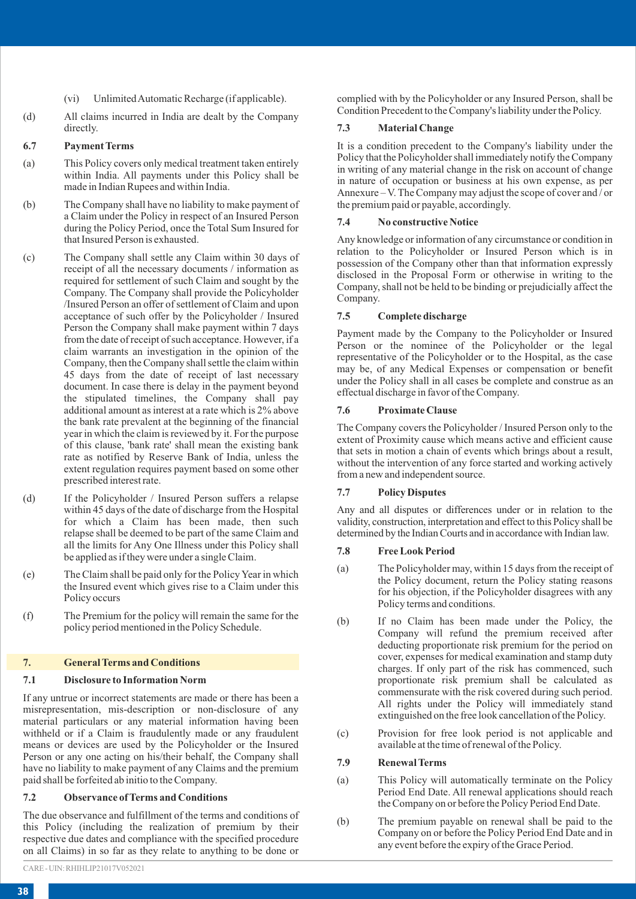- (vi) Unlimited Automatic Recharge (if applicable).
- (d) All claims incurred in India are dealt by the Company directly.

#### **6.7 Payment Terms**

- (a) This Policy covers only medical treatment taken entirely within India. All payments under this Policy shall be made in Indian Rupees and within India.
- (b) The Company shall have no liability to make payment of a Claim under the Policy in respect of an Insured Person during the Policy Period, once the Total Sum Insured for that Insured Person is exhausted.
- (c) The Company shall settle any Claim within 30 days of receipt of all the necessary documents / information as required for settlement of such Claim and sought by the Company. The Company shall provide the Policyholder /Insured Person an offer of settlement of Claim and upon acceptance of such offer by the Policyholder / Insured Person the Company shall make payment within 7 days from the date of receipt of such acceptance. However, if a claim warrants an investigation in the opinion of the Company, then the Company shall settle the claim within 45 days from the date of receipt of last necessary document. In case there is delay in the payment beyond the stipulated timelines, the Company shall pay additional amount as interest at a rate which is 2% above the bank rate prevalent at the beginning of the financial year in which the claim is reviewed by it. For the purpose of this clause, 'bank rate' shall mean the existing bank rate as notified by Reserve Bank of India, unless the extent regulation requires payment based on some other prescribed interest rate.
- (d) If the Policyholder / Insured Person suffers a relapse within 45 days of the date of discharge from the Hospital for which a Claim has been made, then such relapse shall be deemed to be part of the same Claim and all the limits for Any One Illness under this Policy shall be applied as if they were under a single Claim.
- (e) The Claim shall be paid only for the Policy Year in which the Insured event which gives rise to a Claim under this Policy occurs
- (f) The Premium for the policy will remain the same for the policy period mentioned in the Policy Schedule.

#### **7. General Terms and Conditions**

#### **7.1 Disclosure to Information Norm**

If any untrue or incorrect statements are made or there has been a misrepresentation, mis-description or non-disclosure of any material particulars or any material information having been withheld or if a Claim is fraudulently made or any fraudulent means or devices are used by the Policyholder or the Insured Person or any one acting on his/their behalf, the Company shall have no liability to make payment of any Claims and the premium paid shall be forfeited ab initio to the Company.

#### **7.2 Observance of Terms and Conditions**

The due observance and fulfillment of the terms and conditions of this Policy (including the realization of premium by their respective due dates and compliance with the specified procedure on all Claims) in so far as they relate to anything to be done or

complied with by the Policyholder or any Insured Person, shall be Condition Precedent to the Company's liability under the Policy.

#### **7.3 Material Change**

It is a condition precedent to the Company's liability under the Policy that the Policyholder shall immediately notify the Company in writing of any material change in the risk on account of change in nature of occupation or business at his own expense, as per Annexure – V. The Company may adjust the scope of cover and / or the premium paid or payable, accordingly.

## **7.4 No constructive Notice**

Any knowledge or information of any circumstance or condition in relation to the Policyholder or Insured Person which is in possession of the Company other than that information expressly disclosed in the Proposal Form or otherwise in writing to the Company, shall not be held to be binding or prejudicially affect the Company.

#### **7.5 Complete discharge**

Payment made by the Company to the Policyholder or Insured Person or the nominee of the Policyholder or the legal representative of the Policyholder or to the Hospital, as the case may be, of any Medical Expenses or compensation or benefit under the Policy shall in all cases be complete and construe as an effectual discharge in favor of the Company.

#### **7.6 Proximate Clause**

The Company covers the Policyholder / Insured Person only to the extent of Proximity cause which means active and efficient cause that sets in motion a chain of events which brings about a result, without the intervention of any force started and working actively from a new and independent source.

#### **7.7 Policy Disputes**

Any and all disputes or differences under or in relation to the validity, construction, interpretation and effect to this Policy shall be determined by the Indian Courts and in accordance with Indian law.

#### **7.8 Free Look Period**

- (a) The Policyholder may, within 15 days from the receipt of the Policy document, return the Policy stating reasons for his objection, if the Policyholder disagrees with any Policy terms and conditions.
- (b) If no Claim has been made under the Policy, the Company will refund the premium received after deducting proportionate risk premium for the period on cover, expenses for medical examination and stamp duty charges. If only part of the risk has commenced, such proportionate risk premium shall be calculated as commensurate with the risk covered during such period. All rights under the Policy will immediately stand extinguished on the free look cancellation of the Policy.
- (c) Provision for free look period is not applicable and available at the time of renewal of the Policy.

#### **7.9 Renewal Terms**

- (a) This Policy will automatically terminate on the Policy Period End Date. All renewal applications should reach the Company on or before the Policy Period End Date.
- (b) The premium payable on renewal shall be paid to the Company on or before the Policy Period End Date and in any event before the expiry of the Grace Period.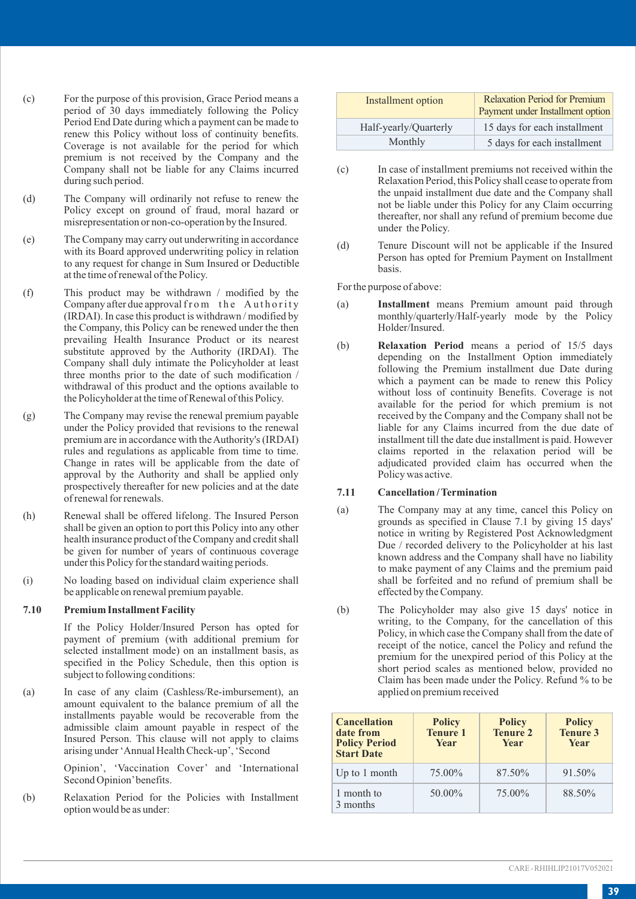- (c) For the purpose of this provision, Grace Period means a period of 30 days immediately following the Policy Period End Date during which a payment can be made to renew this Policy without loss of continuity benefits. Coverage is not available for the period for which premium is not received by the Company and the Company shall not be liable for any Claims incurred during such period.
- (d) The Company will ordinarily not refuse to renew the Policy except on ground of fraud, moral hazard or misrepresentation or non-co-operation by the Insured.
- (e) The Company may carry out underwriting in accordance with its Board approved underwriting policy in relation to any request for change in Sum Insured or Deductible at the time of renewal of the Policy.
- (f) This product may be withdrawn / modified by the Company after due approval from the Authority (IRDAI). In case this product is withdrawn / modified by the Company, this Policy can be renewed under the then prevailing Health Insurance Product or its nearest substitute approved by the Authority (IRDAI). The Company shall duly intimate the Policyholder at least three months prior to the date of such modification / withdrawal of this product and the options available to the Policyholder at the time of Renewal of this Policy.
- (g) The Company may revise the renewal premium payable under the Policy provided that revisions to the renewal premium are in accordance with the Authority's (IRDAI) rules and regulations as applicable from time to time. Change in rates will be applicable from the date of approval by the Authority and shall be applied only prospectively thereafter for new policies and at the date of renewal for renewals.
- (h) Renewal shall be offered lifelong. The Insured Person shall be given an option to port this Policy into any other health insurance product of the Company and credit shall be given for number of years of continuous coverage under this Policy for the standard waiting periods.
- (i) No loading based on individual claim experience shall be applicable on renewal premium payable.

## **7.10 Premium Installment Facility**

If the Policy Holder/Insured Person has opted for payment of premium (with additional premium for selected installment mode) on an installment basis, as specified in the Policy Schedule, then this option is subject to following conditions:

(a) In case of any claim (Cashless/Re-imbursement), an amount equivalent to the balance premium of all the installments payable would be recoverable from the admissible claim amount payable in respect of the Insured Person. This clause will not apply to claims arising under 'Annual Health Check-up', 'Second

> Opinion', 'Vaccination Cover' and 'International Second Opinion'benefits.

(b) Relaxation Period for the Policies with Installment option would be as under:

| Installment option    | <b>Relaxation Period for Premium</b><br>Payment under Installment option |
|-----------------------|--------------------------------------------------------------------------|
| Half-yearly/Quarterly | 15 days for each installment                                             |
| Monthly               | 5 days for each installment                                              |

- (c) In case of installment premiums not received within the Relaxation Period, this Policy shall cease to operate from the unpaid installment due date and the Company shall not be liable under this Policy for any Claim occurring thereafter, nor shall any refund of premium become due under the Policy.
- (d) Tenure Discount will not be applicable if the Insured Person has opted for Premium Payment on Installment basis.

For the purpose of above:

- (a) **Installment** means Premium amount paid through monthly/quarterly/Half-yearly mode by the Policy Holder/Insured.
- (b) **Relaxation Period** means a period of 15/5 days depending on the Installment Option immediately following the Premium installment due Date during which a payment can be made to renew this Policy without loss of continuity Benefits. Coverage is not available for the period for which premium is not received by the Company and the Company shall not be liable for any Claims incurred from the due date of installment till the date due installment is paid. However claims reported in the relaxation period will be adjudicated provided claim has occurred when the Policy was active.

#### **7.11 Cancellation / Termination**

- (a) The Company may at any time, cancel this Policy on grounds as specified in Clause 7.1 by giving 15 days' notice in writing by Registered Post Acknowledgment Due / recorded delivery to the Policyholder at his last known address and the Company shall have no liability to make payment of any Claims and the premium paid shall be forfeited and no refund of premium shall be effected by the Company.
- (b) The Policyholder may also give 15 days' notice in writing, to the Company, for the cancellation of this Policy, in which case the Company shall from the date of receipt of the notice, cancel the Policy and refund the premium for the unexpired period of this Policy at the short period scales as mentioned below, provided no Claim has been made under the Policy. Refund % to be applied on premium received

| <b>Cancellation</b><br>date from<br><b>Policy Period</b><br><b>Start Date</b> | <b>Policy</b><br><b>Tenure 1</b><br><b>Year</b> | <b>Policy</b><br><b>Tenure 2</b><br><b>Year</b> | <b>Policy</b><br><b>Tenure 3</b><br><b>Year</b> |
|-------------------------------------------------------------------------------|-------------------------------------------------|-------------------------------------------------|-------------------------------------------------|
| Up to 1 month                                                                 | 75.00%                                          | 87.50%                                          | 91.50%                                          |
| 1 month to<br>3 months                                                        | 50.00%                                          | 75.00%                                          | 88.50%                                          |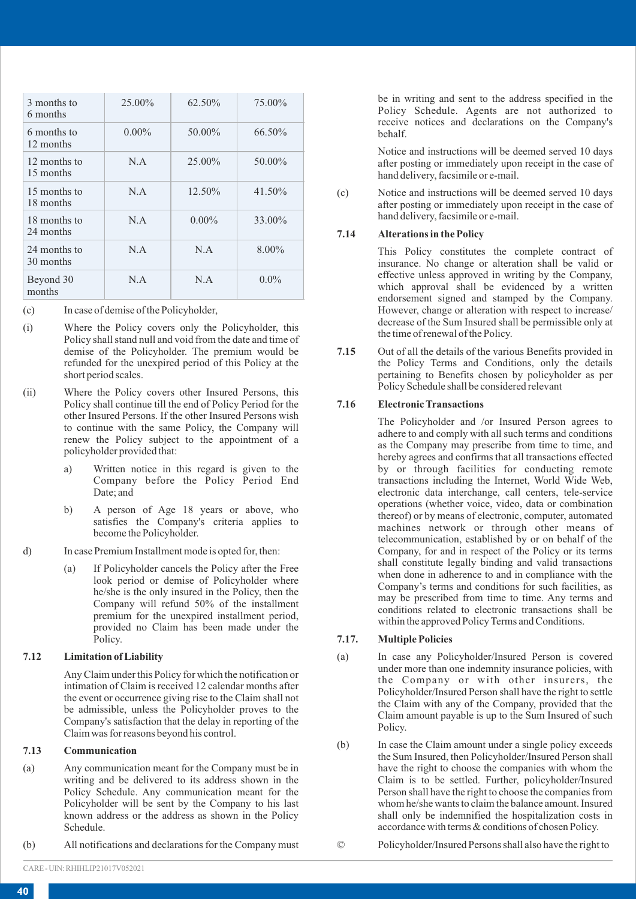| 3 months to<br>6 months   | $25.00\%$ | 62.50%   | 75.00%    |
|---------------------------|-----------|----------|-----------|
| 6 months to<br>12 months  | $0.00\%$  | 50.00%   | 66.50%    |
| 12 months to<br>15 months | N.A       | 25.00%   | 50.00%    |
| 15 months to<br>18 months | N.A       | 12.50%   | $41.50\%$ |
| 18 months to<br>24 months | N A       | $0.00\%$ | 33.00%    |
| 24 months to<br>30 months | N.A       | N.A      | $8.00\%$  |
| Beyond 30<br>months       | N.A       | N.A      | $0.0\%$   |

(c) In case of demise of the Policyholder,

- (i) Where the Policy covers only the Policyholder, this Policy shall stand null and void from the date and time of demise of the Policyholder. The premium would be refunded for the unexpired period of this Policy at the short period scales.
- (ii) Where the Policy covers other Insured Persons, this Policy shall continue till the end of Policy Period for the other Insured Persons. If the other Insured Persons wish to continue with the same Policy, the Company will renew the Policy subject to the appointment of a policyholder provided that:
	- a) Written notice in this regard is given to the Company before the Policy Period End Date; and
	- b) A person of Age 18 years or above, who satisfies the Company's criteria applies to become the Policyholder.
- d) In case Premium Installment mode is opted for, then:
	- (a) If Policyholder cancels the Policy after the Free look period or demise of Policyholder where he/she is the only insured in the Policy, then the Company will refund 50% of the installment premium for the unexpired installment period, provided no Claim has been made under the Policy.

## **7.12 Limitation of Liability**

Any Claim under this Policy for which the notification or intimation of Claim is received 12 calendar months after the event or occurrence giving rise to the Claim shall not be admissible, unless the Policyholder proves to the Company's satisfaction that the delay in reporting of the Claim was for reasons beyond his control.

#### **7.13 Communication**

- (a) Any communication meant for the Company must be in writing and be delivered to its address shown in the Policy Schedule. Any communication meant for the Policyholder will be sent by the Company to his last known address or the address as shown in the Policy Schedule.
- (b) All notifications and declarations for the Company must

be in writing and sent to the address specified in the Policy Schedule. Agents are not authorized to receive notices and declarations on the Company's behalf.

Notice and instructions will be deemed served 10 days after posting or immediately upon receipt in the case of hand delivery, facsimile or e-mail.

(c) Notice and instructions will be deemed served 10 days after posting or immediately upon receipt in the case of hand delivery, facsimile or e-mail.

## **7.14 Alterations in the Policy**

This Policy constitutes the complete contract of insurance. No change or alteration shall be valid or effective unless approved in writing by the Company, which approval shall be evidenced by a written endorsement signed and stamped by the Company. However, change or alteration with respect to increase/ decrease of the Sum Insured shall be permissible only at the time of renewal of the Policy.

**7.15** Out of all the details of the various Benefits provided in the Policy Terms and Conditions, only the details pertaining to Benefits chosen by policyholder as per Policy Schedule shall be considered relevant

## **7.16 Electronic Transactions**

The Policyholder and /or Insured Person agrees to adhere to and comply with all such terms and conditions as the Company may prescribe from time to time, and hereby agrees and confirms that all transactions effected by or through facilities for conducting remote transactions including the Internet, World Wide Web, electronic data interchange, call centers, tele-service operations (whether voice, video, data or combination thereof) or by means of electronic, computer, automated machines network or through other means of telecommunication, established by or on behalf of the Company, for and in respect of the Policy or its terms shall constitute legally binding and valid transactions when done in adherence to and in compliance with the Company's terms and conditions for such facilities, as may be prescribed from time to time. Any terms and conditions related to electronic transactions shall be within the approved Policy Terms and Conditions.

## **7.17. Multiple Policies**

- (a) In case any Policyholder/Insured Person is covered under more than one indemnity insurance policies, with the Company or with other insurers, the Policyholder/Insured Person shall have the right to settle the Claim with any of the Company, provided that the Claim amount payable is up to the Sum Insured of such Policy.
- (b) In case the Claim amount under a single policy exceeds the Sum Insured, then Policyholder/Insured Person shall have the right to choose the companies with whom the Claim is to be settled. Further, policyholder/Insured Person shall have the right to choose the companies from whom he/she wants to claim the balance amount. Insured shall only be indemnified the hospitalization costs in accordance with terms & conditions of chosen Policy.

© Policyholder/Insured Persons shall also have the right to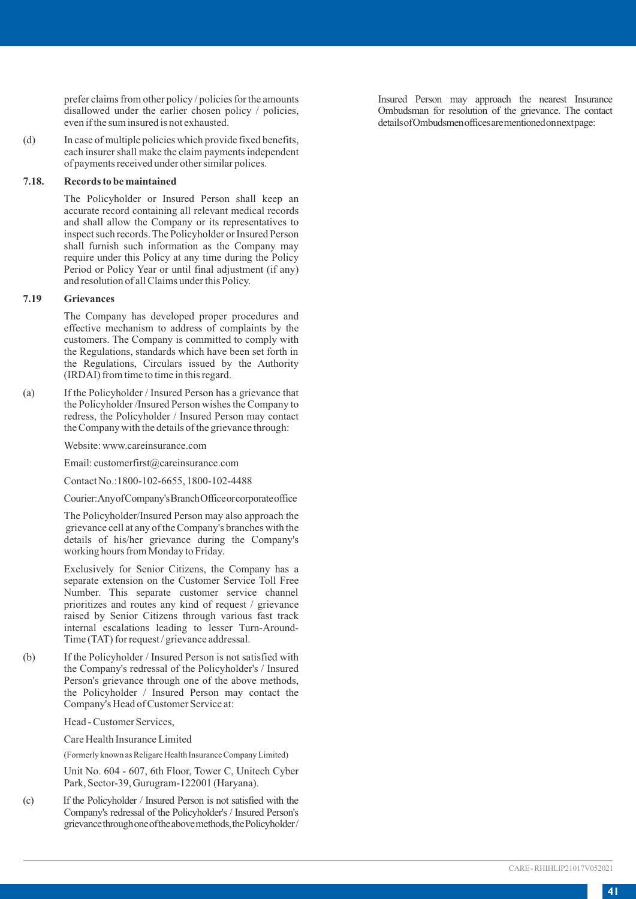prefer claims from other policy / policies for the amounts disallowed under the earlier chosen policy / policies, even if the sum insured is not exhausted.

(d) In case of multiple policies which provide fixed benefits, each insurer shall make the claim payments independent of payments received under other similar polices.

#### **7.18. Records to be maintained**

The Policyholder or Insured Person shall keep an accurate record containing all relevant medical records and shall allow the Company or its representatives to inspect such records. The Policyholder or Insured Person shall furnish such information as the Company may require under this Policy at any time during the Policy Period or Policy Year or until final adjustment (if any) and resolution of all Claims under this Policy.

#### **7.19 Grievances**

The Company has developed proper procedures and effective mechanism to address of complaints by the customers. The Company is committed to comply with the Regulations, standards which have been set forth in the Regulations, Circulars issued by the Authority (IRDAI) from time to time in this regard.

(a) If the Policyholder / Insured Person has a grievance that the Policyholder /Insured Person wishes the Company to redress, the Policyholder / Insured Person may contact the Company with the details of the grievance through:

Website: www.careinsurance.com

Email: customerfirst@careinsurance.com

Contact No.:1800-102-6655, 1800-102-4488

Courier:Any of Company's Branch Office or corporate office

The Policyholder/Insured Person may also approach the grievance cell at any of the Company's branches with the details of his/her grievance during the Company's working hours from Monday to Friday.

Exclusively for Senior Citizens, the Company has a separate extension on the Customer Service Toll Free Number. This separate customer service channel prioritizes and routes any kind of request / grievance raised by Senior Citizens through various fast track internal escalations leading to lesser Turn-Around-Time (TAT) for request / grievance addressal.

(b) If the Policyholder / Insured Person is not satisfied with the Company's redressal of the Policyholder's / Insured Person's grievance through one of the above methods, the Policyholder / Insured Person may contact the Company's Head of Customer Service at:

Head - Customer Services,

Care Health Insurance Limited

(Formerly known as Religare Health Insurance Company Limited)

Unit No. 604 - 607, 6th Floor, Tower C, Unitech Cyber Park, Sector-39, Gurugram-122001 (Haryana).

(c) If the Policyholder / Insured Person is not satisfied with the Company's redressal of the Policyholder's / Insured Person's grievance through one of the above methods, the Policyholder / Insured Person may approach the nearest Insurance Ombudsman for resolution of the grievance. The contact details of Ombudsmen offices are mentioned on next page: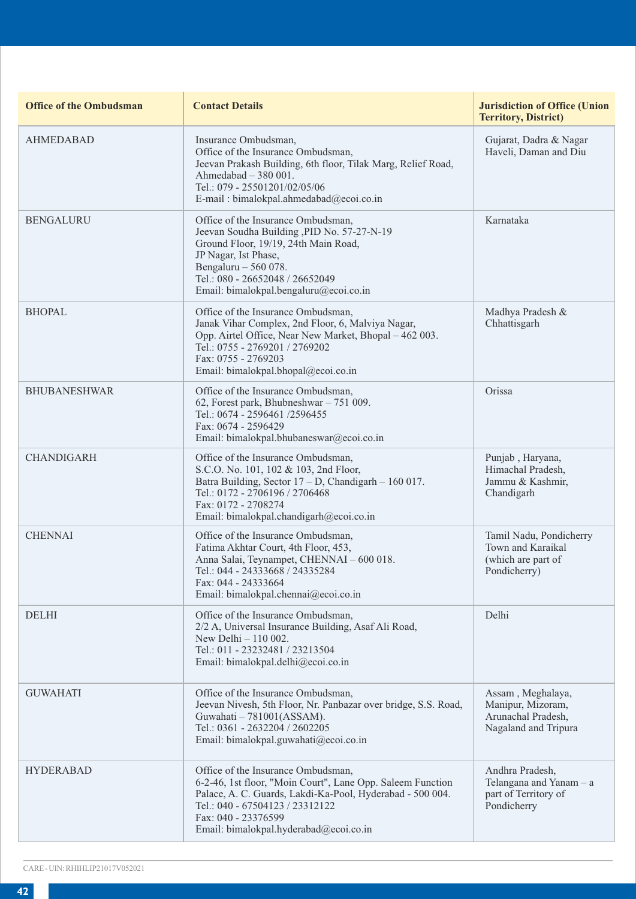| <b>Office of the Ombudsman</b> | <b>Contact Details</b>                                                                                                                                                                                                                                            | <b>Jurisdiction of Office (Union</b><br><b>Territory, District)</b>                  |
|--------------------------------|-------------------------------------------------------------------------------------------------------------------------------------------------------------------------------------------------------------------------------------------------------------------|--------------------------------------------------------------------------------------|
| <b>AHMEDABAD</b>               | Insurance Ombudsman.<br>Office of the Insurance Ombudsman.<br>Jeevan Prakash Building, 6th floor, Tilak Marg, Relief Road,<br>Ahmedabad $-380001$ .<br>Tel.: 079 - 25501201/02/05/06<br>E-mail: bimalokpal.ahmedabad@ecoi.co.in                                   | Gujarat, Dadra & Nagar<br>Haveli, Daman and Diu                                      |
| <b>BENGALURU</b>               | Office of the Insurance Ombudsman,<br>Jeevan Soudha Building , PID No. 57-27-N-19<br>Ground Floor, 19/19, 24th Main Road,<br>JP Nagar, Ist Phase,<br>Bengaluru - 560 078.<br>Tel.: 080 - 26652048 / 26652049<br>Email: bimalokpal.bengaluru@ecoi.co.in            | Karnataka                                                                            |
| <b>BHOPAL</b>                  | Office of the Insurance Ombudsman,<br>Janak Vihar Complex, 2nd Floor, 6, Malviya Nagar,<br>Opp. Airtel Office, Near New Market, Bhopal – 462 003.<br>Tel.: 0755 - 2769201 / 2769202<br>Fax: 0755 - 2769203<br>Email: bimalokpal.bhopal@ecoi.co.in                 | Madhya Pradesh &<br>Chhattisgarh                                                     |
| <b>BHUBANESHWAR</b>            | Office of the Insurance Ombudsman,<br>62, Forest park, Bhubneshwar - 751 009.<br>Tel.: 0674 - 2596461 /2596455<br>Fax: 0674 - 2596429<br>Email: bimalokpal.bhubaneswar@ecoi.co.in                                                                                 | Orissa                                                                               |
| <b>CHANDIGARH</b>              | Office of the Insurance Ombudsman,<br>S.C.O. No. 101, 102 & 103, 2nd Floor,<br>Batra Building, Sector $17 - D$ , Chandigarh - 160 017.<br>Tel.: 0172 - 2706196 / 2706468<br>Fax: 0172 - 2708274<br>Email: bimalokpal.chandigarh@ecoi.co.in                        | Punjab, Haryana,<br>Himachal Pradesh,<br>Jammu & Kashmir,<br>Chandigarh              |
| <b>CHENNAI</b>                 | Office of the Insurance Ombudsman,<br>Fatima Akhtar Court, 4th Floor, 453,<br>Anna Salai, Teynampet, CHENNAI - 600 018.<br>Tel.: 044 - 24333668 / 24335284<br>Fax: 044 - 24333664<br>Email: bimalokpal.chennai@ecoi.co.in                                         | Tamil Nadu, Pondicherry<br>Town and Karaikal<br>(which are part of<br>Pondicherry)   |
| <b>DELHI</b>                   | Office of the Insurance Ombudsman,<br>2/2 A, Universal Insurance Building, Asaf Ali Road,<br>New Delhi $-110002$ .<br>Tel.: 011 - 23232481 / 23213504<br>Email: bimalokpal.delhi@ecoi.co.in                                                                       | Delhi                                                                                |
| <b>GUWAHATI</b>                | Office of the Insurance Ombudsman.<br>Jeevan Nivesh, 5th Floor, Nr. Panbazar over bridge, S.S. Road,<br>Guwahati - 781001(ASSAM).<br>Tel.: 0361 - 2632204 / 2602205<br>Email: bimalokpal.guwahati@ecoi.co.in                                                      | Assam, Meghalaya,<br>Manipur, Mizoram,<br>Arunachal Pradesh,<br>Nagaland and Tripura |
| <b>HYDERABAD</b>               | Office of the Insurance Ombudsman,<br>6-2-46, 1st floor, "Moin Court", Lane Opp. Saleem Function<br>Palace, A. C. Guards, Lakdi-Ka-Pool, Hyderabad - 500 004.<br>Tel.: 040 - 67504123 / 23312122<br>Fax: 040 - 23376599<br>Email: bimalokpal.hyderabad@ecoi.co.in | Andhra Pradesh,<br>Telangana and Yanam - a<br>part of Territory of<br>Pondicherry    |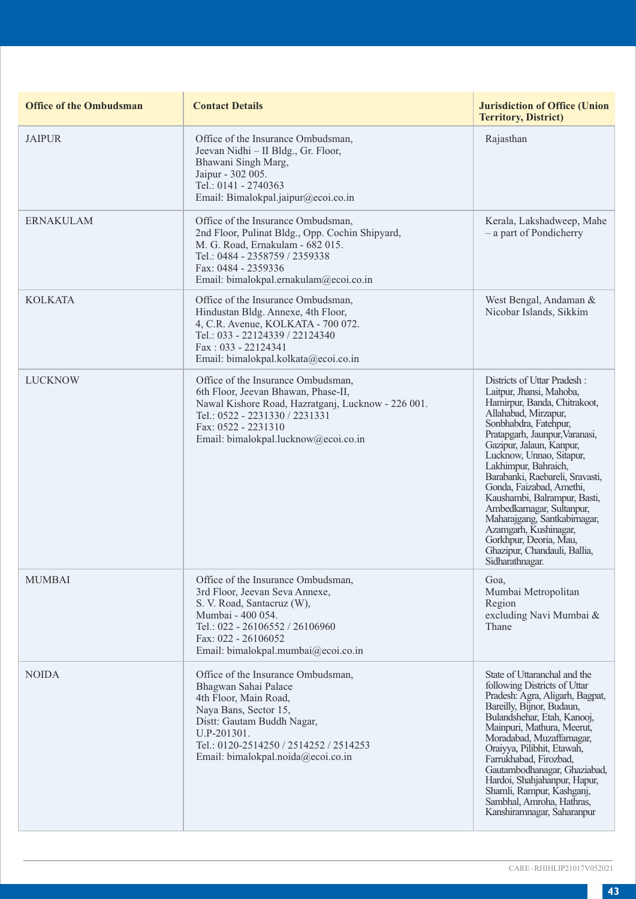| <b>Office of the Ombudsman</b> | <b>Contact Details</b>                                                                                                                                                                                                                    | <b>Jurisdiction of Office (Union</b><br><b>Territory, District)</b>                                                                                                                                                                                                                                                                                                                                                                                                                                                         |
|--------------------------------|-------------------------------------------------------------------------------------------------------------------------------------------------------------------------------------------------------------------------------------------|-----------------------------------------------------------------------------------------------------------------------------------------------------------------------------------------------------------------------------------------------------------------------------------------------------------------------------------------------------------------------------------------------------------------------------------------------------------------------------------------------------------------------------|
| <b>JAIPUR</b>                  | Office of the Insurance Ombudsman,<br>Jeevan Nidhi - II Bldg., Gr. Floor,<br>Bhawani Singh Marg,<br>Jaipur - 302 005.<br>Tel.: 0141 - 2740363<br>Email: Bimalokpal.jaipur@ecoi.co.in                                                      | Rajasthan                                                                                                                                                                                                                                                                                                                                                                                                                                                                                                                   |
| <b>ERNAKULAM</b>               | Office of the Insurance Ombudsman,<br>2nd Floor, Pulinat Bldg., Opp. Cochin Shipyard,<br>M. G. Road, Ernakulam - 682 015.<br>Tel.: 0484 - 2358759 / 2359338<br>Fax: 0484 - 2359336<br>Email: bimalokpal.ernakulam@ecoi.co.in              | Kerala, Lakshadweep, Mahe<br>- a part of Pondicherry                                                                                                                                                                                                                                                                                                                                                                                                                                                                        |
| <b>KOLKATA</b>                 | Office of the Insurance Ombudsman,<br>Hindustan Bldg. Annexe, 4th Floor,<br>4, C.R. Avenue, KOLKATA - 700 072.<br>Tel.: 033 - 22124339 / 22124340<br>$Fax: 033 - 22124341$<br>Email: bimalokpal.kolkata@ecoi.co.in                        | West Bengal, Andaman &<br>Nicobar Islands, Sikkim                                                                                                                                                                                                                                                                                                                                                                                                                                                                           |
| <b>LUCKNOW</b>                 | Office of the Insurance Ombudsman,<br>6th Floor, Jeevan Bhawan, Phase-II,<br>Nawal Kishore Road, Hazratganj, Lucknow - 226 001.<br>Tel.: 0522 - 2231330 / 2231331<br>Fax: 0522 - 2231310<br>Email: bimalokpal.lucknow@ecoi.co.in          | Districts of Uttar Pradesh:<br>Laitpur, Jhansi, Mahoba,<br>Hamirpur, Banda, Chitrakoot,<br>Allahabad, Mirzapur,<br>Sonbhabdra, Fatehpur,<br>Pratapgarh, Jaunpur, Varanasi,<br>Gazipur, Jalaun, Kanpur,<br>Lucknow, Unnao, Sitapur,<br>Lakhimpur, Bahraich,<br>Barabanki, Raebareli, Sravasti,<br>Gonda, Faizabad, Amethi,<br>Kaushambi, Balrampur, Basti,<br>Ambedkamagar, Sultanpur,<br>Maharajgang, Santkabirnagar,<br>Azamgarh, Kushinagar,<br>Gorkhpur, Deoria, Mau,<br>Ghazipur, Chandauli, Ballia,<br>Sidharathnagar. |
| <b>MUMBAI</b>                  | Office of the Insurance Ombudsman,<br>3rd Floor, Jeevan Seva Annexe,<br>S. V. Road, Santacruz (W),<br>Mumbai - 400 054.<br>Tel.: 022 - 26106552 / 26106960<br>Fax: 022 - 26106052<br>Email: bimalokpal.mumbai@ecoi.co.in                  | Goa,<br>Mumbai Metropolitan<br>Region<br>excluding Navi Mumbai &<br>Thane                                                                                                                                                                                                                                                                                                                                                                                                                                                   |
| <b>NOIDA</b>                   | Office of the Insurance Ombudsman,<br>Bhagwan Sahai Palace<br>4th Floor, Main Road,<br>Naya Bans, Sector 15,<br>Distt: Gautam Buddh Nagar,<br>U.P-201301.<br>Tel.: 0120-2514250 / 2514252 / 2514253<br>Email: bimalokpal.noida@ecoi.co.in | State of Uttaranchal and the<br>following Districts of Uttar<br>Pradesh: Agra, Aligarh, Bagpat,<br>Bareilly, Bijnor, Budaun,<br>Bulandshehar, Etah, Kanooj,<br>Mainpuri, Mathura, Meerut,<br>Moradabad, Muzaffarnagar,<br>Oraiyya, Pilibhit, Etawah,<br>Farrukhabad, Firozbad,<br>Gautambodhanagar, Ghaziabad,<br>Hardoi, Shahjahanpur, Hapur,<br>Shamli, Rampur, Kashganj,<br>Sambhal, Amroha, Hathras,<br>Kanshiramnagar, Saharanpur                                                                                      |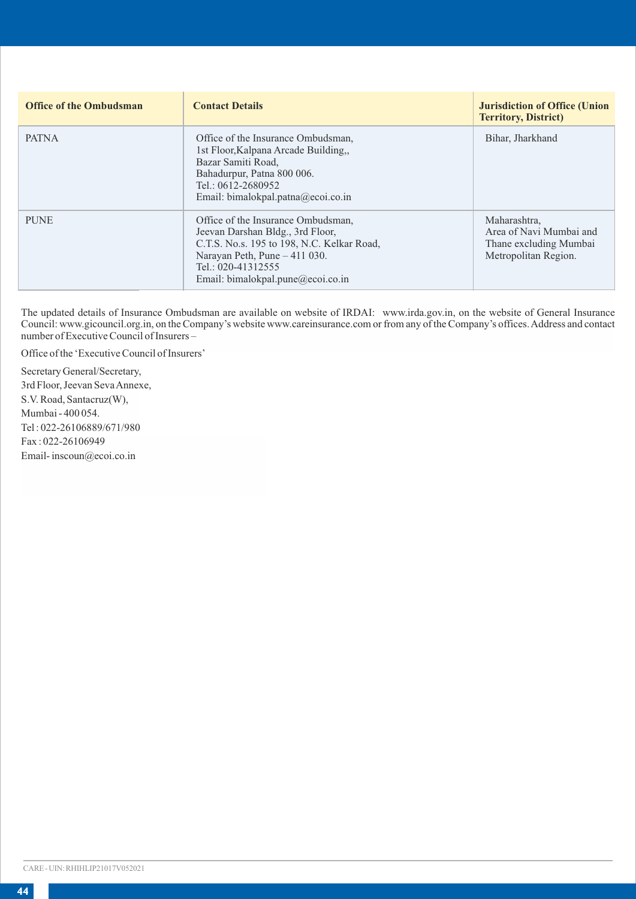| <b>Office of the Ombudsman</b> | <b>Contact Details</b>                                                                                                                                                                                           | <b>Jurisdiction of Office (Union</b><br><b>Territory, District)</b>                       |
|--------------------------------|------------------------------------------------------------------------------------------------------------------------------------------------------------------------------------------------------------------|-------------------------------------------------------------------------------------------|
| <b>PATNA</b>                   | Office of the Insurance Ombudsman.<br>1st Floor, Kalpana Arcade Building<br>Bazar Samiti Road.<br>Bahadurpur, Patna 800 006.<br>Tel.: 0612-2680952<br>Email: bimalokpal.patna@ecoi.co.in                         | Bihar, Jharkhand                                                                          |
| <b>PUNE</b>                    | Office of the Insurance Ombudsman,<br>Jeevan Darshan Bldg., 3rd Floor,<br>C.T.S. No.s. 195 to 198, N.C. Kelkar Road,<br>Narayan Peth, Pune - 411 030.<br>Tel.: 020-41312555<br>Email: bimalokpal.pune@ecoi.co.in | Maharashtra,<br>Area of Navi Mumbai and<br>Thane excluding Mumbai<br>Metropolitan Region. |

The updated details of Insurance Ombudsman are available on website of IRDAI: www.irda.gov.in, on the website of General Insurance Council: www.gicouncil.org.in, on the Company's website www.careinsurance.com or from any of the Company's offices. Address and contact number of Executive Council of Insurers –

Office of the 'Executive Council of Insurers'

Secretary General/Secretary, 3rd Floor, Jeevan Seva Annexe, S.V. Road, Santacruz(W), Mumbai - 400 054. Tel : 022-26106889/671/980 Fax : 022-26106949 Email- inscoun@ecoi.co.in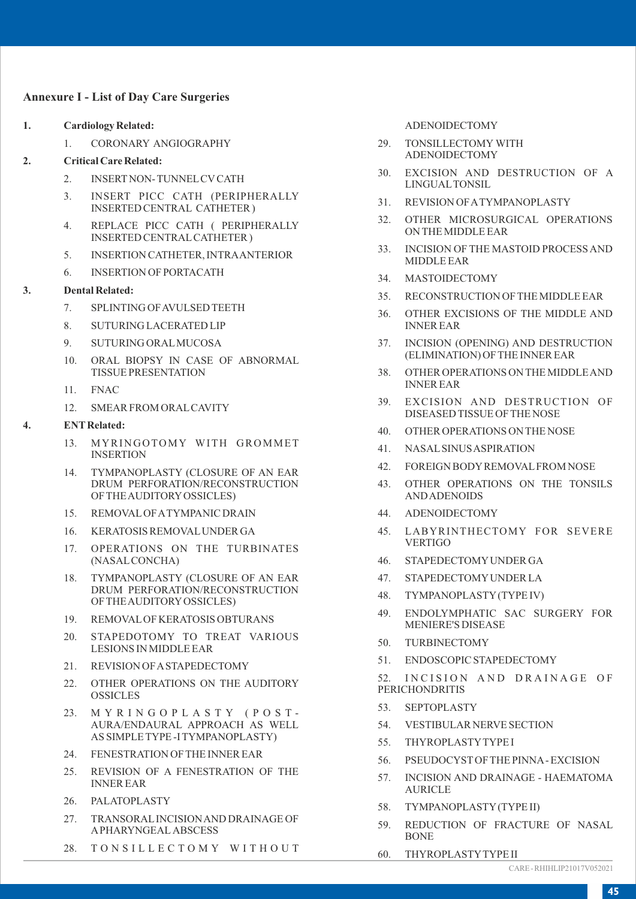## **Annexure I - List of Day Care Surgeries**

- **1. Cardiology Related:**
	- 1. CORONARY ANGIOGRAPHY
- **2. Critical Care Related:**
	- 2. INSERTNON- TUNNELCVCATH
	- 3. INSERT PICC CATH (PERIPHERALLY INSERTED CENTRAL CATHETER )
	- 4. REPLACE PICC CATH ( PERIPHERALLY INSERTED CENTRALCATHETER )
	- 5. INSERTION CATHETER, INTRAANTERIOR
	- 6. INSERTION OF PORTACATH

#### **3. Dental Related:**

- 7. SPLINTING OF AVULSED TEETH
- 8. SUTURING LACERATED LIP
- 9. SUTURING ORALMUCOSA
- 10. ORAL BIOPSY IN CASE OF ABNORMAL TISSUE PRESENTATION
- 11. FNAC
- 12. SMEAR FROM ORALCAVITY

#### **4. ENTRelated:**

- 13. MYRINGOTOMY WITH GROMMET INSERTION
- 14. TYMPANOPLASTY (CLOSURE OF AN EAR DRUM PERFORATION/RECONSTRUCTION OF THE AUDITORYOSSICLES)
- 15. REMOVALOF ATYMPANIC DRAIN
- 16. KERATOSIS REMOVALUNDER GA
- 17. OPERATIONS ON THE TURBINATES (NASALCONCHA)
- 18. TYMPANOPLASTY (CLOSURE OF AN EAR DRUM PERFORATION/RECONSTRUCTION OF THE AUDITORYOSSICLES)
- 19. REMOVALOF KERATOSIS OBTURANS
- 20. STAPEDOTOMY TO TREAT VARIOUS LESIONS IN MIDDLE EAR
- 21. REVISION OF ASTAPEDECTOMY
- 22. OTHER OPERATIONS ON THE AUDITORY **OSSICLES**
- 23. MYRINGOPLASTY (POST-AURA/ENDAURAL APPROACH AS WELL AS SIMPLE TYPE -I TYMPANOPLASTY)
- 24. FENESTRATION OF THE INNER EAR
- 25. REVISION OF A FENESTRATION OF THE INNER EAR
- 26. PALATOPLASTY
- 27. TRANSORALINCISION AND DRAINAGE OF APHARYNGEAL ABSCESS
- 28. TONSILLECTOMY WITHOUT

ADENOIDECTOMY

- 29. TONSILLECTOMY WITH ADENOIDECTOMY
- 30. EXCISION AND DESTRUCTION OF A LINGUALTONSIL
- 31. REVISION OF ATYMPANOPLASTY
- 32. OTHER MICROSURGICAL OPERATIONS ON THE MIDDLE EAR
- 33. INCISION OF THE MASTOID PROCESS AND MIDDLE EAR
- 34. MASTOIDECTOMY
- 35. RECONSTRUCTION OF THE MIDDLE EAR
- 36. OTHER EXCISIONS OF THE MIDDLE AND INNER EAR
- 37. INCISION (OPENING) AND DESTRUCTION (ELIMINATION) OF THE INNER EAR
- 38. OTHER OPERATIONS ON THE MIDDLE AND INNER EAR
- 39. EXCISION AND DESTRUCTION OF DISEASED TISSUE OF THE NOSE
- 40. OTHER OPERATIONS ON THE NOSE
- 41. NASALSINUS ASPIRATION
- 42. FOREIGN BODYREMOVALFROM NOSE
- 43. OTHER OPERATIONS ON THE TONSILS AND ADENOIDS
- 44. ADENOIDECTOMY
- 45. LABYRINTHECTOMY FOR SEVERE VERTIGO
- 46. STAPEDECTOMYUNDER GA
- 47. STAPEDECTOMYUNDER LA
- 48. TYMPANOPLASTY(TYPE IV)
- 49. ENDOLYMPHATIC SAC SURGERY FOR MENIERE'S DISEASE
- 50. TURBINECTOMY
- 51. ENDOSCOPIC STAPEDECTOMY

52. INCISION AND DRAINAGE OF PERICHONDRITIS

- 53. SEPTOPLASTY
- 54. VESTIBULAR NERVE SECTION
- 55. THYROPLASTYTYPE I
- 56. PSEUDOCYSTOF THE PINNA- EXCISION
- 57. INCISION AND DRAINAGE HAEMATOMA AURICLE
- 58. TYMPANOPLASTY(TYPE II)
- 59. REDUCTION OF FRACTURE OF NASAL BONE
- 60. THYROPLASTYTYPE II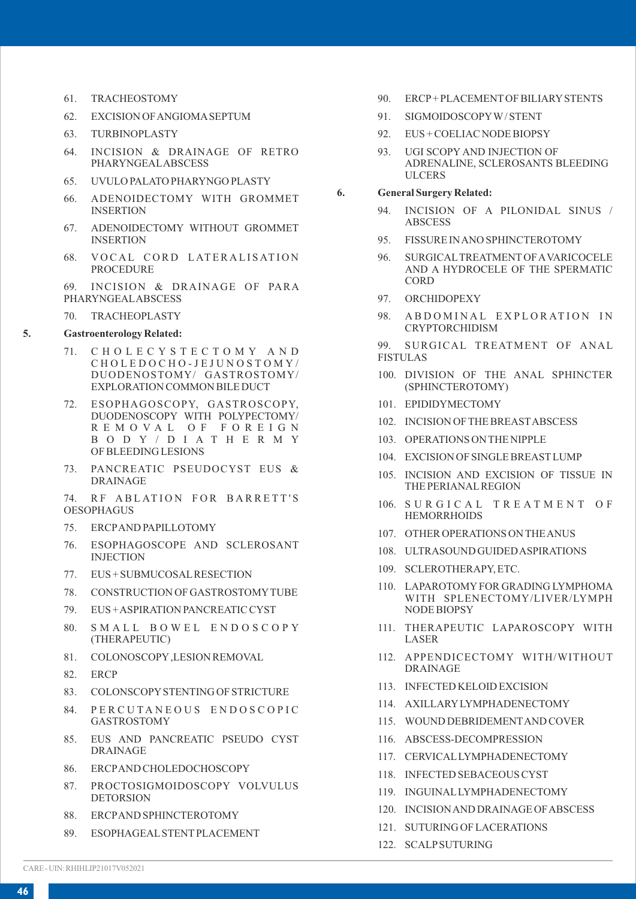- 61. TRACHEOSTOMY
- 62. EXCISION OF ANGIOMASEPTUM
- 63. TURBINOPLASTY
- 64. INCISION & DRAINAGE OF RETRO PHARYNGEALABSCESS
- 65. UVULO PALATO PHARYNGO PLASTY
- 66. ADENOIDECTOMY WITH GROMMET INSERTION
- 67. ADENOIDECTOMY WITHOUT GROMMET **INSERTION**
- 68. VOCAL CORD LATERALISATION PROCEDURE

69. INCISION & DRAINAGE OF PARA PHARYNGEALABSCESS

70. TRACHEOPLASTY

#### **5. Gastroenterology Related:**

- 71. C H O L E C Y S T E C T O M Y A N D C H O L E D O C H O - J E J U N O S T O M Y / DUODENOSTOMY/ GASTROSTOMY/ EXPLORATION COMMON BILE DUCT
- ESOPHAGOSCOPY, GASTROSCOPY, DUODENOSCOPY WITH POLYPECTOMY/ R E M O V A L O F F O R E I G N B O D Y / D I A T H E R M Y OF BLEEDING LESIONS
- 73. PANCREATIC PSEUDOCYST EUS & DRAINAGE

74. RF ABLATION FOR BARRETT'S OESOPHAGUS

- 75. ERCPAND PAPILLOTOMY
- 76. ESOPHAGOSCOPE AND SCLEROSANT INJECTION
- 77. EUS + SUBMUCOSALRESECTION
- 78. CONSTRUCTION OF GASTROSTOMYTUBE
- 79. EUS + ASPIRATION PANCREATIC CYST
- 80. SMALL BOWEL ENDOSCOPY (THERAPEUTIC)
- 81. COLONOSCOPY,LESION REMOVAL
- 82. ERCP
- 83. COLONSCOPYSTENTING OF STRICTURE
- 84. PERCUTANEOUS ENDOSCOPIC GASTROSTOMY
- 85. EUS AND PANCREATIC PSEUDO CYST DRAINAGE
- 86. ERCPAND CHOLEDOCHOSCOPY
- 87. PROCTOSIGMOIDOSCOPY VOLVULUS DETORSION
- 88. ERCPAND SPHINCTEROTOMY
- 89. ESOPHAGEALSTENTPLACEMENT
- 90. ERCP+ PLACEMENTOF BILIARYSTENTS
- 91. SIGMOIDOSCOPYW/ STENT
- 92. EUS + COELIAC NODE BIOPSY
- 93. UGI SCOPY AND INJECTION OF ADRENALINE, SCLEROSANTS BLEEDING ULCERS

#### **6. General Surgery Related:**

- 94. INCISION OF A PILONIDAL SINUS / ABSCESS
- 95. FISSURE IN ANO SPHINCTEROTOMY
- 96. SURGICALTREATMENTOF AVARICOCELE AND A HYDROCELE OF THE SPERMATIC **CORD**
- 97. ORCHIDOPEXY
- 98. A B D O M I N A L EXPLORATION IN CRYPTORCHIDISM
- 99. SURGICAL TREATMENT OF ANAL FISTULAS
- 100. DIVISION OF THE ANAL SPHINCTER (SPHINCTEROTOMY)
- 101. EPIDIDYMECTOMY
- 102. INCISION OF THE BREASTABSCESS
- 103. OPERATIONS ON THE NIPPLE
- 104. EXCISION OF SINGLE BREASTLUMP
- 105. INCISION AND EXCISION OF TISSUE IN THE PERIANALREGION
- 106. SURGICAL TREATMENT OF **HEMORRHOIDS**
- 107. OTHER OPERATIONS ON THE ANUS
- 108. ULTRASOUND GUIDED ASPIRATIONS
- 109. SCLEROTHERAPY, ETC.
- 110. LAPAROTOMYFOR GRADING LYMPHOMA WITH SPLENECTOMY/LIVER/LYMPH NODE BIOPSY
- 111. THERAPEUTIC LAPAROSCOPY WITH LASER
- 112. APPENDICECTOMY WITH/WITHOUT DRAINAGE
- 113. INFECTED KELOID EXCISION
- 114. AXILLARYLYMPHADENECTOMY
- 115. WOUND DEBRIDEMENTAND COVER
- 116. ABSCESS-DECOMPRESSION
- 117. CERVICALLYMPHADENECTOMY
- 118. INFECTED SEBACEOUS CYST
- 119. INGUINALLYMPHADENECTOMY
- 120. INCISION AND DRAINAGE OF ABSCESS
- 121. SUTURING OF LACERATIONS
- 122. SCALPSUTURING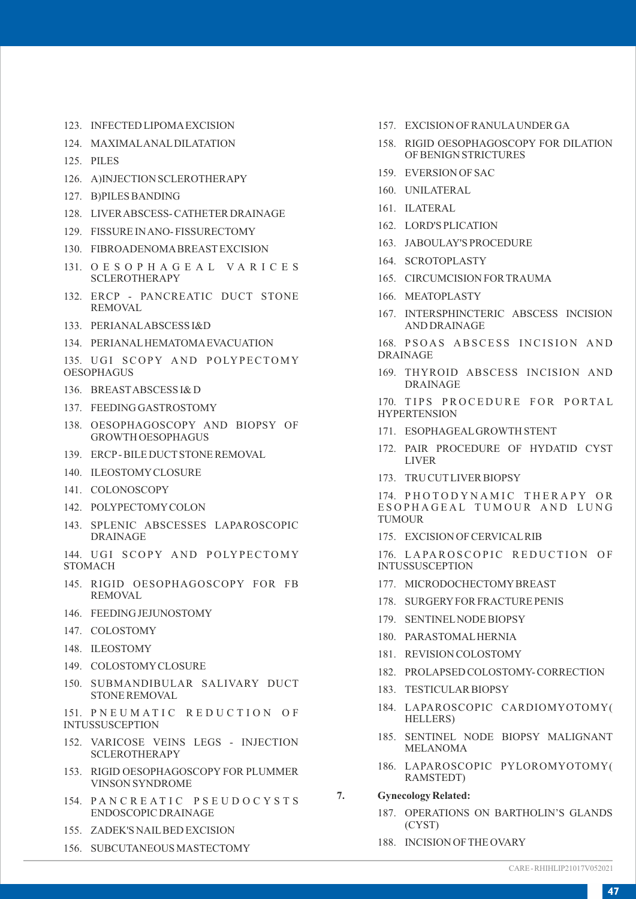- 123. INFECTED LIPOMAEXCISION
- 124. MAXIMALANALDILATATION
- 125. PILES
- 126. A)INJECTION SCLEROTHERAPY
- 127. B)PILES BANDING
- 128. LIVER ABSCESS- CATHETER DRAINAGE
- 129. FISSURE IN ANO- FISSURECTOMY
- 130. FIBROADENOMABREASTEXCISION
- 131. O E S O P H A G E A L V A R I C E S SCLEROTHERAPY
- 132. ERCP PANCREATIC DUCT STONE REMOVAL
- 133. PERIANALABSCESS I&D
- 134. PERIANALHEMATOMAEVACUATION
- 135. UGI SCOPY AND POLYPECTOMY **OESOPHAGUS**
- 136. BREASTABSCESS I& D
- 137. FEEDING GASTROSTOMY
- 138. OESOPHAGOSCOPY AND BIOPSY OF GROWTH OESOPHAGUS
- 139. ERCP- BILE DUCTSTONE REMOVAL
- 140. ILEOSTOMYCLOSURE
- 141. COLONOSCOPY
- 142. POLYPECTOMYCOLON
- 143. SPLENIC ABSCESSES LAPAROSCOPIC DRAINAGE
- 144. UGI SCOPY AND POLYPECTOMY **STOMACH**
- 145. RIGID OESOPHAGOSCOPY FOR FB REMOVAL
- 146. FEEDING JEJUNOSTOMY
- 147. COLOSTOMY
- 148. ILEOSTOMY
- 149. COLOSTOMYCLOSURE
- 150. SUBMANDIBULAR SALIVARY DUCT STONE REMOVAL

151. PNEUMATIC REDUCTION OF INTUSSUSCEPTION

- 152. VARICOSE VEINS LEGS INJECTION SCLEROTHERAPY
- 153. RIGID OESOPHAGOSCOPY FOR PLUMMER VINSON SYNDROME
- 154. PANCREATIC PSEUDOCYSTS ENDOSCOPIC DRAINAGE
- 155. ZADEK'S NAILBED EXCISION
- 156. SUBCUTANEOUS MASTECTOMY
- 157. EXCISION OF RANULAUNDER GA
- 158. RIGID OESOPHAGOSCOPY FOR DILATION OF BENIGN STRICTURES
- 159. EVERSION OF SAC
- 160. UNILATERAL
- 161. ILATERAL
- 162. LORD'S PLICATION
- 163. JABOULAY'S PROCEDURE
- 164. SCROTOPLASTY
- 165. CIRCUMCISION FOR TRAUMA
- 166. MEATOPLASTY
- 167. INTERSPHINCTERIC ABSCESS INCISION AND DRAINAGE
- 168. PSOAS ABSCESS INCISION AND DRAINAGE
- 169. THYROID ABSCESS INCISION AND DRAINAGE

170. TIPS PROCEDURE FOR PORTAL **HYPERTENSION** 

- 171. ESOPHAGEALGROWTH STENT
- 172. PAIR PROCEDURE OF HYDATID CYST LIVER
- 173. TRU CUTLIVER BIOPSY

174. PHOTODYNAMIC THERAPY OR ESOPHAGEAL TUMOUR AND LUNG **TUMOUR** 

175. EXCISION OF CERVICALRIB

176. LAPAROSCOPIC REDUCTION OF INTUSSUSCEPTION

- 177. MICRODOCHECTOMYBREAST
- 178. SURGERYFOR FRACTURE PENIS
- 179. SENTINELNODE BIOPSY
- 180. PARASTOMALHERNIA
- 181. REVISION COLOSTOMY
- 182. PROLAPSED COLOSTOMY- CORRECTION
- 183. TESTICULAR BIOPSY
- 184. LAPAROSCOPIC CARDIOMYOTOMY( HELLERS)
- 185. SENTINEL NODE BIOPSY MALIGNANT MELANOMA
- 186. LAPAROSCOPIC PYLOROMYOTOMY( RAMSTEDT)
- **7. Gynecology Related:**
	- 187. OPERATIONS ON BARTHOLIN'S GLANDS (CYST)
	- 188. INCISION OF THE OVARY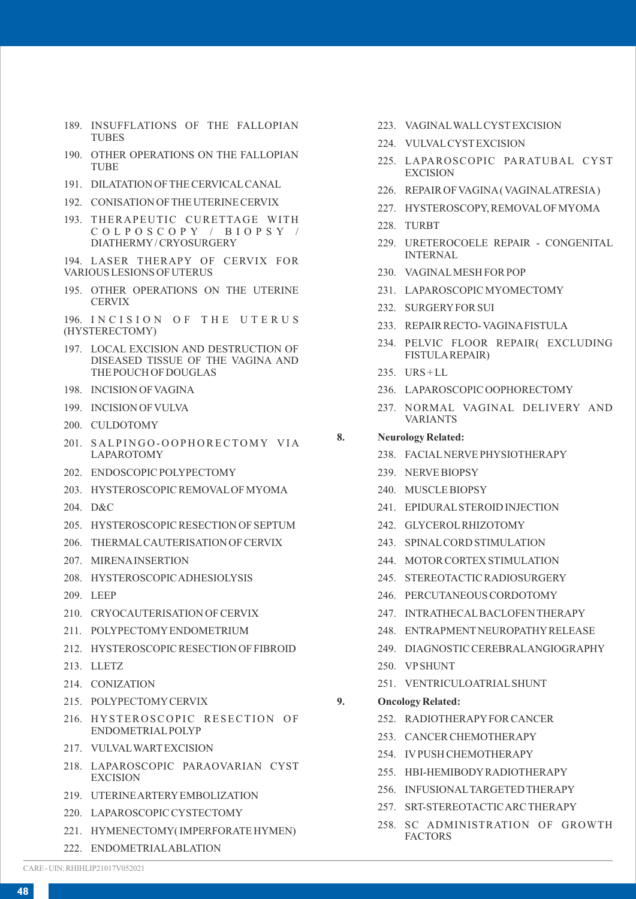- 189. INSUFFLATIONS OF THE FALLOPIAN TUBES
- 190. OTHER OPERATIONS ON THE FALLOPIAN **TUBE**
- 191. DILATATION OF THE CERVICALCANAL
- 192. CONISATION OF THE UTERINE CERVIX
- 193. THERAPEUTIC CURETTAGE WITH C O L P O S C O P Y / B I O P S Y / DIATHERMY/ CRYOSURGERY

194. LASER THERAPY OF CERVIX FOR VARIOUS LESIONS OF UTERUS

195. OTHER OPERATIONS ON THE UTERINE **CERVIX** 

196. INCISION OF THE UTERUS (HYSTERECTOMY)

- 197. LOCAL EXCISION AND DESTRUCTION OF DISEASED TISSUE OF THE VAGINA AND THE POUCH OF DOUGLAS
- 198. INCISION OF VAGINA
- 199. INCISION OF VULVA
- 200. CULDOTOMY
- 201. SALPINGO-OOPHORECTOMY VIA LAPAROTOMY
- 202. ENDOSCOPIC POLYPECTOMY
- 203. HYSTEROSCOPIC REMOVALOF MYOMA
- 204. D&C
- 205. HYSTEROSCOPIC RESECTION OF SEPTUM
- 206. THERMALCAUTERISATION OF CERVIX
- 207. MIRENAINSERTION
- 208. HYSTEROSCOPIC ADHESIOLYSIS
- 209. LEEP
- 210. CRYOCAUTERISATION OF CERVIX
- 211. POLYPECTOMYENDOMETRIUM
- 212. HYSTEROSCOPIC RESECTION OF FIBROID
- 213. LLETZ
- 214. CONIZATION
- 215. POLYPECTOMYCERVIX
- 216. HYSTEROSCOPIC RESECTION OF ENDOMETRIALPOLYP
- 217. VULVALWARTEXCISION
- 218. LAPAROSCOPIC PARAOVARIAN CYST EXCISION
- 219. UTERINE ARTERYEMBOLIZATION
- 220. LAPAROSCOPIC CYSTECTOMY
- 221. HYMENECTOMY( IMPERFORATE HYMEN)
- 222. ENDOMETRIALABLATION
- 223. VAGINALWALLCYSTEXCISION
- 224. VULVALCYSTEXCISION
- 225. LAPAROSCOPIC PARATUBAL CYST **EXCISION**
- 226. REPAIR OF VAGINA( VAGINALATRESIA)
- 227. HYSTEROSCOPY, REMOVALOF MYOMA
- 228. TURBT
- 229. URETEROCOELE REPAIR CONGENITAL INTERNAL
- 230. VAGINALMESH FOR POP
- 231. LAPAROSCOPIC MYOMECTOMY
- 232. SURGERYFOR SUI
- 233. REPAIR RECTO- VAGINAFISTULA
- 234. PELVIC FLOOR REPAIR( EXCLUDING FISTULAREPAIR)
- 235. URS + LL
- 236. LAPAROSCOPIC OOPHORECTOMY
- 237. NORMAL VAGINAL DELIVERY AND VARIANTS

## **8. Neurology Related:**

- 238. FACIALNERVE PHYSIOTHERAPY
- 239. NERVE BIOPSY
- 240. MUSCLE BIOPSY
- 241. EPIDURALSTEROID INJECTION
- 242. GLYCEROLRHIZOTOMY
- 243. SPINALCORD STIMULATION
- 244. MOTOR CORTEX STIMULATION
- 245. STEREOTACTIC RADIOSURGERY
- 246. PERCUTANEOUS CORDOTOMY
- 247. INTRATHECALBACLOFEN THERAPY
- 248. ENTRAPMENTNEUROPATHYRELEASE
- 249. DIAGNOSTIC CEREBRALANGIOGRAPHY
- 250. VPSHUNT
- 251. VENTRICULOATRIALSHUNT
- **9. Oncology Related:** 
	- 252. RADIOTHERAPYFOR CANCER
	- 253. CANCER CHEMOTHERAPY
	- 254. IVPUSH CHEMOTHERAPY
	- 255. HBI-HEMIBODYRADIOTHERAPY
	- 256. INFUSIONALTARGETED THERAPY
	- 257. SRT-STEREOTACTIC ARC THERAPY
	- 258. SC ADMINISTRATION OF GROWTH FACTORS

CARE - UIN: RHIHLIP21017V052021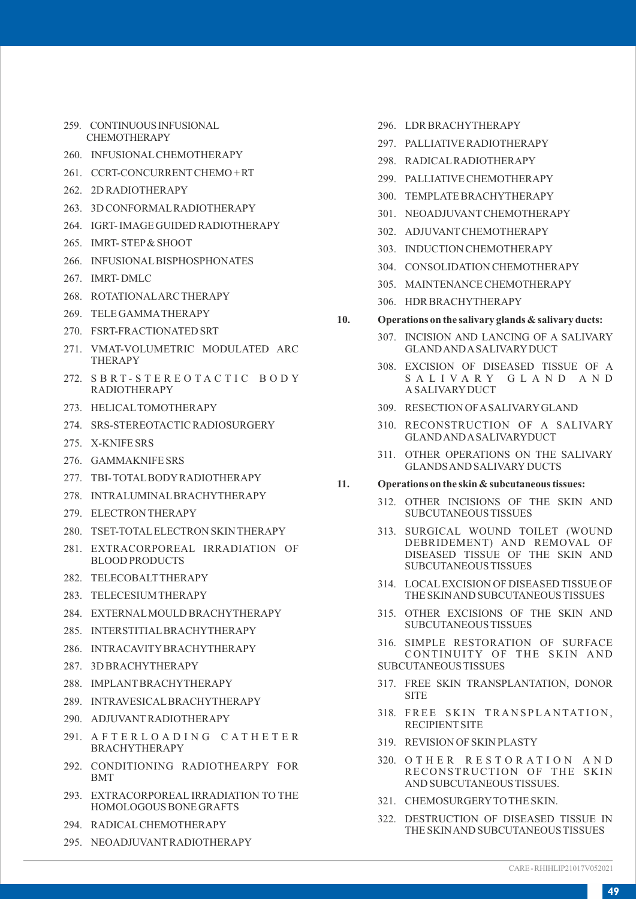- 259. CONTINUOUS INFUSIONAL CHEMOTHERAPY
- 260. INFUSIONALCHEMOTHERAPY
- 261. CCRT-CONCURRENTCHEMO + RT
- 262. 2D RADIOTHERAPY
- 263. 3D CONFORMALRADIOTHERAPY
- 264. IGRT- IMAGE GUIDED RADIOTHERAPY
- 265. IMRT- STEP& SHOOT
- 266. INFUSIONALBISPHOSPHONATES
- 267. IMRT- DMLC
- 268. ROTATIONALARC THERAPY
- 269. TELE GAMMATHERAPY
- 270. FSRT-FRACTIONATED SRT
- 271. VMAT-VOLUMETRIC MODULATED ARC THERAPY
- 272. SBRT-STEREOTACTIC BODY RADIOTHERAPY
- 273. HELICALTOMOTHERAPY
- 274. SRS-STEREOTACTIC RADIOSURGERY
- 275. X-KNIFE SRS
- 276. GAMMAKNIFE SRS
- 277. TBI- TOTALBODYRADIOTHERAPY
- 278. INTRALUMINALBRACHYTHERAPY
- 279. ELECTRON THERAPY
- 280. TSET-TOTALELECTRON SKIN THERAPY
- 281. EXTRACORPOREAL IRRADIATION OF BLOOD PRODUCTS
- 282. TELECOBALTTHERAPY
- 283. TELECESIUM THERAPY
- 284. EXTERNALMOULD BRACHYTHERAPY
- 285. INTERSTITIALBRACHYTHERAPY
- 286. INTRACAVITYBRACHYTHERAPY
- 287. 3D BRACHYTHERAPY
- 288. IMPLANTBRACHYTHERAPY
- 289. INTRAVESICALBRACHYTHERAPY
- 290. ADJUVANTRADIOTHERAPY
- 291. A F T E R L O A D I N G C A T H E T E R BRACHYTHERAPY
- 292. CONDITIONING RADIOTHEARPY FOR BMT
- 293. EXTRACORPOREAL IRRADIATION TO THE HOMOLOGOUS BONE GRAFTS
- 294. RADICALCHEMOTHERAPY
- 295. NEOADJUVANTRADIOTHERAPY
- 296. LDR BRACHYTHERAPY
- 297. PALLIATIVE RADIOTHERAPY
- 298. RADICALRADIOTHERAPY
- 299. PALLIATIVE CHEMOTHERAPY
- 300. TEMPLATE BRACHYTHERAPY
- 301. NEOADJUVANTCHEMOTHERAPY
- 302 ADJUVANT CHEMOTHER APY
- 303. INDUCTION CHEMOTHERAPY
- 304. CONSOLIDATION CHEMOTHERAPY
- 305. MAINTENANCE CHEMOTHERAPY
- 306. HDR BRACHYTHERAPY
- **10. Operations on the salivary glands & salivary ducts:**
	- 307. INCISION AND LANCING OF A SALIVARY GLAND AND ASALIVARYDUCT
	- 308. EXCISION OF DISEASED TISSUE OF A S A L I V A R Y G L A N D A N D A SALIVARYDUCT
	- 309. RESECTION OF ASALIVARYGLAND
	- 310. RECONSTRUCTION OF A SALIVARY GLAND AND ASALIVARYDUCT
	- 311. OTHER OPERATIONS ON THE SALIVARY GLANDS AND SALIVARY DUCTS

#### **11. Operations on the skin & subcutaneous tissues:**

- 312. OTHER INCISIONS OF THE SKIN AND SUBCUTANEOUS TISSUES
- 313. SURGICAL WOUND TOILET (WOUND DEBRIDEMENT) AND REMOVAL OF DISEASED TISSUE OF THE SKIN AND SUBCUTANEOUS TISSUES
- 314. LOCALEXCISION OF DISEASED TISSUE OF THE SKIN AND SUBCUTANEOUS TISSUES
- 315. OTHER EXCISIONS OF THE SKIN AND SUBCUTANEOUS TISSUES
- 316. SIMPLE RESTORATION OF SURFACE CONTINUITY OF THE SKIN AND SUBCUTANEOUS TISSUES
- 317. FREE SKIN TRANSPLANTATION, DONOR SITE
- 318. FREE SKIN TRANSPLANTATION, RECIPIENTSITE
- 319. REVISION OF SKIN PLASTY
- 320. O T H E R R E S T O R A T I O N A N D RECONSTRUCTION OF THE SKIN AND SUBCUTANEOUS TISSUES.
- 321. CHEMOSURGERYTO THE SKIN.
- 322. DESTRUCTION OF DISEASED TISSUE IN THE SKIN AND SUBCUTANEOUS TISSUES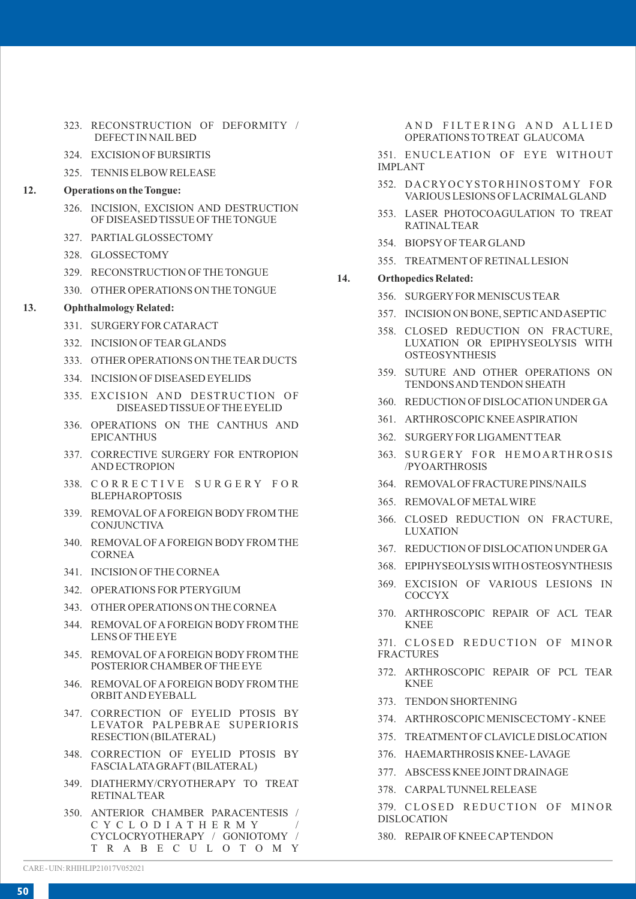- 323. RECONSTRUCTION OF DEFORMITY / DEFECTIN NAILBED
- 324. EXCISION OF BURSIRTIS
- 325. TENNIS ELBOWRELEASE

#### **12. Operations on the Tongue:**

- 326. INCISION, EXCISION AND DESTRUCTION OF DISEASED TISSUE OF THE TONGUE
- 327. PARTIALGLOSSECTOMY
- 328. GLOSSECTOMY
- 329. RECONSTRUCTION OF THE TONGUE
- 330. OTHER OPERATIONS ON THE TONGUE

#### **13. Ophthalmology Related:**

- 331. SURGERYFOR CATARACT
- 332. INCISION OF TEAR GLANDS
- 333. OTHER OPERATIONS ON THE TEAR DUCTS
- 334. INCISION OF DISEASED EYELIDS
- 335. EXCISION AND DESTRUCTION OF DISEASED TISSUE OF THE EYELID
- 336. OPERATIONS ON THE CANTHUS AND EPICANTHUS
- 337. CORRECTIVE SURGERY FOR ENTROPION AND ECTROPION
- 338. CORRECTIVE SURGERY FOR **BLEPHAROPTOSIS**
- 339. REMOVALOF AFOREIGN BODYFROM THE **CONJUNCTIVA**
- 340. REMOVALOF AFOREIGN BODYFROM THE CORNEA
- 341. INCISION OF THE CORNEA
- 342. OPERATIONS FOR PTERYGIUM
- 343. OTHER OPERATIONS ON THE CORNEA
- 344. REMOVALOF AFOREIGN BODYFROM THE LENS OF THE EYE
- 345. REMOVALOF AFOREIGN BODYFROM THE POSTERIOR CHAMBER OF THE EYE
- 346. REMOVALOF AFOREIGN BODYFROM THE ORBITAND EYEBALL
- 347. CORRECTION OF EYELID PTOSIS BY LEVATOR PALPEBRAE SUPERIORIS RESECTION (BILATERAL)
- 348. CORRECTION OF EYELID PTOSIS BY FASCIALATAGRAFT (BILATERAL)
- 349. DIATHERMY/CRYOTHERAPY TO TREAT RETINALTEAR
- 350. ANTERIOR CHAMBER PARACENTESIS / C Y C L O D I A T H E R M Y / CYCLOCRYOTHERAPY / GONIOTOMY / T R A B E C U L O T O M Y

AND FILTERING AND ALLIED OPERATIONS TO TREAT GLAUCOMA

351. ENUCLEATION OF EYE WITHOUT IMPLANT

- 352. DACRYOCYSTORHINOSTOMY FOR VARIOUS LESIONS OF LACRIMALGLAND
- 353. LASER PHOTOCOAGULATION TO TREAT RATINALTEAR
- 354. BIOPSYOF TEAR GLAND
- 355. TREATMENTOF RETINALLESION

#### **14. Orthopedics Related:**

- 356. SURGERYFOR MENISCUS TEAR
- 357. INCISION ON BONE, SEPTIC AND ASEPTIC
- 358. CLOSED REDUCTION ON FRACTURE, LUXATION OR EPIPHYSEOLYSIS WITH **OSTEOSYNTHESIS**
- 359. SUTURE AND OTHER OPERATIONS ON TENDONS AND TENDON SHEATH
- 360. REDUCTION OF DISLOCATION UNDER GA
- 361. ARTHROSCOPIC KNEE ASPIRATION
- 362. SURGERYFOR LIGAMENTTEAR
- 363. SURGERY FOR HEMOARTHROSIS /PYOARTHROSIS
- 364. REMOVALOF FRACTURE PINS/NAILS
- 365. REMOVALOF METALWIRE
- 366. CLOSED REDUCTION ON FRACTURE, LUXATION
- 367. REDUCTION OF DISLOCATION UNDER GA
- 368. EPIPHYSEOLYSIS WITH OSTEOSYNTHESIS
- 369. EXCISION OF VARIOUS LESIONS IN COCCYX
- 370. ARTHROSCOPIC REPAIR OF ACL TEAR KNEE

371. CLOSED REDUCTION OF MINOR FRACTURES

- 372. ARTHROSCOPIC REPAIR OF PCL TEAR KNEE
- 373. TENDON SHORTENING
- 374. ARTHROSCOPIC MENISCECTOMY- KNEE
- 375. TREATMENTOF CLAVICLE DISLOCATION
- 376. HAEMARTHROSIS KNEE- LAVAGE
- 377. ABSCESS KNEE JOINTDRAINAGE
- 378. CARPALTUNNELRELEASE

379. CLOSED REDUCTION OF MINOR DISLOCATION

380. REPAIR OF KNEE CAPTENDON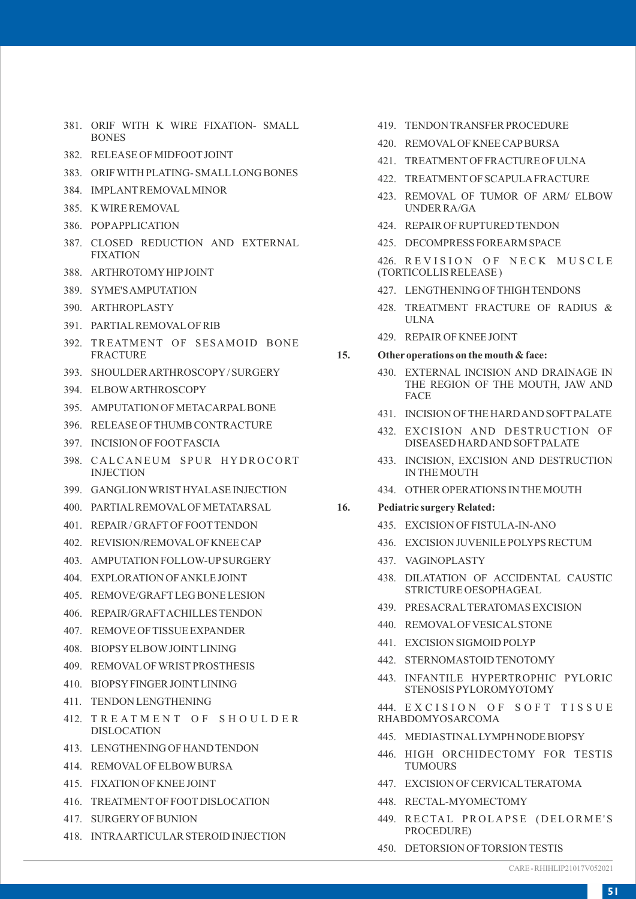- 381. ORIF WITH K WIRE FIXATION- SMALL BONES
- 382. RELEASE OF MIDFOOTJOINT
- 383. ORIF WITH PLATING- SMALLLONG BONES
- 384. IMPLANTREMOVALMINOR
- 385. K WIRE REMOVAL
- 386. POPAPPLICATION
- 387. CLOSED REDUCTION AND EXTERNAL FIXATION
- 388. ARTHROTOMYHIPJOINT
- 389. SYME'S AMPUTATION
- 390. ARTHROPLASTY
- 391. PARTIALREMOVALOF RIB
- 392. TREATMENT OF SESAMOID BONE **FRACTURE**
- 393. SHOULDER ARTHROSCOPY/ SURGERY
- 394. ELBOWARTHROSCOPY
- 395. AMPUTATION OF METACARPALBONE
- 396. RELEASE OF THUMB CONTRACTURE
- 397. INCISION OF FOOTFASCIA
- 398. CALCANEUM SPUR HYDROCORT **INJECTION**
- 399. GANGLION WRISTHYALASE INJECTION
- 400. PARTIALREMOVALOF METATARSAL
- 401. REPAIR / GRAFTOF FOOTTENDON
- 402. REVISION/REMOVALOF KNEE CAP
- 403. AMPUTATION FOLLOW-UPSURGERY
- 404. EXPLORATION OF ANKLE JOINT
- 405. REMOVE/GRAFTLEG BONE LESION
- 406. REPAIR/GRAFTACHILLES TENDON
- 407. REMOVE OF TISSUE EXPANDER
- 408. BIOPSYELBOWJOINTLINING
- 409. REMOVALOF WRISTPROSTHESIS
- 410. BIOPSYFINGER JOINTLINING
- 411. TENDON LENGTHENING
- 412. TREATMENT OF SHOULDER DISLOCATION
- 413. LENGTHENING OF HAND TENDON
- 414. REMOVALOF ELBOWBURSA
- 415. FIXATION OF KNEE JOINT
- 416. TREATMENTOF FOOTDISLOCATION
- 417. SURGERYOF BUNION
- 418. INTRAARTICULAR STEROID INJECTION
- 419. TENDON TRANSFER PROCEDURE
- 420. REMOVALOF KNEE CAPBURSA
- 421. TREATMENTOF FRACTURE OF ULNA
- 422. TREATMENTOF SCAPULAFRACTURE
- 423. REMOVAL OF TUMOR OF ARM/ ELBOW UNDER RA/GA
- 424. REPAIR OF RUPTURED TENDON
- 425. DECOMPRESS FOREARM SPACE

426. REVISION OF NECK MUSCLE (TORTICOLLIS RELEASE )

- 427. LENGTHENING OF THIGH TENDONS
- 428. TREATMENT FRACTURE OF RADIUS & ULNA
- 429. REPAIR OF KNEE JOINT

#### **15. Other operations on the mouth & face:**

- 430. EXTERNAL INCISION AND DRAINAGE IN THE REGION OF THE MOUTH, JAW AND FACE
- 431. INCISION OF THE HARD AND SOFTPALATE
- 432. EXCISION AND DESTRUCTION OF DISEASED HARD AND SOFT PALATE
- 433. INCISION, EXCISION AND DESTRUCTION IN THE MOUTH
- 434. OTHER OPERATIONS IN THE MOUTH

#### **16. Pediatric surgery Related:**

- 435. EXCISION OF FISTULA-IN-ANO
- 436. EXCISION JUVENILE POLYPS RECTUM
- 437. VAGINOPLASTY
- 438. DILATATION OF ACCIDENTAL CAUSTIC STRICTURE OESOPHAGEAL
- 439. PRESACRALTERATOMAS EXCISION
- 440. REMOVALOF VESICALSTONE
- 441. EXCISION SIGMOID POLYP
- 442. STERNOMASTOID TENOTOMY
- 443. INFANTILE HYPERTROPHIC PYLORIC STENOSIS PYLOROMYOTOMY

444. EXCISION OF SOFT TISSUE RHABDOMYOSARCOMA

- 445. MEDIASTINALLYMPH NODE BIOPSY
- 446. HIGH ORCHIDECTOMY FOR TESTIS TUMOURS
- 447. EXCISION OF CERVICALTERATOMA
- 448. RECTAL-MYOMECTOMY
- 449. RECTAL PROLAPSE (DELORME'S PROCEDURE)
- 450. DETORSION OF TORSION TESTIS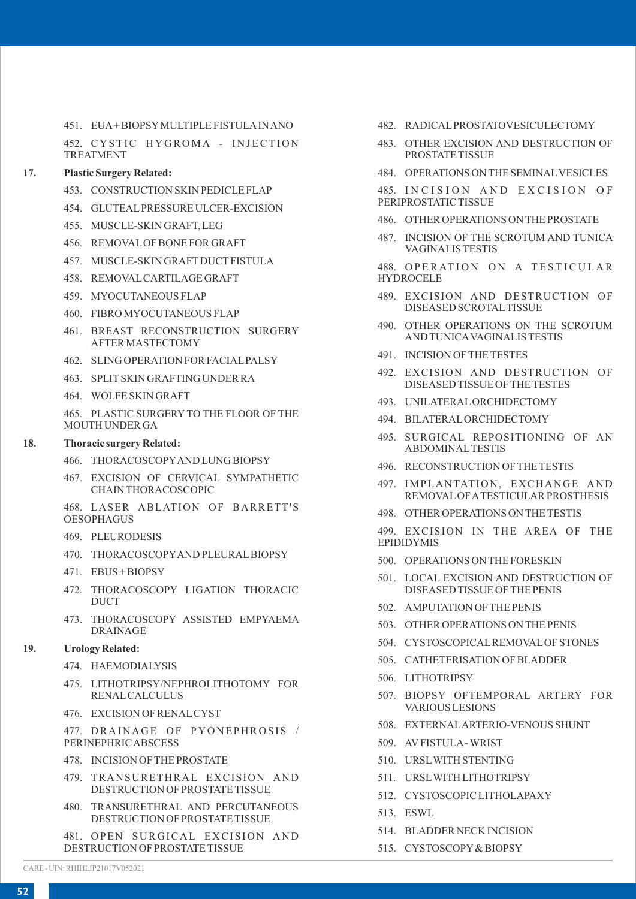451. EUA+ BIOPSYMULTIPLE FISTULAIN ANO

452. CYSTIC HYGROMA - INJECTION TREATMENT

## **17. Plastic Surgery Related:**

- 453. CONSTRUCTION SKIN PEDICLE FLAP
- 454. GLUTEALPRESSURE ULCER-EXCISION
- 455. MUSCLE-SKIN GRAFT, LEG
- 456. REMOVALOF BONE FOR GRAFT
- 457. MUSCLE-SKIN GRAFTDUCTFISTULA
- 458. REMOVALCARTILAGE GRAFT
- 459. MYOCUTANEOUS FLAP
- 460. FIBRO MYOCUTANEOUS FLAP
- 461. BREAST RECONSTRUCTION SURGERY AFTER MASTECTOMY
- 462. SLING OPERATION FOR FACIALPALSY
- 463. SPLITSKIN GRAFTING UNDER RA
- 464. WOLFE SKIN GRAFT

465. PLASTIC SURGERY TO THE FLOOR OF THE MOUTH UNDER GA

#### **18. Thoracic surgery Related:**

- 466. THORACOSCOPYAND LUNG BIOPSY
- 467. EXCISION OF CERVICAL SYMPATHETIC CHAIN THORACOSCOPIC
- 468. LASER ABLATION OF BARRETT'S OESOPHAGUS
- 469. PLEURODESIS
- 470. THORACOSCOPYAND PLEURALBIOPSY
- 471. EBUS + BIOPSY
- 472. THORACOSCOPY LIGATION THORACIC **DUCT**
- 473. THORACOSCOPY ASSISTED EMPYAEMA DRAINAGE

#### **19. Urology Related:**

- 474. HAEMODIALYSIS
- 475. LITHOTRIPSY/NEPHROLITHOTOMY FOR RENALCALCULUS
- 476. EXCISION OF RENALCYST

477. DRAINAGE OF PYONEPHROSIS / PERINEPHRIC ABSCESS

- 478. INCISION OF THE PROSTATE
- 479. TRANSURETHRAL EXCISION AND DESTRUCTION OF PROSTATE TISSUE
- 480. TRANSURETHRAL AND PERCUTANEOUS DESTRUCTION OF PROSTATE TISSUE

481. OPEN SURGICAL EXCISION AND DESTRUCTION OF PROSTATE TISSUE

- 482. RADICALPROSTATOVESICULECTOMY
- 483. OTHER EXCISION AND DESTRUCTION OF PROSTATE TISSUE
- 484. OPERATIONS ON THE SEMINALVESICLES

485. INCISION AND EXCISION OF PERIPROSTATIC TISSUE

- 486. OTHER OPERATIONS ON THE PROSTATE
- 487. INCISION OF THE SCROTUM AND TUNICA VAGINALIS TESTIS

488. OPERATION ON A TESTICULAR HYDROCELE

- 489. EXCISION AND DESTRUCTION OF DISEASED SCROTALTISSUE
- 490. OTHER OPERATIONS ON THE SCROTUM AND TUNICAVAGINALIS TESTIS
- 491. INCISION OF THE TESTES
- 492. EXCISION AND DESTRUCTION OF DISEASED TISSUE OF THE TESTES
- 493. UNILATERALORCHIDECTOMY
- 494. BILATERALORCHIDECTOMY
- 495. SURGICAL REPOSITIONING OF AN ABDOMINALTESTIS
- 496. RECONSTRUCTION OF THE TESTIS
- 497. IMPLANTATION, EXCHANGE AND REMOVALOF ATESTICULAR PROSTHESIS
- 498. OTHER OPERATIONS ON THE TESTIS

499. EXCISION IN THE AREA OF THE EPIDIDYMIS

- 500. OPERATIONS ON THE FORESKIN
- 501. LOCAL EXCISION AND DESTRUCTION OF DISEASED TISSUE OF THE PENIS
- 502. AMPUTATION OF THE PENIS
- 503. OTHER OPERATIONS ON THE PENIS
- 504. CYSTOSCOPICALREMOVALOF STONES
- 505. CATHETERISATION OF BLADDER
- 506. LITHOTRIPSY
- 507. BIOPSY OFTEMPORAL ARTERY FOR VARIOUS LESIONS
- 508. EXTERNALARTERIO-VENOUS SHUNT
- 509. AVFISTULA- WRIST
- 510. URSLWITH STENTING
- 511. URSLWITH LITHOTRIPSY
- 512. CYSTOSCOPIC LITHOLAPAXY
- 513. ESWL
- 514. BLADDER NECK INCISION
- 515. CYSTOSCOPY& BIOPSY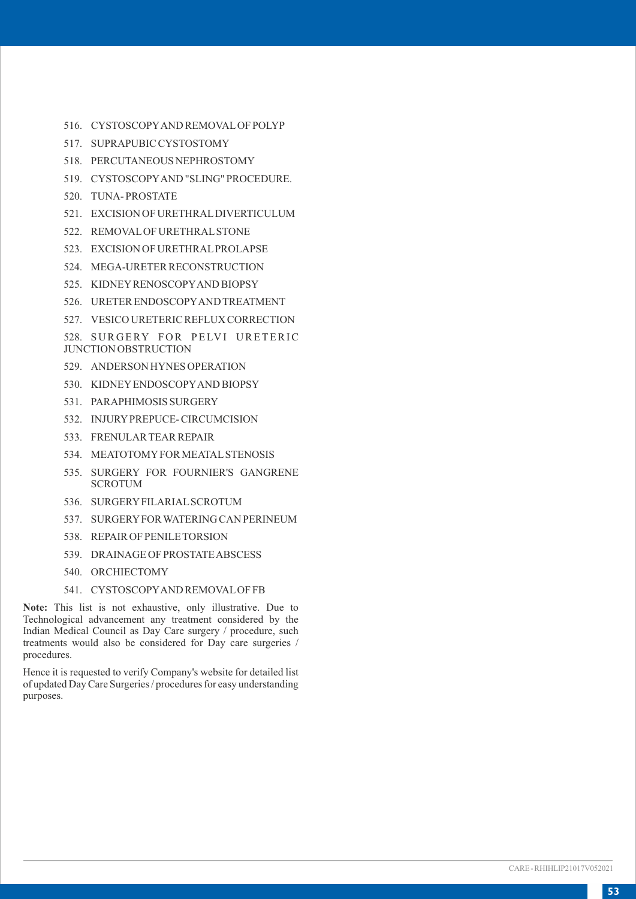- 516. CYSTOSCOPYAND REMOVALOF POLYP
- 517. SUPRAPUBIC CYSTOSTOMY
- 518. PERCUTANEOUS NEPHROSTOMY
- 519. CYSTOSCOPYAND "SLING" PROCEDURE.
- 520. TUNA- PROSTATE
- 521. EXCISION OF URETHRALDIVERTICULUM
- 522. REMOVALOF URETHRALSTONE
- 523. EXCISION OF URETHRALPROLAPSE
- 524. MEGA-URETER RECONSTRUCTION
- 525. KIDNEYRENOSCOPYAND BIOPSY
- 526. URETER ENDOSCOPYAND TREATMENT
- 527. VESICO URETERIC REFLUX CORRECTION

528. SURGERY FOR PELVI URETERIC JUNCTION OBSTRUCTION

- 529. ANDERSON HYNES OPERATION
- 530. KIDNEYENDOSCOPYAND BIOPSY
- 531. PARAPHIMOSIS SURGERY
- 532. INJURYPREPUCE- CIRCUMCISION
- 533. FRENULAR TEAR REPAIR
- 534. MEATOTOMYFOR MEATALSTENOSIS
- 535. SURGERY FOR FOURNIER'S GANGRENE **SCROTUM**
- 536. SURGERYFILARIALSCROTUM
- 537. SURGERYFOR WATERING CAN PERINEUM
- 538. REPAIR OF PENILE TORSION
- 539. DRAINAGE OF PROSTATE ABSCESS
- 540. ORCHIECTOMY
- 541. CYSTOSCOPYAND REMOVALOF FB

**Note:** This list is not exhaustive, only illustrative. Due to Technological advancement any treatment considered by the Indian Medical Council as Day Care surgery / procedure, such treatments would also be considered for Day care surgeries / procedures.

Hence it is requested to verify Company's website for detailed list of updated Day Care Surgeries / procedures for easy understanding purposes.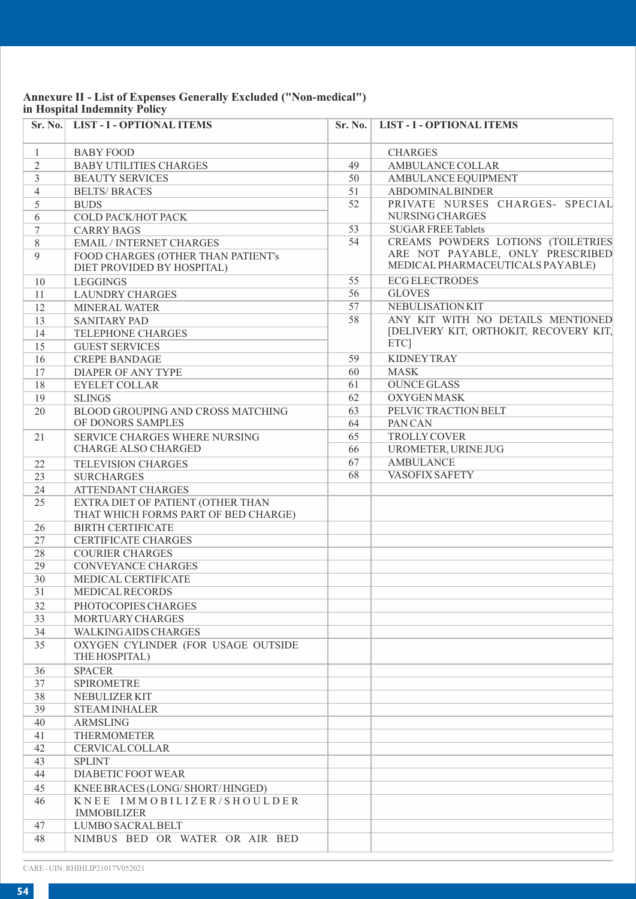## **Annexure II - List of Expenses Generally Excluded ("Non-medical") in Hospital Indemnity Policy**

| Sr. No.        | <b>LIST - I - OPTIONAL ITEMS</b>                                          | Sr. No. | <b>LIST - I - OPTIONAL ITEMS</b>                                     |
|----------------|---------------------------------------------------------------------------|---------|----------------------------------------------------------------------|
|                |                                                                           |         |                                                                      |
| $\mathbf{1}$   | <b>BABY FOOD</b>                                                          |         | <b>CHARGES</b>                                                       |
| $\overline{c}$ | <b>BABY UTILITIES CHARGES</b>                                             | 49      | AMBULANCE COLLAR                                                     |
| $\overline{3}$ | <b>BEAUTY SERVICES</b>                                                    | 50      | AMBULANCE EQUIPMENT                                                  |
| $\overline{4}$ | <b>BELTS/BRACES</b>                                                       | 51      | <b>ABDOMINAL BINDER</b>                                              |
| 5              | <b>BUDS</b>                                                               | 52      | PRIVATE NURSES CHARGES- SPECIAL                                      |
| 6              | COLD PACK/HOT PACK                                                        |         | NURSING CHARGES                                                      |
| 7              | <b>CARRY BAGS</b>                                                         | 53      | <b>SUGAR FREE Tablets</b>                                            |
| 8              | <b>EMAIL / INTERNET CHARGES</b>                                           | 54      | CREAMS POWDERS LOTIONS (TOILETRIES                                   |
| 9              | FOOD CHARGES (OTHER THAN PATIENT's<br>DIET PROVIDED BY HOSPITAL)          |         | ARE NOT PAYABLE, ONLY PRESCRIBED<br>MEDICAL PHARMACEUTICALS PAYABLE) |
| 10             | <b>LEGGINGS</b>                                                           | 55      | <b>ECG ELECTRODES</b>                                                |
| 11             | <b>LAUNDRY CHARGES</b>                                                    | 56      | <b>GLOVES</b>                                                        |
| 12             | <b>MINERAL WATER</b>                                                      | 57      | <b>NEBULISATION KIT</b>                                              |
| 13             | <b>SANITARY PAD</b>                                                       | 58      | ANY KIT WITH NO DETAILS MENTIONED                                    |
| 14             | TELEPHONE CHARGES                                                         |         | [DELIVERY KIT, ORTHOKIT, RECOVERY KIT,                               |
| 15             | <b>GUEST SERVICES</b>                                                     |         | ETC <sub>1</sub>                                                     |
| 16             | <b>CREPE BANDAGE</b>                                                      | 59      | <b>KIDNEY TRAY</b>                                                   |
| 17             | <b>DIAPER OF ANY TYPE</b>                                                 | 60      | <b>MASK</b>                                                          |
| 18             | <b>EYELET COLLAR</b>                                                      | 61      | <b>OUNCE GLASS</b>                                                   |
| 19             | <b>SLINGS</b>                                                             | 62      | <b>OXYGEN MASK</b>                                                   |
| 20             | BLOOD GROUPING AND CROSS MATCHING                                         | 63      | PELVIC TRACTION BELT                                                 |
|                | OF DONORS SAMPLES                                                         | 64      | PAN CAN                                                              |
| 21             | <b>SERVICE CHARGES WHERE NURSING</b>                                      | 65      | <b>TROLLY COVER</b>                                                  |
|                | <b>CHARGE ALSO CHARGED</b>                                                | 66      | UROMETER, URINE JUG                                                  |
| 22             | <b>TELEVISION CHARGES</b>                                                 | 67      | <b>AMBULANCE</b>                                                     |
| 23             | <b>SURCHARGES</b>                                                         | 68      | <b>VASOFIX SAFETY</b>                                                |
| 24             | <b>ATTENDANT CHARGES</b>                                                  |         |                                                                      |
| 25             | EXTRA DIET OF PATIENT (OTHER THAN<br>THAT WHICH FORMS PART OF BED CHARGE) |         |                                                                      |
| 26             | <b>BIRTH CERTIFICATE</b>                                                  |         |                                                                      |
| 27             | <b>CERTIFICATE CHARGES</b>                                                |         |                                                                      |
| 28             | <b>COURIER CHARGES</b>                                                    |         |                                                                      |
| 29             | <b>CONVEYANCE CHARGES</b>                                                 |         |                                                                      |
| 30             | MEDICAL CERTIFICATE                                                       |         |                                                                      |
| 31             | <b>MEDICAL RECORDS</b>                                                    |         |                                                                      |
| 32             | PHOTOCOPIES CHARGES                                                       |         |                                                                      |
| 33             | MORTUARY CHARGES                                                          |         |                                                                      |
| 34             | <b>WALKING AIDS CHARGES</b>                                               |         |                                                                      |
| 35             | OXYGEN CYLINDER (FOR USAGE OUTSIDE<br>THE HOSPITAL)                       |         |                                                                      |
| 36             | <b>SPACER</b>                                                             |         |                                                                      |
| 37             | <b>SPIROMETRE</b>                                                         |         |                                                                      |
| 38             | NEBULIZER KIT                                                             |         |                                                                      |
| 39             | <b>STEAM INHALER</b>                                                      |         |                                                                      |
| 40             | ARMSLING                                                                  |         |                                                                      |
| 41             | <b>THERMOMETER</b>                                                        |         |                                                                      |
| 42             | <b>CERVICAL COLLAR</b>                                                    |         |                                                                      |
| 43             | <b>SPLINT</b>                                                             |         |                                                                      |
| 44             | DIABETIC FOOT WEAR                                                        |         |                                                                      |
| 45             | KNEE BRACES (LONG/ SHORT/ HINGED)                                         |         |                                                                      |
| 46             | KNEE IMMOBILIZER/SHOULDER<br><b>IMMOBILIZER</b>                           |         |                                                                      |
| 47             | LUMBO SACRAL BELT                                                         |         |                                                                      |
| 48             | NIMBUS BED OR WATER OR AIR BED                                            |         |                                                                      |

CARE - UIN: RHIHLIP21017V052021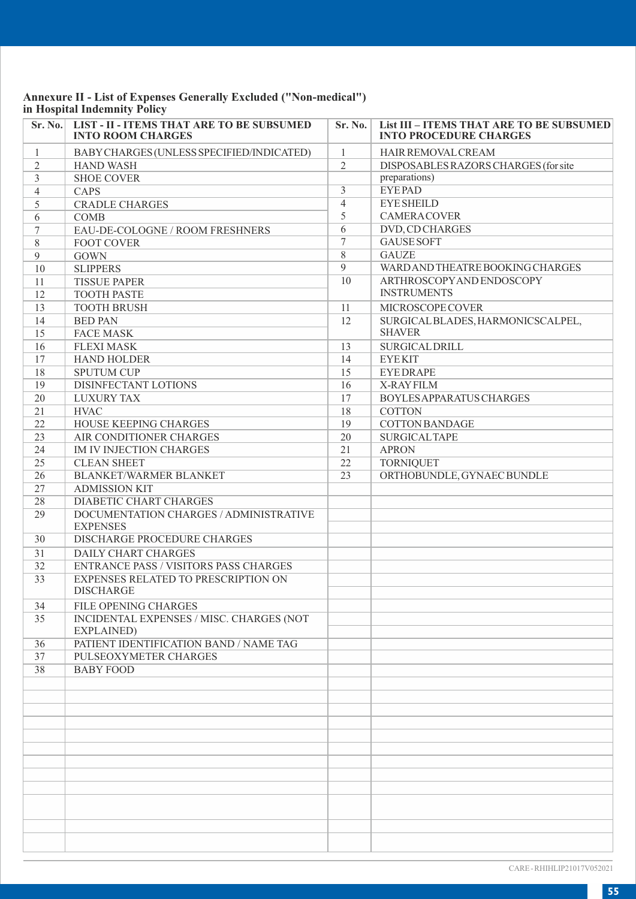# **Annexure II - List of Expenses Generally Excluded ("Non-medical") in Hospital Indemnity Policy**

| Sr. No.         | <b>LIST - II - ITEMS THAT ARE TO BE SUBSUMED</b><br><b>INTO ROOM CHARGES</b> | Sr. No.                 | List III - ITEMS THAT ARE TO BE SUBSUMED<br><b>INTO PROCEDURE CHARGES</b> |
|-----------------|------------------------------------------------------------------------------|-------------------------|---------------------------------------------------------------------------|
| $\mathbf{1}$    | BABY CHARGES (UNLESS SPECIFIED/INDICATED)                                    | $\mathbf{1}$            | HAIR REMOVAL CREAM                                                        |
| $\mathfrak{2}$  | <b>HAND WASH</b>                                                             | $\overline{c}$          | DISPOSABLES RAZORS CHARGES (for site                                      |
| $\overline{3}$  | <b>SHOE COVER</b>                                                            |                         | preparations)                                                             |
| $\overline{4}$  | <b>CAPS</b>                                                                  | $\overline{\mathbf{3}}$ | <b>EYEPAD</b>                                                             |
| 5               | <b>CRADLE CHARGES</b>                                                        | $\overline{4}$          | <b>EYE SHEILD</b>                                                         |
| 6               | <b>COMB</b>                                                                  | 5                       | <b>CAMERACOVER</b>                                                        |
| $7\phantom{.0}$ | EAU-DE-COLOGNE / ROOM FRESHNERS                                              | $\overline{6}$          | DVD, CD CHARGES                                                           |
| 8               | <b>FOOT COVER</b>                                                            | $\tau$                  | <b>GAUSE SOFT</b>                                                         |
| 9               | <b>GOWN</b>                                                                  | 8                       | <b>GAUZE</b>                                                              |
| 10              | <b>SLIPPERS</b>                                                              | $\overline{Q}$          | WARD AND THEATRE BOOKING CHARGES                                          |
| 11              | <b>TISSUE PAPER</b>                                                          | 10                      | ARTHROSCOPY AND ENDOSCOPY                                                 |
| 12              | <b>TOOTH PASTE</b>                                                           |                         | <b>INSTRUMENTS</b>                                                        |
| 13              | <b>TOOTH BRUSH</b>                                                           | 11                      | MICROSCOPE COVER                                                          |
| 14              | <b>BED PAN</b>                                                               | 12                      | SURGICAL BLADES, HARMONICSCALPEL,                                         |
| 15              | <b>FACE MASK</b>                                                             |                         | <b>SHAVER</b>                                                             |
| 16              | <b>FLEXI MASK</b>                                                            | 13                      | <b>SURGICAL DRILL</b>                                                     |
| 17              | <b>HAND HOLDER</b>                                                           | 14                      | <b>EYEKIT</b>                                                             |
| 18              | <b>SPUTUM CUP</b>                                                            | 15                      | <b>EYEDRAPE</b>                                                           |
| 19              | DISINFECTANT LOTIONS                                                         | 16                      | X-RAYFILM                                                                 |
| 20              | <b>LUXURY TAX</b>                                                            | 17                      | BOYLES APPARATUS CHARGES                                                  |
| 21              | <b>HVAC</b>                                                                  | 18                      | <b>COTTON</b>                                                             |
| 22              | HOUSE KEEPING CHARGES                                                        | 19                      | <b>COTTON BANDAGE</b>                                                     |
| 23              | AIR CONDITIONER CHARGES                                                      | 20                      | <b>SURGICAL TAPE</b>                                                      |
| 24              | <b>IM IV INJECTION CHARGES</b>                                               | 21                      | <b>APRON</b>                                                              |
| 25              | <b>CLEAN SHEET</b>                                                           | 22                      | <b>TORNIQUET</b>                                                          |
| 26              | BLANKET/WARMER BLANKET                                                       | 23                      | ORTHOBUNDLE, GYNAEC BUNDLE                                                |
| 27              | <b>ADMISSION KIT</b>                                                         |                         |                                                                           |
| 28              | <b>DIABETIC CHART CHARGES</b>                                                |                         |                                                                           |
| 29              | DOCUMENTATION CHARGES / ADMINISTRATIVE<br><b>EXPENSES</b>                    |                         |                                                                           |
| 30              | DISCHARGE PROCEDURE CHARGES                                                  |                         |                                                                           |
| 31              | <b>DAILY CHART CHARGES</b>                                                   |                         |                                                                           |
| 32              | <b>ENTRANCE PASS / VISITORS PASS CHARGES</b>                                 |                         |                                                                           |
| 33              | EXPENSES RELATED TO PRESCRIPTION ON                                          |                         |                                                                           |
|                 | <b>DISCHARGE</b>                                                             |                         |                                                                           |
| 34              | FILE OPENING CHARGES                                                         |                         |                                                                           |
| 35              | INCIDENTAL EXPENSES / MISC. CHARGES (NOT<br>EXPLAINED)                       |                         |                                                                           |
| 36              | PATIENT IDENTIFICATION BAND / NAME TAG                                       |                         |                                                                           |
| 37              | PULSEOXYMETER CHARGES                                                        |                         |                                                                           |
| 38              | <b>BABY FOOD</b>                                                             |                         |                                                                           |
|                 |                                                                              |                         |                                                                           |
|                 |                                                                              |                         |                                                                           |
|                 |                                                                              |                         |                                                                           |
|                 |                                                                              |                         |                                                                           |
|                 |                                                                              |                         |                                                                           |
|                 |                                                                              |                         |                                                                           |
|                 |                                                                              |                         |                                                                           |
|                 |                                                                              |                         |                                                                           |
|                 |                                                                              |                         |                                                                           |
|                 |                                                                              |                         |                                                                           |
|                 |                                                                              |                         |                                                                           |
|                 |                                                                              |                         |                                                                           |

CARE - RHIHLIP21017V052021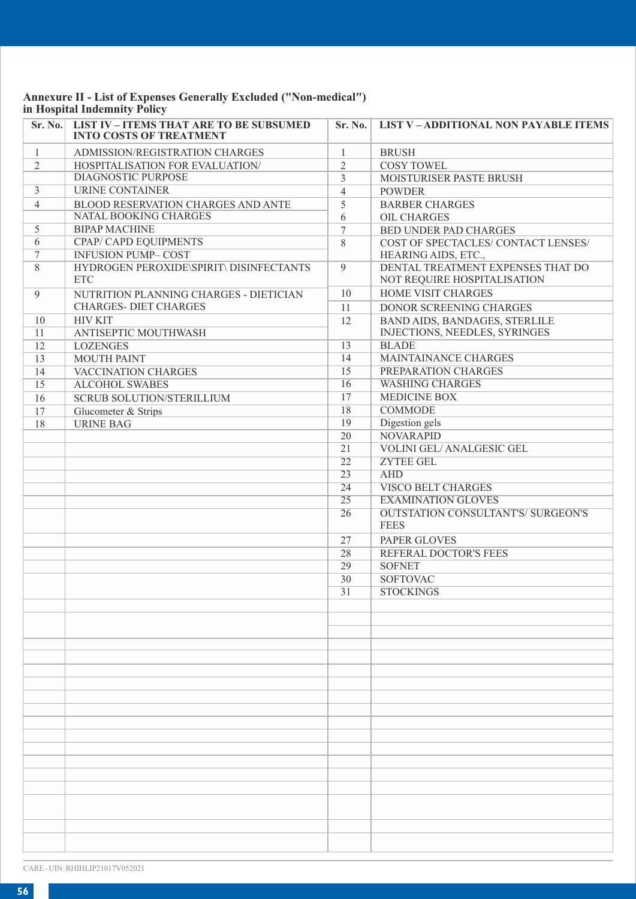# **Annexure II - List of Expenses Generally Excluded ("Non-medical") in Hospital Indemnity Policy**

| Sr. No.        | <b>LIST IV - ITEMS THAT ARE TO BE SUBSUMED</b><br><b>INTO COSTS OF TREATMENT</b> | Sr. No.         | <b>LIST V-ADDITIONAL NON PAYABLE ITEMS</b>                       |
|----------------|----------------------------------------------------------------------------------|-----------------|------------------------------------------------------------------|
| $\mathbf{1}$   | ADMISSION/REGISTRATION CHARGES                                                   | $\mathbf{1}$    | <b>BRUSH</b>                                                     |
| $\overline{c}$ | <b>HOSPITALISATION FOR EVALUATION/</b>                                           | $\overline{c}$  | <b>COSY TOWEL</b>                                                |
|                | DIAGNOSTIC PURPOSE                                                               | 3               | <b>MOISTURISER PASTE BRUSH</b>                                   |
| $\overline{3}$ | URINE CONTAINER                                                                  | $\overline{4}$  | <b>POWDER</b>                                                    |
| $\overline{4}$ | BLOOD RESERVATION CHARGES AND ANTE                                               | 5               | <b>BARBER CHARGES</b>                                            |
|                | NATAL BOOKING CHARGES                                                            | 6               | OIL CHARGES                                                      |
| $\overline{5}$ | <b>BIPAP MACHINE</b>                                                             | $\tau$          | BED UNDER PAD CHARGES                                            |
| 6              | CPAP/ CAPD EQUIPMENTS                                                            | 8               | COST OF SPECTACLES/ CONTACT LENSES/                              |
| $\tau$         | <b>INFUSION PUMP-COST</b>                                                        |                 | HEARING AIDS, ETC.,                                              |
| 8              | HYDROGEN PEROXIDE\SPIRIT\ DISINFECTANTS<br><b>ETC</b>                            | $\mathbf{Q}$    | DENTAL TREATMENT EXPENSES THAT DO<br>NOT REQUIRE HOSPITALISATION |
| 9              | NUTRITION PLANNING CHARGES - DIETICIAN                                           | 10              | <b>HOME VISIT CHARGES</b>                                        |
|                | <b>CHARGES- DIET CHARGES</b>                                                     | 11              | DONOR SCREENING CHARGES                                          |
| 10             | <b>HIV KIT</b>                                                                   | 12              | BAND AIDS, BANDAGES, STERLILE                                    |
| 11             | ANTISEPTIC MOUTHWASH                                                             |                 | INJECTIONS, NEEDLES, SYRINGES                                    |
| 12             | <b>LOZENGES</b>                                                                  | 13              | <b>BLADE</b>                                                     |
| 13             | <b>MOUTH PAINT</b>                                                               | 14              | MAINTAINANCE CHARGES                                             |
| 14             | VACCINATION CHARGES                                                              | 15              | PREPARATION CHARGES                                              |
| 15             | <b>ALCOHOL SWABES</b>                                                            | 16              | <b>WASHING CHARGES</b>                                           |
| 16             | <b>SCRUB SOLUTION/STERILLIUM</b>                                                 | 17              | <b>MEDICINE BOX</b>                                              |
| 17             | Glucometer & Strips                                                              | 18              | <b>COMMODE</b>                                                   |
| 18             | <b>URINE BAG</b>                                                                 | 19              | Digestion gels                                                   |
|                |                                                                                  | 20              | <b>NOVARAPID</b>                                                 |
|                |                                                                                  | $\overline{21}$ | VOLINI GEL/ANALGESIC GEL                                         |
|                |                                                                                  | 22              | ZYTEE GEL                                                        |
|                |                                                                                  | 23              | <b>AHD</b>                                                       |
|                |                                                                                  | 24              | <b>VISCO BELT CHARGES</b>                                        |
|                |                                                                                  | 25              | <b>EXAMINATION GLOVES</b>                                        |
|                |                                                                                  | 26              | <b>OUTSTATION CONSULTANT'S/ SURGEON'S</b><br><b>FEES</b>         |
|                |                                                                                  | 27              | PAPER GLOVES                                                     |
|                |                                                                                  | 28              | REFERAL DOCTOR'S FEES                                            |
|                |                                                                                  | 29              | <b>SOFNET</b>                                                    |
|                |                                                                                  | 30              | <b>SOFTOVAC</b>                                                  |
|                |                                                                                  | 31              | <b>STOCKINGS</b>                                                 |
|                |                                                                                  |                 |                                                                  |
|                |                                                                                  |                 |                                                                  |
|                |                                                                                  |                 |                                                                  |
|                |                                                                                  |                 |                                                                  |
|                |                                                                                  |                 |                                                                  |
|                |                                                                                  |                 |                                                                  |
|                |                                                                                  |                 |                                                                  |
|                |                                                                                  |                 |                                                                  |
|                |                                                                                  |                 |                                                                  |
|                |                                                                                  |                 |                                                                  |
|                |                                                                                  |                 |                                                                  |
|                |                                                                                  |                 |                                                                  |
|                |                                                                                  |                 |                                                                  |
|                |                                                                                  |                 |                                                                  |
|                |                                                                                  |                 |                                                                  |
|                |                                                                                  |                 |                                                                  |
|                |                                                                                  |                 |                                                                  |
|                |                                                                                  |                 |                                                                  |

CARE - UIN: RHIHLIP21017V052021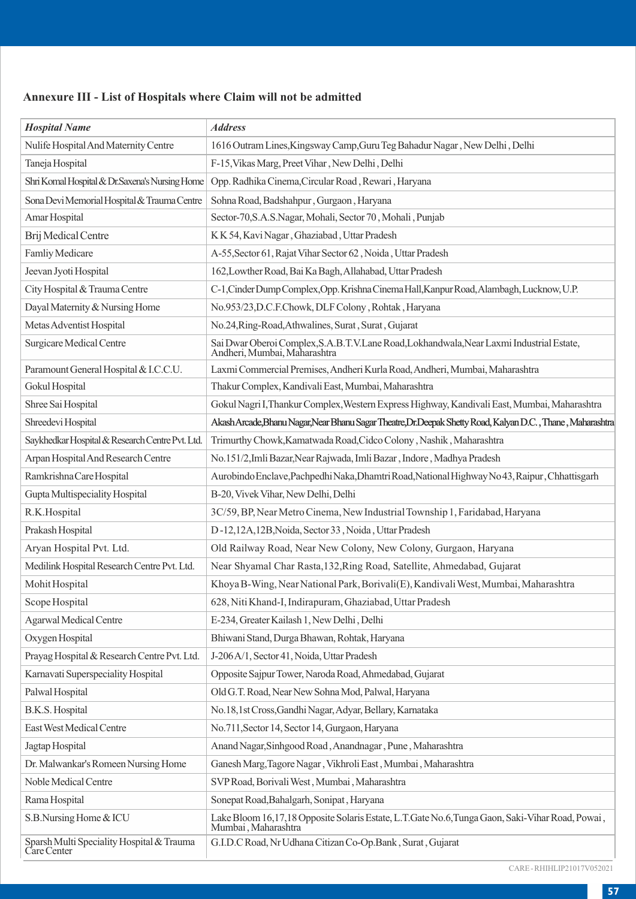## **Annexure III - List of Hospitals where Claim will not be admitted**

| <b>Hospital Name</b>                                     | <b>Address</b>                                                                                                          |
|----------------------------------------------------------|-------------------------------------------------------------------------------------------------------------------------|
| Nulife Hospital And Maternity Centre                     | 1616 Outram Lines, Kingsway Camp, Guru Teg Bahadur Nagar, New Delhi, Delhi                                              |
| Taneja Hospital                                          | F-15, Vikas Marg, Preet Vihar, New Delhi, Delhi                                                                         |
| Shri Komal Hospital & Dr.Saxena's Nursing Home           | Opp. Radhika Cinema, Circular Road, Rewari, Haryana                                                                     |
| Sona Devi Memorial Hospital & Trauma Centre              | Sohna Road, Badshahpur, Gurgaon, Haryana                                                                                |
| Amar Hospital                                            | Sector-70, S.A.S. Nagar, Mohali, Sector 70, Mohali, Punjab                                                              |
| Brij Medical Centre                                      | K K 54, Kavi Nagar, Ghaziabad, Uttar Pradesh                                                                            |
| <b>Famliy Medicare</b>                                   | A-55, Sector 61, Rajat Vihar Sector 62, Noida, Uttar Pradesh                                                            |
| Jeevan Jyoti Hospital                                    | 162, Lowther Road, Bai Ka Bagh, Allahabad, Uttar Pradesh                                                                |
| City Hospital & Trauma Centre                            | C-1, Cinder Dump Complex, Opp. Krishna Cinema Hall, Kanpur Road, Alambagh, Lucknow, U.P.                                |
| Dayal Maternity & Nursing Home                           | No.953/23,D.C.F.Chowk, DLF Colony, Rohtak, Haryana                                                                      |
| Metas Adventist Hospital                                 | No.24, Ring-Road, Athwalines, Surat, Surat, Gujarat                                                                     |
| Surgicare Medical Centre                                 | Sai Dwar Oberoi Complex,S.A.B.T.V.Lane Road,Lokhandwala,Near Laxmi Industrial Estate,<br>Andheri, Mumbai, Maharashtra   |
| Paramount General Hospital & I.C.C.U.                    | Laxmi Commercial Premises, Andheri Kurla Road, Andheri, Mumbai, Maharashtra                                             |
| Gokul Hospital                                           | Thakur Complex, Kandivali East, Mumbai, Maharashtra                                                                     |
| Shree Sai Hospital                                       | Gokul Nagri I, Thankur Complex, Western Express Highway, Kandivali East, Mumbai, Maharashtra                            |
| Shreedevi Hospital                                       | Akash Arcade, Bhanu Nagar, Near Bhanu Sagar Theatre, Dr. Deepak Shetty Road, Kalyan D.C., Thane, Maharashtra            |
| Saykhedkar Hospital & Research Centre Pvt. Ltd.          | Trimurthy Chowk, Kamatwada Road, Cidco Colony, Nashik, Maharashtra                                                      |
| Arpan Hospital And Research Centre                       | No.151/2, Imli Bazar, Near Rajwada, Imli Bazar, Indore, Madhya Pradesh                                                  |
| Ramkrishna Care Hospital                                 | Aurobindo Enclave, Pachpedhi Naka, Dhamtri Road, National Highway No 43, Raipur, Chhattisgarh                           |
| Gupta Multispeciality Hospital                           | B-20, Vivek Vihar, New Delhi, Delhi                                                                                     |
| R.K.Hospital                                             | 3C/59, BP, Near Metro Cinema, New Industrial Township 1, Faridabad, Haryana                                             |
| Prakash Hospital                                         | D-12,12A,12B, Noida, Sector 33, Noida, Uttar Pradesh                                                                    |
| Aryan Hospital Pvt. Ltd.                                 | Old Railway Road, Near New Colony, New Colony, Gurgaon, Haryana                                                         |
| Medilink Hospital Research Centre Pvt. Ltd.              | Near Shyamal Char Rasta, 132, Ring Road, Satellite, Ahmedabad, Gujarat                                                  |
| Mohit Hospital                                           | Khoya B-Wing, Near National Park, Borivali(E), Kandivali West, Mumbai, Maharashtra                                      |
| Scope Hospital                                           | 628, Niti Khand-I, Indirapuram, Ghaziabad, Uttar Pradesh                                                                |
| Agarwal Medical Centre                                   | E-234, Greater Kailash 1, New Delhi, Delhi                                                                              |
| Oxygen Hospital                                          | Bhiwani Stand, Durga Bhawan, Rohtak, Haryana                                                                            |
| Prayag Hospital & Research Centre Pvt. Ltd.              | J-206 A/1, Sector 41, Noida, Uttar Pradesh                                                                              |
| Karnavati Superspeciality Hospital                       | Opposite Sajpur Tower, Naroda Road, Ahmedabad, Gujarat                                                                  |
| Palwal Hospital                                          | Old G.T. Road, Near New Sohna Mod, Palwal, Haryana                                                                      |
| B.K.S. Hospital                                          | No.18,1st Cross, Gandhi Nagar, Adyar, Bellary, Karnataka                                                                |
| East West Medical Centre                                 | No.711, Sector 14, Sector 14, Gurgaon, Haryana                                                                          |
| Jagtap Hospital                                          | Anand Nagar, Sinhgood Road, Anandnagar, Pune, Maharashtra                                                               |
| Dr. Malwankar's Romeen Nursing Home                      | Ganesh Marg, Tagore Nagar, Vikhroli East, Mumbai, Maharashtra                                                           |
| Noble Medical Centre                                     | SVP Road, Borivali West, Mumbai, Maharashtra                                                                            |
| Rama Hospital                                            | Sonepat Road, Bahalgarh, Sonipat, Haryana                                                                               |
| S.B.Nursing Home & ICU                                   | Lake Bloom 16,17,18 Opposite Solaris Estate, L.T.Gate No.6,Tunga Gaon, Saki-Vihar Road, Powai ,<br>Mumbai , Maharashtra |
| Sparsh Multi Speciality Hospital & Trauma<br>Care Center | G.I.D.C Road, Nr Udhana Citizan Co-Op.Bank, Surat, Gujarat                                                              |

CARE - RHIHLIP21017V052021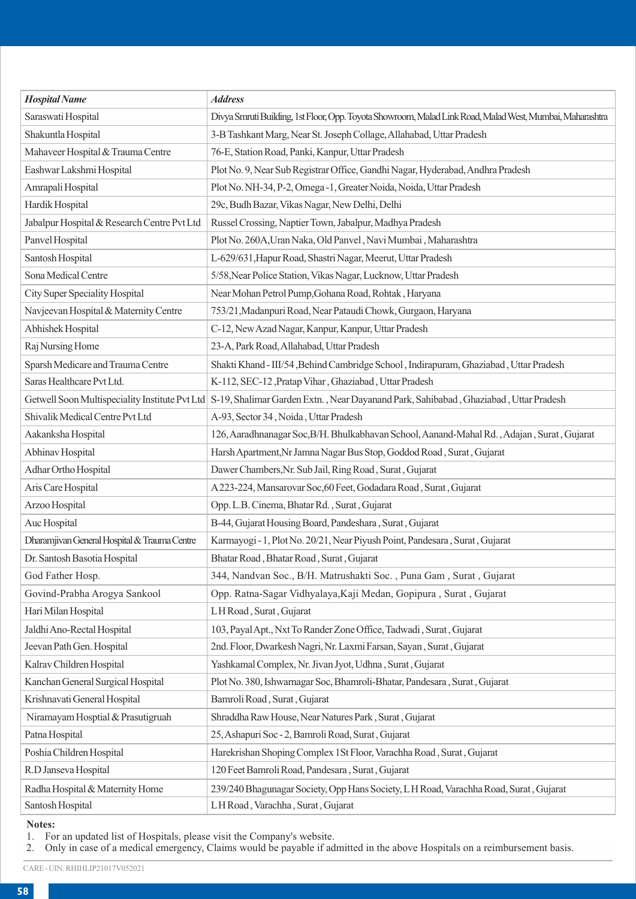| <b>Hospital Name</b>                         | <b>Address</b>                                                                                                                       |
|----------------------------------------------|--------------------------------------------------------------------------------------------------------------------------------------|
| Saraswati Hospital                           | Divya Smruti Building, 1st Floor, Opp. Toyota Showroom, Malad Link Road, Malad West, Mumbai, Maharashtra                             |
| Shakuntla Hospital                           | 3-B Tashkant Marg, Near St. Joseph Collage, Allahabad, Uttar Pradesh                                                                 |
| Mahaveer Hospital & Trauma Centre            | 76-E, Station Road, Panki, Kanpur, Uttar Pradesh                                                                                     |
| Eashwar Lakshmi Hospital                     | Plot No. 9, Near Sub Registrar Office, Gandhi Nagar, Hyderabad, Andhra Pradesh                                                       |
| Amrapali Hospital                            | Plot No. NH-34, P-2, Omega -1, Greater Noida, Noida, Uttar Pradesh                                                                   |
| Hardik Hospital                              | 29c, Budh Bazar, Vikas Nagar, New Delhi, Delhi                                                                                       |
| Jabalpur Hospital & Research Centre Pvt Ltd  | Russel Crossing, Naptier Town, Jabalpur, Madhya Pradesh                                                                              |
| Panvel Hospital                              | Plot No. 260A, Uran Naka, Old Panvel, Navi Mumbai, Maharashtra                                                                       |
| Santosh Hospital                             | L-629/631, Hapur Road, Shastri Nagar, Meerut, Uttar Pradesh                                                                          |
| Sona Medical Centre                          | 5/58, Near Police Station, Vikas Nagar, Lucknow, Uttar Pradesh                                                                       |
| City Super Speciality Hospital               | Near Mohan Petrol Pump, Gohana Road, Rohtak, Haryana                                                                                 |
| Navjeevan Hospital & Maternity Centre        | 753/21, Madanpuri Road, Near Pataudi Chowk, Gurgaon, Haryana                                                                         |
| Abhishek Hospital                            | C-12, New Azad Nagar, Kanpur, Kanpur, Uttar Pradesh                                                                                  |
| Raj Nursing Home                             | 23-A, Park Road, Allahabad, Uttar Pradesh                                                                                            |
| Sparsh Medicare and Trauma Centre            | Shakti Khand - III/54, Behind Cambridge School, Indirapuram, Ghaziabad, Uttar Pradesh                                                |
| Saras Healthcare Pvt Ltd.                    | K-112, SEC-12, Pratap Vihar, Ghaziabad, Uttar Pradesh                                                                                |
|                                              | Getwell Soon Multispeciality Institute Pvt Ltd  S-19, Shalimar Garden Extn., Near Dayanand Park, Sahibabad, Ghaziabad, Uttar Pradesh |
| Shivalik Medical Centre Pvt Ltd              | A-93, Sector 34, Noida, Uttar Pradesh                                                                                                |
| Aakanksha Hospital                           | 126, Aaradhnanagar Soc, B/H. Bhulkabhavan School, Aanand-Mahal Rd. , Adajan, Surat, Gujarat                                          |
| Abhinav Hospital                             | Harsh Apartment, Nr Jamna Nagar Bus Stop, Goddod Road, Surat, Gujarat                                                                |
| Adhar Ortho Hospital                         | Dawer Chambers, Nr. Sub Jail, Ring Road, Surat, Gujarat                                                                              |
| Aris Care Hospital                           | A 223-224, Mansarovar Soc, 60 Feet, Godadara Road, Surat, Gujarat                                                                    |
| Arzoo Hospital                               | Opp. L.B. Cinema, Bhatar Rd., Surat, Gujarat                                                                                         |
| Auc Hospital                                 | B-44, Gujarat Housing Board, Pandeshara, Surat, Gujarat                                                                              |
| Dharamjiyan General Hospital & Trauma Centre | Karmayogi - 1, Plot No. 20/21, Near Piyush Point, Pandesara, Surat, Gujarat                                                          |
| Dr. Santosh Basotia Hospital                 | Bhatar Road, Bhatar Road, Surat, Gujarat                                                                                             |
| God Father Hosp.                             | 344, Nandvan Soc., B/H. Matrushakti Soc., Puna Gam, Surat, Gujarat                                                                   |
| Govind-Prabha Arogya Sankool                 | Opp. Ratna-Sagar Vidhyalaya, Kaji Medan, Gopipura, Surat, Gujarat                                                                    |
| Hari Milan Hospital                          | LH Road, Surat, Gujarat                                                                                                              |
| Jaldhi Ano-Rectal Hospital                   | 103, Payal Apt., Nxt To Rander Zone Office, Tadwadi, Surat, Gujarat                                                                  |
| Jeevan Path Gen. Hospital                    | 2nd. Floor, Dwarkesh Nagri, Nr. Laxmi Farsan, Sayan, Surat, Gujarat                                                                  |
| Kalrav Children Hospital                     | Yashkamal Complex, Nr. Jivan Jyot, Udhna, Surat, Gujarat                                                                             |
| Kanchan General Surgical Hospital            | Plot No. 380, Ishwarnagar Soc, Bhamroli-Bhatar, Pandesara, Surat, Gujarat                                                            |
| Krishnavati General Hospital                 | Bamroli Road, Surat, Gujarat                                                                                                         |
| Niramayam Hosptial & Prasutigruah            | Shraddha Raw House, Near Natures Park, Surat, Gujarat                                                                                |
| Patna Hospital                               | 25, Ashapuri Soc - 2, Bamroli Road, Surat, Gujarat                                                                                   |
| Poshia Children Hospital                     | Harekrishan Shoping Complex 1St Floor, Varachha Road, Surat, Gujarat                                                                 |
| R.D Janseva Hospital                         | 120 Feet Bamroli Road, Pandesara, Surat, Gujarat                                                                                     |
| Radha Hospital & Maternity Home              | 239/240 Bhagunagar Society, Opp Hans Society, L H Road, Varachha Road, Surat, Gujarat                                                |
| Santosh Hospital                             | LH Road, Varachha, Surat, Gujarat                                                                                                    |

#### **Notes:**

1. For an updated list of Hospitals, please visit the Company's website. 2. Only in case of a medical emergency, Claims would be payable if admitted in the above Hospitals on a reimbursement basis.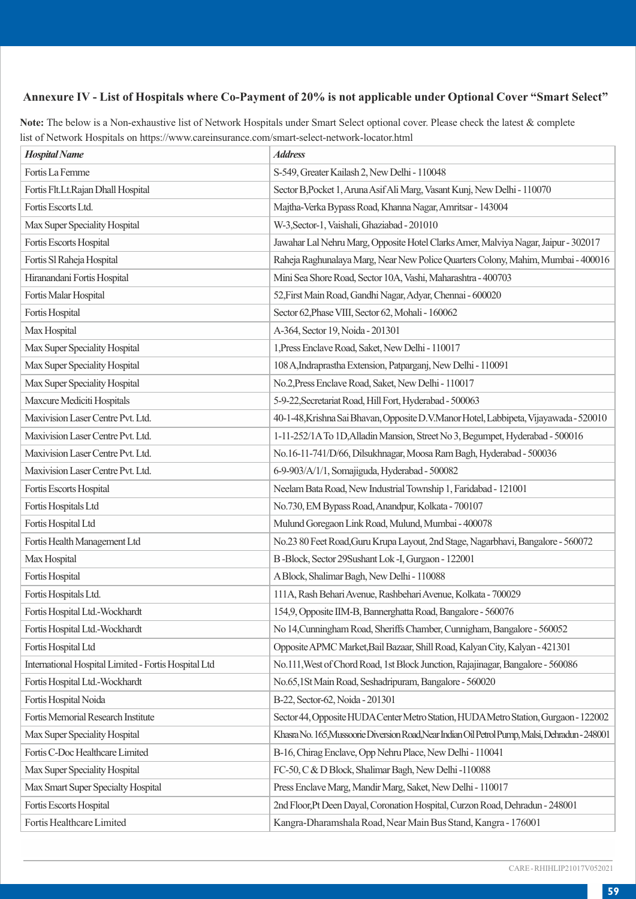## **Annexure IV - List of Hospitals where Co-Payment of 20% is not applicable under Optional Cover "Smart Select"**

**Note:** The below is a Non-exhaustive list of Network Hospitals under Smart Select optional cover. Please check the latest & complete list of Network Hospitals on https://www.careinsurance.com/smart-select-network-locator.html

| Hospital Name                                        | <b>Address</b>                                                                                 |
|------------------------------------------------------|------------------------------------------------------------------------------------------------|
| Fortis La Femme                                      | S-549, Greater Kailash 2, New Delhi - 110048                                                   |
| Fortis Flt.Lt.Rajan Dhall Hospital                   | Sector B, Pocket 1, Aruna Asif Ali Marg, Vasant Kunj, New Delhi - 110070                       |
| Fortis Escorts Ltd.                                  | Majtha-Verka Bypass Road, Khanna Nagar, Amritsar - 143004                                      |
| Max Super Speciality Hospital                        | W-3, Sector-1, Vaishali, Ghaziabad - 201010                                                    |
| Fortis Escorts Hospital                              | Jawahar Lal Nehru Marg, Opposite Hotel Clarks Amer, Malviya Nagar, Jaipur - 302017             |
| Fortis Sl Raheja Hospital                            | Raheja Raghunalaya Marg, Near New Police Quarters Colony, Mahim, Mumbai - 400016               |
| Hiranandani Fortis Hospital                          | Mini Sea Shore Road, Sector 10A, Vashi, Maharashtra - 400703                                   |
| Fortis Malar Hospital                                | 52, First Main Road, Gandhi Nagar, Adyar, Chennai - 600020                                     |
| Fortis Hospital                                      | Sector 62, Phase VIII, Sector 62, Mohali - 160062                                              |
| Max Hospital                                         | A-364, Sector 19, Noida - 201301                                                               |
| Max Super Speciality Hospital                        | 1, Press Enclave Road, Saket, New Delhi - 110017                                               |
| Max Super Speciality Hospital                        | 108 A, Indraprastha Extension, Patparganj, New Delhi - 110091                                  |
| Max Super Speciality Hospital                        | No.2, Press Enclave Road, Saket, New Delhi - 110017                                            |
| Maxcure Mediciti Hospitals                           | 5-9-22, Secretariat Road, Hill Fort, Hyderabad - 500063                                        |
| Maxivision Laser Centre Pvt. Ltd.                    | 40-1-48, Krishna Sai Bhavan, Opposite D.V. Manor Hotel, Labbipeta, Vijayawada - 520010         |
| Maxivision Laser Centre Pvt. Ltd.                    | 1-11-252/1A To 1D, Alladin Mansion, Street No 3, Begumpet, Hyderabad - 500016                  |
| Maxivision Laser Centre Pvt. Ltd.                    | No.16-11-741/D/66, Dilsukhnagar, Moosa Ram Bagh, Hyderabad - 500036                            |
| Maxivision Laser Centre Pvt. Ltd.                    | 6-9-903/A/1/1, Somajiguda, Hyderabad - 500082                                                  |
| Fortis Escorts Hospital                              | Neelam Bata Road, New Industrial Township 1, Faridabad - 121001                                |
| Fortis Hospitals Ltd                                 | No.730, EM Bypass Road, Anandpur, Kolkata - 700107                                             |
| Fortis Hospital Ltd                                  | Mulund Goregaon Link Road, Mulund, Mumbai - 400078                                             |
| Fortis Health Management Ltd                         | No.23 80 Feet Road, Guru Krupa Layout, 2nd Stage, Nagarbhavi, Bangalore - 560072               |
| Max Hospital                                         | B-Block, Sector 29Sushant Lok-I, Gurgaon - 122001                                              |
| Fortis Hospital                                      | A Block, Shalimar Bagh, New Delhi - 110088                                                     |
| Fortis Hospitals Ltd.                                | 111A, Rash Behari Avenue, Rashbehari Avenue, Kolkata - 700029                                  |
| Fortis Hospital Ltd.-Wockhardt                       | 154,9, Opposite IIM-B, Bannerghatta Road, Bangalore - 560076                                   |
| Fortis Hospital Ltd.-Wockhardt                       | No 14, Cunningham Road, Sheriffs Chamber, Cunnigham, Bangalore - 560052                        |
| Fortis Hospital Ltd                                  | Opposite APMC Market, Bail Bazaar, Shill Road, Kalyan City, Kalyan - 421301                    |
| International Hospital Limited - Fortis Hospital Ltd | No.111, West of Chord Road, 1st Block Junction, Rajajinagar, Bangalore - 560086                |
| Fortis Hospital Ltd.-Wockhardt                       | No.65,1St Main Road, Seshadripuram, Bangalore - 560020                                         |
| Fortis Hospital Noida                                | B-22, Sector-62, Noida - 201301                                                                |
| Fortis Memorial Research Institute                   | Sector 44, Opposite HUDA Center Metro Station, HUDA Metro Station, Gurgaon - 122002            |
| Max Super Speciality Hospital                        | Khasra No. 165, Mussoone Diversion Road, Near Indian Oil Petrol Pump, Malsi, Dehradun - 248001 |
| Fortis C-Doc Healthcare Limited                      | B-16, Chirag Enclave, Opp Nehru Place, New Delhi - 110041                                      |
| Max Super Speciality Hospital                        | FC-50, C & D Block, Shalimar Bagh, New Delhi -110088                                           |
| Max Smart Super Specialty Hospital                   | Press Enclave Marg, Mandir Marg, Saket, New Delhi - 110017                                     |
| Fortis Escorts Hospital                              | 2nd Floor, Pt Deen Dayal, Coronation Hospital, Curzon Road, Dehradun - 248001                  |
| Fortis Healthcare Limited                            | Kangra-Dharamshala Road, Near Main Bus Stand, Kangra - 176001                                  |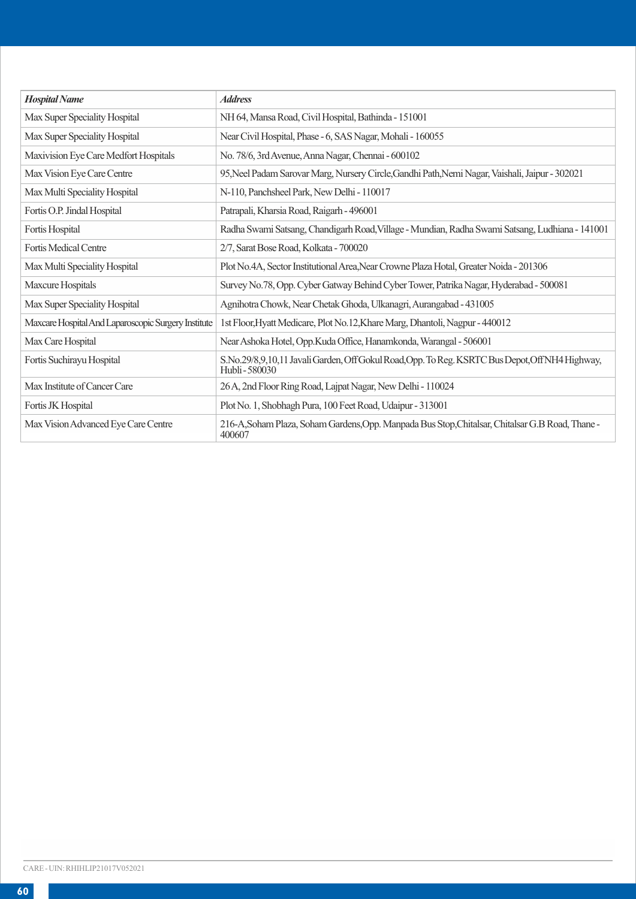| <b>Hospital Name</b>                                | <b>Address</b>                                                                                                  |
|-----------------------------------------------------|-----------------------------------------------------------------------------------------------------------------|
| Max Super Speciality Hospital                       | NH 64, Mansa Road, Civil Hospital, Bathinda - 151001                                                            |
| Max Super Speciality Hospital                       | Near Civil Hospital, Phase - 6, SAS Nagar, Mohali - 160055                                                      |
| Maxivision Eye Care Medfort Hospitals               | No. 78/6, 3rd Avenue, Anna Nagar, Chennai - 600102                                                              |
| Max Vision Eye Care Centre                          | 95, Neel Padam Sarovar Marg, Nursery Circle, Gandhi Path, Nemi Nagar, Vaishali, Jaipur - 302021                 |
| Max Multi Speciality Hospital                       | N-110, Panchsheel Park, New Delhi - 110017                                                                      |
| Fortis O.P. Jindal Hospital                         | Patrapali, Kharsia Road, Raigarh - 496001                                                                       |
| Fortis Hospital                                     | Radha Swami Satsang, Chandigarh Road, Village - Mundian, Radha Swami Satsang, Ludhiana - 141001                 |
| <b>Fortis Medical Centre</b>                        | 2/7, Sarat Bose Road, Kolkata - 700020                                                                          |
| Max Multi Speciality Hospital                       | Plot No.4A, Sector Institutional Area, Near Crowne Plaza Hotal, Greater Noida - 201306                          |
| Maxcure Hospitals                                   | Survey No.78, Opp. Cyber Gatway Behind Cyber Tower, Patrika Nagar, Hyderabad - 500081                           |
| Max Super Speciality Hospital                       | Agnihotra Chowk, Near Chetak Ghoda, Ulkanagri, Aurangabad - 431005                                              |
| Maxcare Hospital And Laparoscopic Surgery Institute | 1st Floor, Hyatt Medicare, Plot No.12, Khare Marg, Dhantoli, Nagpur - 440012                                    |
| Max Care Hospital                                   | Near Ashoka Hotel, Opp.Kuda Office, Hanamkonda, Warangal - 506001                                               |
| Fortis Suchirayu Hospital                           | S.No.29/8,9,10,11 Javali Garden, Off Gokul Road, Opp. To Reg. KSRTC Bus Depot, Off NH4 Highway,<br>Hubli-580030 |
| Max Institute of Cancer Care                        | 26 A, 2nd Floor Ring Road, Lajpat Nagar, New Delhi - 110024                                                     |
| Fortis JK Hospital                                  | Plot No. 1, Shobhagh Pura, 100 Feet Road, Udaipur - 313001                                                      |
| Max Vision Advanced Eye Care Centre                 | 216-A, Soham Plaza, Soham Gardens, Opp. Manpada Bus Stop, Chitalsar, Chitalsar G.B Road, Thane -<br>400607      |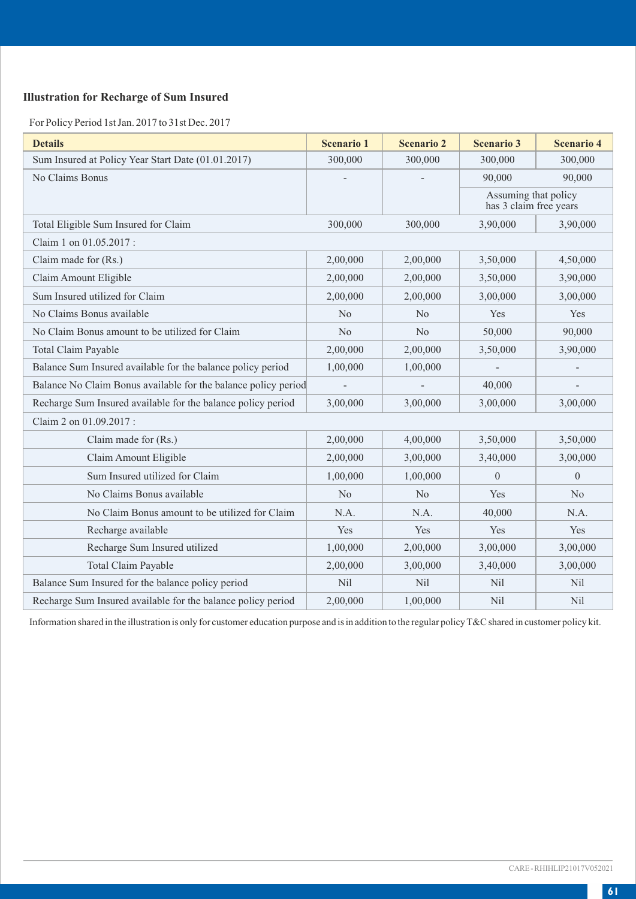## **Illustration for Recharge of Sum Insured**

For Policy Period 1st Jan. 2017 to 31st Dec. 2017

| <b>Details</b>                                                 | <b>Scenario 1</b> | <b>Scenario 2</b> | <b>Scenario 3</b>                              | Scenario 4   |
|----------------------------------------------------------------|-------------------|-------------------|------------------------------------------------|--------------|
| Sum Insured at Policy Year Start Date (01.01.2017)             | 300,000           | 300,000           | 300,000                                        | 300,000      |
| No Claims Bonus                                                |                   |                   | 90,000                                         | 90,000       |
|                                                                |                   |                   | Assuming that policy<br>has 3 claim free years |              |
| Total Eligible Sum Insured for Claim                           | 300,000           | 300,000           | 3,90,000                                       | 3.90,000     |
| Claim 1 on 01.05.2017 :                                        |                   |                   |                                                |              |
| Claim made for (Rs.)                                           | 2,00,000          | 2,00,000          | 3,50,000                                       | 4,50,000     |
| Claim Amount Eligible                                          | 2,00,000          | 2,00,000          | 3,50,000                                       | 3,90,000     |
| Sum Insured utilized for Claim                                 | 2,00,000          | 2,00,000          | 3,00,000                                       | 3,00,000     |
| No Claims Bonus available                                      | No                | No                | Yes                                            | Yes          |
| No Claim Bonus amount to be utilized for Claim                 | No                | No                | 50,000                                         | 90,000       |
| <b>Total Claim Payable</b>                                     | 2,00,000          | 2,00,000          | 3.50,000                                       | 3,90,000     |
| Balance Sum Insured available for the balance policy period    | 1,00,000          | 1,00,000          |                                                |              |
| Balance No Claim Bonus available for the balance policy period |                   |                   | 40,000                                         |              |
| Recharge Sum Insured available for the balance policy period   | 3,00,000          | 3.00.000          | 3,00,000                                       | 3,00,000     |
| Claim 2 on 01.09.2017:                                         |                   |                   |                                                |              |
| Claim made for (Rs.)                                           | 2,00,000          | 4,00,000          | 3.50,000                                       | 3,50,000     |
| Claim Amount Eligible                                          | 2,00,000          | 3,00,000          | 3,40,000                                       | 3,00,000     |
| Sum Insured utilized for Claim                                 | 1,00,000          | 1,00,000          | $\mathbf{0}$                                   | $\mathbf{0}$ |
| No Claims Bonus available                                      | No                | No                | Yes                                            | No           |
| No Claim Bonus amount to be utilized for Claim                 | N.A.              | N.A.              | 40,000                                         | N.A.         |
| Recharge available                                             | Yes               | Yes               | Yes                                            | Yes          |
| Recharge Sum Insured utilized                                  | 1,00,000          | 2,00,000          | 3,00,000                                       | 3,00,000     |
| <b>Total Claim Payable</b>                                     | 2,00,000          | 3,00,000          | 3,40,000                                       | 3,00,000     |
| Balance Sum Insured for the balance policy period              | Nil               | Nil               | Nil                                            | Nil          |
| Recharge Sum Insured available for the balance policy period   | 2,00,000          | 1.00.000          | Nil                                            | Nil          |

Information shared in the illustration is only for customer education purpose and is in addition to the regular policy T&C shared in customer policy kit.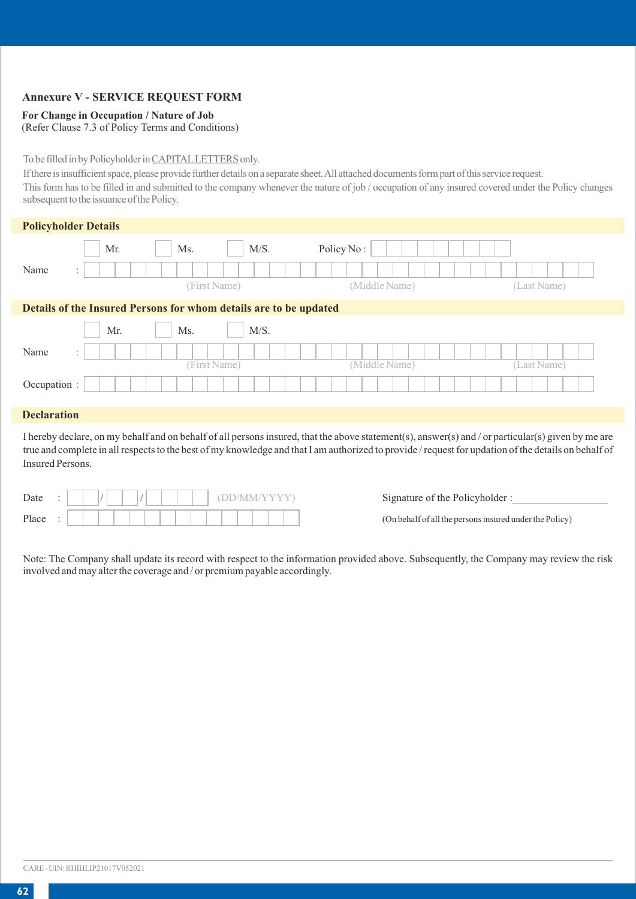## **Annexure V - SERVICE REQUEST FORM**

#### **For Change in Occupation / Nature of Job**

(Refer Clause 7.3 of Policy Terms and Conditions)

## To be filled in by Policyholder in CAPITALLETTERS only.

If there is insufficient space, please provide further details on a separate sheet. All attached documents form part of this service request.

This form has to be filled in and submitted to the company whenever the nature of job / occupation of any insured covered under the Policy changes subsequent to the issuance of the Policy.

| <b>Policyholder Details</b>                                       |                                      |              |               |             |  |  |  |  |  |  |  |
|-------------------------------------------------------------------|--------------------------------------|--------------|---------------|-------------|--|--|--|--|--|--|--|
|                                                                   | Mr.                                  | M/S.<br>Ms.  | Policy No:    |             |  |  |  |  |  |  |  |
| Name                                                              | $\ddot{\phantom{1}}$<br>$\mathbf{r}$ |              |               |             |  |  |  |  |  |  |  |
|                                                                   |                                      | (First Name) | (Middle Name) | (Last Name) |  |  |  |  |  |  |  |
| Details of the Insured Persons for whom details are to be updated |                                      |              |               |             |  |  |  |  |  |  |  |
|                                                                   | Mr.                                  | M/S.<br>Ms.  |               |             |  |  |  |  |  |  |  |
| Name                                                              | $\cdot$<br>$\mathbf{r}$              |              |               |             |  |  |  |  |  |  |  |

(First Name) (Middle Name) (Last Name)

#### **Declaration**

Occupation :

I hereby declare, on my behalf and on behalf of all persons insured, that the above statement(s), answer(s) and / or particular(s) given by me are true and complete in all respects to the best of my knowledge and that I am authorized to provide / request for updation of the details on behalf of Insured Persons.

| Date  | ٠<br>$\bullet$ |  |  |  |  |  |  |  |  |  |  |  |
|-------|----------------|--|--|--|--|--|--|--|--|--|--|--|
| Place | ٠              |  |  |  |  |  |  |  |  |  |  |  |

Signature of the Policyholder :

(On behalf of all the persons insured under the Policy)

Note: The Company shall update its record with respect to the information provided above. Subsequently, the Company may review the risk involved and may alter the coverage and / or premium payable accordingly.